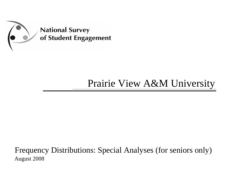

# Prairie View A&M University

Frequency Distributions: Special Analyses (for seniors only) August 2008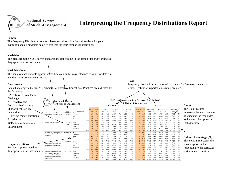

#### **National Survey** of Student Engagement

## **Interpreting the Frequency Distributions Report**

#### **Sample**

The Frequency Distributions report is based on information from all students for your institution and all randomly selected students for your comparison institutions.

#### **Variables**

The items from the NSSE survey appear in the left column in the same order and wording as they appear on the instrument.

#### **Variable Names**

The name of each variable appears in the first column for easy reference to your raw data file and the *Mean Comparisons* report.

#### **Benchmark**

Interaction

Experiences

Environment

**Response Options**

Items that comprise the five "Benchmarks of Effective Educational Practice" are indicated by seniors. Institution-reported class ranks are used. the following: **LAC**=Level of Academic Challenge **National Survey ACL**=Active and of Student Engagement Collaborative Learning **First-Year StudentsSFI**=Student-Faculty Carnegie Class

#### **Class**

Frequency distributions are reported separately for first-year students and



571 *100%*

**Count**

The Count column represents the actual number of students who responded to the particular option in each question.

#### **Column Percentage (%)** This column represents the percentage of students responding to the particular option in each question.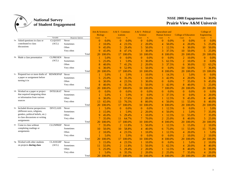

|     |                                             |                 |                         |                          | Arts & Sciences -<br><b>Biology</b> | $A & S - Commun$<br><i>ications</i> |        | A & S - Political<br><b>Science</b> |               | <b>Agruculture and</b><br><b>Human Science</b> |               | <b>College of Education</b> |        | College of<br>Engineering |        |
|-----|---------------------------------------------|-----------------|-------------------------|--------------------------|-------------------------------------|-------------------------------------|--------|-------------------------------------|---------------|------------------------------------------------|---------------|-----------------------------|--------|---------------------------|--------|
|     |                                             | Variable        | <b>Response Options</b> | Count                    | $\%$                                | Count                               | $\%$   | Count                               | $\frac{9}{6}$ | Count                                          | $\frac{9}{6}$ | Count                       | $\%$   | Count                     | %      |
|     | 1a. Asked questions in class or             | <b>CLQUEST</b>  | Never                   | $\Omega$                 | $0.0\%$                             | $\theta$                            | 0.0%   | $\Omega$                            | 0.0%          | $\overline{0}$                                 | $0.0\%$       | $\theta$                    | 0.0%   | $\mathbf{0}$              | 0.0%   |
|     | contributed to class                        | (ACL)           | Sometimes               | 2                        | 10.0%                               | 4                                   | 23.5%  | 2                                   | 20.0%         | 4                                              | 50.0%         | 4                           | 20.0%  | 5                         | 25.0%  |
|     | discussions                                 |                 | Often                   | 9                        | 45.0%                               | 5                                   | 29.4%  | 5                                   | 50.0%         |                                                | 12.5%         | 6                           | 30.0%  | 10                        | 50.0%  |
|     |                                             |                 | Very often              | Q                        | 45.0%                               | 8                                   | 47.1%  | 3                                   | 30.0%         | 3                                              | 37.5%         | 10                          | 50.0%  | 5                         | 25.0%  |
|     |                                             |                 | Total                   | 20                       | 100.0%                              | 17                                  | 100.0% | 10                                  | 100.0%        | 8                                              | 100.0%        | 20                          | 100.0% | 20                        | 100.0% |
|     | 1b. Made a class presentation               | <b>CLPRESEN</b> | Never                   |                          | 5.0%                                | $\Omega$                            | 0.0%   | $\Omega$                            | 0.0%          | $\theta$                                       | 0.0%          | $\overline{2}$              | 10.0%  | $\overline{0}$            | 0.0%   |
|     |                                             | (ACL)           | Sometimes               | 5                        | 25.0%                               |                                     | 5.9%   | 3                                   | 30.0%         | 5                                              | 62.5%         |                             | 10.0%  | $\Omega$                  | 0.0%   |
|     |                                             |                 | Often                   | 8                        | 40.0%                               |                                     | 41.2%  | 2                                   | 20.0%         | 3                                              | 37.5%         | 6                           | 30.0%  | 12                        | 63.2%  |
|     |                                             |                 | Very often              | 6                        | 30.0%                               | 9                                   | 52.9%  | 5                                   | 50.0%         | $\theta$                                       | $0.0\%$       | 10                          | 50.0%  |                           | 36.8%  |
|     |                                             |                 | Total                   | 20                       | 100.0%                              | 17                                  | 100.0% | 10                                  | 100.0%        | 8                                              | 100.0%        | 20                          | 100.0% | 19                        | 100.0% |
|     | 1c. Prepared two or more drafts of REWROPAP |                 | Never                   |                          | 5.0%                                |                                     | 5.9%   |                                     | 10.0%         |                                                | 14.3%         |                             | 5.0%   | $\theta$                  | 0.0%   |
|     | a paper or assignment before                |                 | Sometimes               |                          | 25.0%                               | 6                                   | 35.3%  |                                     | 10.0%         | 3                                              | 42.9%         | $\overline{4}$              | 20.0%  | 6                         | 30.0%  |
|     | turning it in                               |                 | Often                   | 6                        | 30.0%                               | 4                                   | 23.5%  | 3                                   | 30.0%         | $\theta$                                       | 0.0%          |                             | 35.0%  | 9                         | 45.0%  |
|     |                                             |                 | Very often              | 8                        | 40.0%                               | 6                                   | 35.3%  | 5                                   | 50.0%         | 3                                              | 42.9%         | 8                           | 40.0%  | 5                         | 25.0%  |
|     |                                             |                 | Total                   | 20                       | 100.0%                              | 17                                  | 100.0% | 10                                  | 100.0%        | 7                                              | 100.0%        | 20                          | 100.0% | 20                        | 100.0% |
|     | 1d. Worked on a paper or project            | <b>INTEGRAT</b> | Never                   | $\Omega$                 | 0.0%                                | $\theta$                            | 0.0%   | $\theta$                            | 0.0%          | $\theta$                                       | 0.0%          | $\Omega$                    | 0.0%   | $\overline{0}$            | 0.0%   |
|     | that required integrating ideas             |                 | Sometimes               |                          | 5.0%                                |                                     | 5.9%   | $\Omega$                            | 0.0%          | 3                                              | 37.5%         | $\Omega$                    | 0.0%   | $\overline{4}$            | 20.0%  |
|     | or information from various                 |                 | Often                   | -6                       | 30.0%                               | 3                                   | 17.6%  | 2                                   | 20.0%         |                                                | 12.5%         | 9                           | 45.0%  | 8                         | 40.0%  |
|     | sources                                     |                 | Very often              | 13                       | 65.0%                               | 13                                  | 76.5%  | 8                                   | 80.0%         | 4                                              | 50.0%         | 11                          | 55.0%  | 8                         | 40.0%  |
|     |                                             |                 | Total                   | 20                       | 100.0%                              | 17                                  | 100.0% | 10                                  | 100.0%        | 8                                              | 100.0%        | 20                          | 100.0% | <b>20</b>                 | .00.0% |
|     | 1e. Included diverse perspectives           | <b>DIVCLASS</b> | Never                   |                          | 5.0%                                | $\mathbf{0}$                        | 0.0%   | $\overline{0}$                      | 0.0%          |                                                | 12.5%         | $\Omega$                    | 0.0%   |                           | 5.0%   |
|     | (different races, religions,                |                 | Sometimes               |                          | 15.0%                               | 1                                   | 5.9%   | 2                                   | 20.0%         | 4                                              | 50.0%         |                             | 5.0%   | 7                         | 35.0%  |
|     | genders, political beliefs, etc.)           |                 | Often                   | 9                        | 45.0%                               | 5                                   | 29.4%  |                                     | 10.0%         |                                                | 12.5%         | 11                          | 55.0%  | 7                         | 35.0%  |
|     | in class discussions or writing             |                 | Very often              |                          | 35.0%                               | 11                                  | 64.7%  |                                     | 70.0%         | $\overline{2}$                                 | 25.0%         | 8                           | 40.0%  | 5                         | 25.0%  |
|     | assignments                                 |                 | Total                   | 20                       | 100.0%                              | 17                                  | 100.0% | 10                                  | 100.0%        | 8                                              | 100.0%        | 20                          | 100.0% | 20                        | 100.0% |
| 1f. | Come to class without                       | <b>CLUNPREP</b> | Never                   |                          | 35.0%                               | $\overline{2}$                      | 11.8%  | 5                                   | 50.0%         |                                                | 12.5%         | 3                           | 15.0%  | $\overline{2}$            | 10.0%  |
|     | completing readings or                      |                 | Sometimes               | 10                       | 50.0%                               | 10                                  | 58.8%  | 4                                   | 40.0%         | 6                                              | 75.0%         | 11                          | 55.0%  | 15                        | 75.0%  |
|     | assignments                                 |                 | Often                   | $\overline{\mathcal{L}}$ | 10.0%                               | 4                                   | 23.5%  |                                     | 10.0%         |                                                | 12.5%         | $\overline{4}$              | 20.0%  |                           | 5.0%   |
|     |                                             |                 | Very often              |                          | 5.0%                                |                                     | 5.9%   | $\Omega$                            | 0.0%          | $\theta$                                       | 0.0%          | $\overline{2}$              | 10.0%  | $\overline{2}$            | 10.0%  |
|     |                                             |                 | Total                   | 20                       | 100.0%                              | 17                                  | 100.0% | 10                                  | 100.0%        | 8                                              | 100.0%        | 20                          | 100.0% | 20                        | 100.0% |
|     | 1g. Worked with other students              | <b>CLASSGRP</b> | Never                   | 3                        | 15.0%                               | 4                                   | 23.5%  |                                     | 10.0%         | 0                                              | $0.0\%$       |                             | 5.0%   | $\overline{2}$            | 10.0%  |
|     | on projects during class                    | (ACL)           | Sometimes               | 11                       | 55.0%                               | 2                                   | 11.8%  | 5                                   | 50.0%         | 5                                              | 62.5%         | 4                           | 20.0%  | 8                         | 40.0%  |
|     |                                             |                 | Often                   | 5                        | 25.0%                               | 5                                   | 29.4%  | 2                                   | 20.0%         |                                                | 12.5%         | 8                           | 40.0%  | 6                         | 30.0%  |
|     |                                             |                 | Very often              |                          | 5.0%                                | 6                                   | 35.3%  | $\mathfrak{D}$                      | 20.0%         | $\overline{2}$                                 | 25.0%         |                             | 35.0%  | $\overline{4}$            | 20.0%  |
|     |                                             |                 | Total                   | 20                       | 100.0%                              | 17                                  | 100.0% | 10                                  | 100.0%        |                                                | 8 100.0%      | 20                          | 100.0% | 20                        | 100.0% |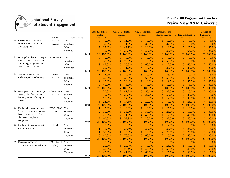

|     |                                    |                 |                         |                | Arts & Sciences -<br><b>Biology</b> | $A & S - Commun$<br><i>ications</i> |           | A & S - Political<br><b>Science</b> |        | <b>Agruculture and</b><br><b>Human Science</b> |        | <b>College of Education</b> |        | College of<br><b>Engineering</b> |           |
|-----|------------------------------------|-----------------|-------------------------|----------------|-------------------------------------|-------------------------------------|-----------|-------------------------------------|--------|------------------------------------------------|--------|-----------------------------|--------|----------------------------------|-----------|
|     |                                    | Variable        | <b>Response Options</b> | Count          | $\%$                                | Count                               | $\%$      | Count                               | $\%$   | Count                                          | $\%$   | Count                       | $\%$   | Count                            | $\%$      |
|     | 1h. Worked with classmates         | <b>OCCGRP</b>   | Never                   | $\Omega$       | 0.0%                                | 2                                   | 11.8%     | $\theta$                            | 0.0%   |                                                | 12.5%  | $\theta$                    | 0.0%   |                                  | 5.0%      |
|     | outside of class to prepare        | (ACL)           | Sometimes               | 6              | 30.0%                               | $\overline{2}$                      | 11.8%     | 3                                   | 30.0%  | 3                                              | 37.5%  | $\overline{2}$              | 10.0%  |                                  | 5.0%      |
|     | class assignments                  |                 | Often                   |                | 35.0%                               | 8                                   | 47.1%     | $\overline{2}$                      | 20.0%  |                                                | 12.5%  | 5                           | 25.0%  | 13                               | 65.0%     |
|     |                                    |                 | Very often              |                | 35.0%                               | 5                                   | 29.4%     | 5                                   | 50.0%  | 3                                              | 37.5%  | 13                          | 65.0%  | 5                                | 25.0%     |
|     |                                    |                 | Total                   | 20             | 100.0%                              | 17                                  | 100.0%    | 10                                  | 100.0% | 8                                              | 100.0% | 20                          | 100.0% | 20                               | 100.0%    |
|     | 1i. Put together ideas or concepts | <b>INTIDEAS</b> | Never                   | $\Omega$       | 0.0%                                | $\theta$                            | 0.0%      | $\theta$                            | 0.0%   | $\overline{0}$                                 | 0.0%   | $\Omega$                    | 0.0%   | $\mathbf{0}$                     | 0.0%      |
|     | from different courses when        |                 | Sometimes               | 6              | 30.0%                               | 4                                   | 23.5%     | 0                                   | 0.0%   | 4                                              | 50.0%  | $\Omega$                    | 0.0%   | 3                                | 15.0%     |
|     | completing assignments or          |                 | Often                   | 9              | 45.0%                               | 6                                   | 35.3%     | 6                                   | 60.0%  |                                                | 12.5%  | 13                          | 65.0%  | 12                               | 60.0%     |
|     | during class discussions           |                 | Very often              | 5              | 25.0%                               |                                     | 41.2%     | 4                                   | 40.0%  | 3                                              | 37.5%  |                             | 35.0%  | 5                                | 25.0%     |
|     |                                    |                 | Total                   | 20             | 100.0%                              | 17                                  | 100.0%    | 10                                  | 100.0% | 8                                              | 100.0% | 20                          | 100.0% | 20                               | 100.0%    |
| 1j. | Tutored or taught other            | <b>TUTOR</b>    | Never                   |                | 5.0%                                | 5                                   | 29.4%     | 3                                   | 30.0%  | $\overline{2}$                                 | 25.0%  | $\overline{2}$              | 10.0%  |                                  | 5.0%      |
|     | students (paid or voluntary)       | (ACL)           | Sometimes               | 8              | 40.0%                               | 6                                   | 35.3%     | 6                                   | 60.0%  | 4                                              | 50.0%  | 6                           | 30.0%  | 4                                | 20.0%     |
|     |                                    |                 | Often                   | 2              | 10.0%                               | 5                                   | 29.4%     |                                     | 10.0%  |                                                | 12.5%  | 11                          | 55.0%  | 9                                | 45.0%     |
|     |                                    |                 | Very often              | $\overline{Q}$ | 45.0%                               |                                     | 5.9%      | $\theta$                            | 0.0%   |                                                | 12.5%  |                             | 5.0%   | 6                                | 30.0%     |
|     |                                    |                 | Total                   | 20             | 100.0%                              | 17                                  | 100.0%    | 10                                  | 100.0% | 8                                              | 100.0% | 20                          | 100.0% | 20                               | 100.0%    |
|     | 1k. Participated in a community-   | <b>COMMPROJ</b> | Never                   | $\overline{4}$ | 20.0%                               |                                     | 41.2%     | 5                                   | 55.6%  | 3                                              | 37.5%  | 3                           | 15.0%  |                                  | 35.0%     |
|     | based project (e.g. service        | (ACL)           | Sometimes               | 8              | 40.0%                               | 4                                   | 23.5%     |                                     | 22.2%  | 4                                              | 50.0%  | 6                           | 30.0%  | 3                                | 15.0%     |
|     | learning) as part of a regular     |                 | Often                   |                | 15.0%                               | 3                                   | 17.6%     | 0                                   | 0.0%   |                                                | 12.5%  | 6                           | 30.0%  | 6                                | 30.0%     |
|     | course                             |                 | Very often              | 5              | 25.0%                               | 3                                   | 17.6%     |                                     | 22.2%  | $\theta$                                       | 0.0%   | 5                           | 25.0%  | $\overline{4}$                   | 20.0%     |
|     |                                    |                 | Total                   | 20             | 100.0%                              | 17                                  | 100.0%    | 9                                   | 100.0% | 8                                              | 100.0% | 20                          | 100.0% | 20                               | 100.0%    |
|     | 11. Used an electronic medium      | <b>ITACADEM</b> | Never                   |                | 5.0%                                | $\overline{0}$                      | 0.0%      |                                     | 10.0%  | 2                                              | 25.0%  |                             | 10.0%  | $\overline{2}$                   | 10.0%     |
|     | (listserv, chat group, Internet,   | (EEE)           | Sometimes               |                | 10.0%                               | 6                                   | 35.3%     | 3                                   | 30.0%  | $\overline{2}$                                 | 25.0%  |                             | 10.0%  | 6                                | 30.0%     |
|     | instant messaging, etc.) to        |                 | Often                   | 5              | 25.0%                               | $\overline{2}$                      | 11.8%     | 4                                   | 40.0%  |                                                | 12.5%  | 8                           | 40.0%  | 6                                | 30.0%     |
|     | discuss or complete an             |                 | Very often              | 12             | 60.0%                               | 9                                   | 52.9%     |                                     | 20.0%  | 3                                              | 37.5%  | 8                           | 40.0%  | 6                                | 30.0%     |
|     | assignment                         |                 | Total                   | 20             | 100.0%                              | 17                                  | 100.0%    | 10                                  | 100.0% | 8                                              | 100.0% | 20                          | 100.0% | 20                               | 100.0%    |
|     | 1m. Used e-mail to communicate     | <b>EMAIL</b>    | Never                   | $\Omega$       | 0.0%                                | $\overline{0}$                      | 0.0%      | 0                                   | 0.0%   |                                                | 12.5%  | $\theta$                    | 0.0%   |                                  | 5.0%      |
|     | with an instructor                 |                 | Sometimes               |                | 5.0%                                | 4                                   | 23.5%     | 3                                   | 30.0%  | 3                                              | 37.5%  | 5                           | 25.0%  | 3                                | 15.0%     |
|     |                                    |                 | Often                   | 11             | 55.0%                               |                                     | 5.9%      |                                     | 10.0%  | $\overline{2}$                                 | 25.0%  | 5                           | 25.0%  | 10                               | 50.0%     |
|     |                                    |                 | Very often              | 8              | 40.0%                               | 12                                  | 70.6%     | 6                                   | 60.0%  | $\overline{2}$                                 | 25.0%  | 10                          | 50.0%  | 6                                | 30.0%     |
|     |                                    |                 | Total                   | 20             | 100.0%                              | 17                                  | 100.0%    | 10                                  | 100.0% | 8                                              | 100.0% | 20                          | 100.0% | 20                               | 100.0%    |
|     | 1n. Discussed grades or            | <b>FACGRADE</b> | Never                   | $\Omega$       | 0.0%                                | $\mathbf{0}$                        | $0.0\%$   | $\overline{0}$                      | 0.0%   | $\theta$                                       | 0.0%   | $\theta$                    | 0.0%   | $\overline{0}$                   | $0.0\%$   |
|     | assignments with an instructor     | (SFI)           | Sometimes               | 4              | 20.0%                               | 5                                   | 29.4%     | $\overline{0}$                      | 0.0%   | $\overline{2}$                                 | 25.0%  | 6                           | 30.0%  | 6                                | 30.0%     |
|     |                                    |                 | Often                   | 8              | 40.0%                               | 5                                   | 29.4%     | 4                                   | 40.0%  | 4                                              | 50.0%  | 8                           | 40.0%  | 11                               | 55.0%     |
|     |                                    |                 | Very often              | 8              | 40.0%                               |                                     | 41.2%     | 6                                   | 60.0%  | $\overline{2}$                                 | 25.0%  | 6                           | 30.0%  | 3                                | 15.0%     |
|     |                                    |                 | Total                   | 20             | 100.0%                              |                                     | 17 100.0% | 10 <sup>°</sup>                     | 100.0% | 8                                              | 100.0% | 20                          | 100.0% |                                  | 20 100.0% |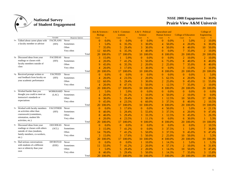

|     |                                    |                 |                         | Arts & Sciences -<br><b>Biology</b> |         | $A & S - Commun$<br><i>ications</i> |           | A & S - Political<br><b>Science</b> |               | <b>Agruculture and</b><br><b>Human Science</b> |               | <b>College of Education</b> |               | College of<br>Engineering |           |
|-----|------------------------------------|-----------------|-------------------------|-------------------------------------|---------|-------------------------------------|-----------|-------------------------------------|---------------|------------------------------------------------|---------------|-----------------------------|---------------|---------------------------|-----------|
|     |                                    | Variable        | <b>Response Options</b> | Count                               | $\%$    | Count                               | $\%$      | Count                               | $\frac{9}{6}$ | Count                                          | $\frac{9}{6}$ | Count                       | $\frac{9}{6}$ | Count                     | %         |
|     | 10. Talked about career plans with | <b>FACPLANS</b> | Never                   | $\Omega$                            | $0.0\%$ | $\theta$                            | $0.0\%$   | $\Omega$                            | $0.0\%$       | $\overline{0}$                                 | $0.0\%$       |                             | 5.0%          | $\overline{2}$            | 10.0%     |
|     | a faculty member or advisor        | (SFI)           | Sometimes               |                                     | 5.0%    | 6                                   | 35.3%     | 3                                   | 30.0%         | 4                                              | 50.0%         | $\overline{4}$              | 20.0%         | 6                         | 30.0%     |
|     |                                    |                 | Often                   |                                     | 35.0%   | 5                                   | 29.4%     | 3                                   | 30.0%         | 4                                              | 50.0%         | 8                           | 40.0%         | 10                        | 50.0%     |
|     |                                    |                 | Very often              | 12                                  | 60.0%   | 6                                   | 35.3%     | 4                                   | 40.0%         | $\theta$                                       | 0.0%          |                             | 35.0%         | $\overline{2}$            | 10.0%     |
|     |                                    |                 | Total                   | 20                                  | 100.0%  | 17                                  | 100.0%    | 10                                  | 100.0%        | 8                                              | 100.0%        | 20                          | 100.0%        | 20                        | 00.0%     |
|     | 1p. Discussed ideas from your      | <b>FACIDEAS</b> | Never                   | 3                                   | 15.0%   |                                     | 5.9%      | $\Omega$                            | 0.0%          | $\theta$                                       | 0.0%          | $\overline{2}$              | 10.0%         | $\overline{2}$            | 10.0%     |
|     | readings or classes with           | (SFI)           | Sometimes               | 4                                   | 20.0%   |                                     | 41.2%     | 5                                   | 50.0%         | 6                                              | 75.0%         | 8                           | 40.0%         | 8                         | 40.0%     |
|     | faculty members outside of         |                 | Often                   | -9                                  | 45.0%   | 6                                   | 35.3%     | $\overline{2}$                      | 20.0%         | $\overline{2}$                                 | 25.0%         |                             | 35.0%         | 8                         | 40.0%     |
|     | class                              |                 | Very often              | $\overline{4}$                      | 20.0%   |                                     | 17.6%     | 3                                   | 30.0%         | $\overline{0}$                                 | 0.0%          | 3                           | 15.0%         | $\overline{2}$            | 10.0%     |
|     |                                    |                 | Total                   | 20                                  | 100.0%  | 17                                  | 100.0%    | 10                                  | 100.0%        | 8                                              | 100.0%        | 20                          | 100.0%        | 20                        | 100.0%    |
|     | 1q. Received prompt written or     | <b>FACFEED</b>  | Never                   | $\Omega$                            | 0.0%    | $\theta$                            | $0.0\%$   | $\Omega$                            | 0.0%          | $\theta$                                       | 0.0%          | $\Omega$                    | 0.0%          |                           | 5.0%      |
|     | oral feedback from faculty on      | (SFI)           | Sometimes               | $\overline{4}$                      | 20.0%   | 4                                   | 23.5%     | 2                                   | 20.0%         | 5                                              | 62.5%         | $\overline{4}$              | 20.0%         | 6                         | 30.0%     |
|     | your academic performance          |                 | Often                   | 12                                  | 60.0%   | 5                                   | 29.4%     | 3                                   | 30.0%         | $\overline{2}$                                 | 25.0%         | 9                           | 45.0%         | 11                        | 55.0%     |
|     |                                    |                 | Very often              | $\overline{4}$                      | 20.0%   | 8                                   | 47.1%     | 5                                   | 50.0%         |                                                | 12.5%         |                             | 35.0%         | $\overline{2}$            | 10.0%     |
|     |                                    |                 | Total                   | 20                                  | 100.0%  | 17                                  | 100.0%    | 10                                  | 100.0%        | 8                                              | 100.0%        | 20                          | 100.0%        | 20                        | 100.0%    |
| lr. | Worked harder than you             | <b>WORKHARD</b> | Never                   |                                     | 5.0%    |                                     | 5.9%      | $\Omega$                            | 0.0%          | 0                                              | 0.0%          | $\Omega$                    | 0.0%          | $\overline{0}$            | 0.0%      |
|     | thought you could to meet an       | (LAC)           | Sometimes               |                                     | 20.0%   |                                     | 41.2%     |                                     | 10.0%         | 4                                              | 50.0%         | $\mathfrak{D}$              | 10.0%         | $\overline{0}$            | 0.0%      |
|     | instructor's standards or          |                 | Often                   | 6                                   | 30.0%   | 5                                   | 29.4%     | 3                                   | 30.0%         |                                                | 12.5%         | 10                          | 50.0%         | 17                        | 89.5%     |
|     | expectations                       |                 | Very often              | 9                                   | 45.0%   | 4                                   | 23.5%     | 6                                   | 60.0%         | 3                                              | 37.5%         | 8                           | 40.0%         | $\overline{2}$            | 10.5%     |
|     |                                    |                 | Total                   | 20                                  | 100.0%  | 17                                  | 100.0%    | 10                                  | 100.0%        | 8                                              | 100.0%        | 20                          | 100.0%        | 19                        | 00.0%     |
| 1s. | Worked with faculty members        | <b>FACOTHER</b> | Never                   | $\Omega$                            | 0.0%    | 3                                   | 17.6%     | $\Omega$                            | 0.0%          | 4                                              | 50.0%         |                             | 5.0%          | $\overline{4}$            | 21.1%     |
|     | on activities other than           | (SFI)           | Sometimes               | 8                                   | 40.0%   | 5                                   | 29.4%     | 5                                   | 55.6%         | 3                                              | 37.5%         | 4                           | 20.0%         | 9                         | 47.4%     |
|     | coursework (committees,            |                 | Often                   | 8                                   | 40.0%   | 5                                   | 29.4%     | 3                                   | 33.3%         |                                                | 12.5%         | 9                           | 45.0%         | 5                         | 26.3%     |
|     | orientation, student life          |                 | Very often              | 4                                   | 20.0%   | 4                                   | 23.5%     |                                     | 11.1%         | $\overline{0}$                                 | 0.0%          | 6                           | 30.0%         |                           | 5.3%      |
|     | activities, etc.)                  |                 | Total                   | 20                                  | 100.0%  | 17                                  | 100.0%    | 9                                   | 100.0%        | 8                                              | 100.0%        | 20                          | 100.0%        | 19                        | 00.0%     |
|     | Discussed ideas from your          | <b>OOCIDEAS</b> | Never                   | $\bf{0}$                            | 0.0%    | $\overline{0}$                      | 0.0%      | $\overline{0}$                      | 0.0%          | $\theta$                                       | 0.0%          | $\theta$                    | 0.0%          | $\overline{2}$            | 10.5%     |
|     | readings or classes with others    | (ACL)           | Sometimes               |                                     | 15.0%   |                                     | 41.2%     | $\Omega$                            | 0.0%          | 3                                              | 37.5%         |                             | 5.0%          | $\overline{7}$            | 36.8%     |
|     | outside of class (students,        |                 | Often                   | 14                                  | 70.0%   |                                     | 41.2%     | 5                                   | 50.0%         | 3                                              | 37.5%         | 9                           | 45.0%         | 9                         | 47.4%     |
|     | family members, co-workers,        |                 | Very often              |                                     | 15.0%   | 3                                   | 17.6%     | 5                                   | 50.0%         | $\overline{2}$                                 | 25.0%         | <b>10</b>                   | 50.0%         |                           | 5.3%      |
|     | $etc.$ )                           |                 | Total                   | 20                                  | 100.0%  | 17                                  | 100.0%    | 10                                  | 100.0%        | 8                                              | 100.0%        | 20                          | 100.0%        | 19                        | 100.0%    |
|     | 1u. Had serious conversations      | <b>DIVRSTUD</b> | Never                   | $\Omega$                            | 0.0%    | $\theta$                            | $0.0\%$   |                                     | 10.0%         |                                                | 14.3%         |                             | 5.0%          |                           | 5.3%      |
|     | with students of a different       | (EEE)           | Sometimes               | 11                                  | 55.0%   | 7                                   | 41.2%     | 2                                   | 20.0%         | 4                                              | 57.1%         | $\overline{2}$              | 10.0%         | 6                         | 31.6%     |
|     | race or ethnicity than your        |                 | Often                   |                                     | 5.0%    | 5                                   | 29.4%     | $\overline{2}$                      | 20.0%         |                                                | 14.3%         | 10                          | 50.0%         | 9                         | 47.4%     |
|     | own                                |                 | Very often              | 8                                   | 40.0%   | 5                                   | 29.4%     | $\overline{\mathcal{L}}$            | 50.0%         |                                                | 14.3%         |                             | 35.0%         | 3                         | 15.8%     |
|     |                                    |                 | Total                   | 20                                  | 100.0%  | 17                                  | $100.0\%$ | 10                                  | 100.0%        |                                                | 7 100.0%      | 20                          | 100.0%        |                           | 19 100.0% |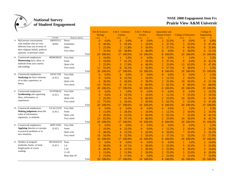

|                                                              |                 |                         |                          | Arts & Sciences -<br><b>Biology</b> | A & S - Commun-<br>ications |           | A & S - Political<br><b>Science</b> |        | <b>Agruculture and</b><br><b>Human Science</b> |          | <b>College of Education</b> |               | College of     | <b>Engineering</b> |
|--------------------------------------------------------------|-----------------|-------------------------|--------------------------|-------------------------------------|-----------------------------|-----------|-------------------------------------|--------|------------------------------------------------|----------|-----------------------------|---------------|----------------|--------------------|
|                                                              | Variable        | <b>Response Options</b> | Count                    | $\%$                                | Count                       | %         | Count                               | %      | Count                                          | $\%$     | Count                       | $\frac{9}{6}$ | Count          | $\%$               |
| 1v. Had serious conversations                                | DIFFSTU2        | Never                   | $\Omega$                 | 0.0%                                | $\theta$                    | $0.0\%$   | $\Omega$                            | 0.0%   | $\overline{2}$                                 | 25.0%    | $\theta$                    | 0.0%          | $\overline{0}$ | 0.0%               |
| with students who are very<br>different from you in terms of | (EEE)           | Sometimes               | 8                        | 40.0%                               | 5                           | 29.4%     |                                     | 10.0%  | 3                                              | 37.5%    | 5                           | 25.0%         | 9              | 47.4%              |
| their religious beliefs, political                           |                 | Often                   | 5                        | 25.0%                               | $\overline{2}$              | 11.8%     | 5                                   | 50.0%  | 3                                              | 37.5%    | 9                           | 45.0%         | 6              | 31.6%              |
| opinions, or personal values                                 |                 | Very often              |                          | 35.0%                               | 10                          | 58.8%     | 4                                   | 40.0%  | $\boldsymbol{0}$                               | 0.0%     | 6                           | 30.0%         | $\overline{4}$ | 21.1%              |
|                                                              |                 |                         | Total<br>20              | 100.0%                              | 17                          | 100.0%    | 10                                  | 100.0% | 8                                              | 100.0%   | 20                          | 100.0%        | 19             | 100.0%             |
| 2a. Coursework emphasizes:                                   | MEMORIZE        | Very little             | 2                        | 10.0%                               |                             | 5.9%      | $\overline{0}$                      | 0.0%   | $\theta$                                       | 0.0%     |                             | 5.0%          |                | 5.3%               |
| Memorizing facts, ideas, or<br>methods from your courses     |                 | Some                    | $\overline{2}$           | 10.0%                               | 7                           | 41.2%     |                                     | 10.0%  | 3                                              | 37.5%    | $\overline{0}$              | 0.0%          | 8              | 42.1%              |
| and readings                                                 |                 | Quite a bit             | 5                        | 25.0%                               | 3                           | 17.6%     | 4                                   | 40.0%  | $\overline{2}$                                 | 25.0%    | 13                          | 65.0%         | 9              | 47.4%              |
|                                                              |                 | Very much               | 11                       | 55.0%                               | 6                           | 35.3%     | 5                                   | 50.0%  | 3                                              | 37.5%    | 6                           | 30.0%         |                | 5.3%               |
|                                                              |                 |                         | 20<br>Total              | 100.0%                              | 17                          | 100.0%    | 10                                  | 100.0% | 8                                              | 00.0%    | 20                          | 100.0%        | 19             | 100.0%             |
| 2b. Coursework emphasizes:                                   | <b>ANALYZE</b>  | Very little             | $\Omega$                 | 0.0%                                | $\theta$                    | 0.0%      | $\theta$                            | 0.0%   | $\bf{0}$                                       | 0.0%     | $\overline{0}$              | 0.0%          |                | 5.3%               |
| Analyzing the basic elements                                 | (LAC)           | Some                    | $\sqrt{ }$               | 0.0%                                | 4                           | 23.5%     |                                     | 10.0%  |                                                | 12.5%    | $\mathfrak{D}$              | 10.0%         |                | 5.3%               |
| of an idea, experience, or<br>theory                         |                 | Quite a bit             | 6                        | 30.0%                               | 5                           | 29.4%     | 3                                   | 30.0%  | $\overline{2}$                                 | 25.0%    | 10                          | 50.0%         | $\overline{4}$ | 21.1%              |
|                                                              |                 | Very much               | 14                       | 70.0%                               | 8                           | 47.1%     | 6                                   | 60.0%  | 5                                              | 62.5%    | 8                           | 40.0%         | 13             | 68.4%              |
|                                                              |                 |                         | 20<br>Total              | 100.0%                              | 17                          | 100.0%    | 10                                  | 100.0% | 8                                              | 100.0%   | 20                          | 100.0%        | 19             | 100.0%             |
| 2c. Coursework emphasizes:                                   | <b>SYNTHESZ</b> | Very little             | $\theta$                 | 0.0%                                |                             | 5.9%      | $\Omega$                            | 0.0%   | $\theta$                                       | 0.0%     | $\Omega$                    | 0.0%          | $\overline{2}$ | 10.5%              |
| <b>Synthesizing and organizing</b>                           | (LAC)           | Some                    | $\theta$                 | 0.0%                                | 4                           | 23.5%     |                                     | 10.0%  |                                                | 12.5%    | 5                           | 25.0%         | $\overline{2}$ | 10.5%              |
| ideas, information, or<br>experiences                        |                 | Quite a bit             | 5                        | 25.0%                               | 7                           | 41.2%     | 6                                   | 60.0%  | $\overline{2}$                                 | 25.0%    | 10                          | 50.0%         | 6              | 31.6%              |
|                                                              |                 | Very much               | 15                       | 75.0%                               | 5                           | 29.4%     | 3                                   | 30.0%  | 5                                              | 62.5%    | 5                           | 25.0%         | 9              | 47.4%              |
|                                                              |                 | Total                   | 20                       | 100.0%                              | 17                          | 100.0%    | 10                                  | 100.0% | 8                                              | 100.0%   | 20                          | 100.0%        | 19             | 100.0%             |
| 2d. Coursework emphasizes:                                   | <b>EVALUATE</b> | Very little             | $\Omega$                 | 0.0%                                | $\theta$                    | 0.0%      | $\Omega$                            | 0.0%   | $\theta$                                       | 0.0%     |                             | 5.0%          |                | 5.3%               |
| <b>Making judgments about the</b>                            | (LAC)           | Some                    |                          | 15.0%                               | 5                           | 29.4%     |                                     | 10.0%  |                                                | 12.5%    | $\overline{2}$              | 10.0%         | $\overline{2}$ | 10.5%              |
| value of information,                                        |                 | Ouite a bit             | $\overline{\mathcal{A}}$ | 20.0%                               | 4                           | 23.5%     | $\overline{\mathcal{L}}$            | 50.0%  | 5                                              | 62.5%    |                             | 35.0%         | 8              | 42.1%              |
| arguments, or methods                                        |                 | Very much               | 13                       | 65.0%                               | 8                           | 47.1%     | 4                                   | 40.0%  | $\overline{2}$                                 | 25.0%    | 10                          | 50.0%         | 8              | 42.1%              |
|                                                              |                 | Total                   | 20                       | 100.0%                              | 17                          | 100.0%    | 10                                  | 100.0% | 8                                              | 00.0%    | 20                          | 100.0%        | 19             | 100.0%             |
| 2e. Coursework emphasizes:                                   | <b>APPLYING</b> | Very little             | $\Omega$                 | 0.0%                                | $\Omega$                    | 0.0%      | $\Omega$                            | 0.0%   | $\theta$                                       | 0.0%     | $\Omega$                    | 0.0%          |                | 5.3%               |
| Applying theories or concepts                                | (LAC)           | Some                    |                          | 10.0%                               | 4                           | 23.5%     | 0                                   | 0.0%   |                                                | 12.5%    | $\overline{2}$              | 10.0%         | $\overline{2}$ | 10.5%              |
| to practical problems or in<br>new situations                |                 | Quite a bit             |                          | 40.0%                               | 4                           | 23.5%     | 5                                   | 50.0%  | $\overline{4}$                                 | 50.0%    |                             | 35.0%         | 5              | 26.3%              |
|                                                              |                 | Very much               | 10                       | 50.0%                               | 9                           | 52.9%     | 5                                   | 50.0%  | 3                                              | 37.5%    | 11                          | 55.0%         | 11             | 57.9%              |
|                                                              |                 |                         | Total<br>20              | 100.0%                              | 17                          | 100.0%    | 10                                  | 100.0% | 8                                              | 100.0%   | 20                          | 100.0%        | 19             | 100.0%             |
| 3a. Number of assigned                                       | <b>READASGN</b> | None                    | $\overline{0}$           | 0.0%                                | $\theta$                    | 0.0%      | $\theta$                            | 0.0%   | $\theta$                                       | 0.0%     |                             | 5.0%          | $\overline{2}$ | 10.0%              |
| textbooks, books, or book-                                   | (LAC)           | $1 - 4$                 | 6                        | 30.0%                               | 8                           | 47.1%     | 3                                   | 30.0%  | $\overline{2}$                                 | 25.0%    | 5                           | 25.0%         | 5              | 25.0%              |
| length packs of course                                       |                 | $5 - 10$                | 8                        | 40.0%                               | $\overline{4}$              | 23.5%     | 5                                   | 50.0%  | $\overline{2}$                                 | 25.0%    | 6                           | 30.0%         | $\overline{2}$ | 10.0%              |
| readings                                                     |                 | $11-20$                 |                          | 15.0%                               | 2                           | 11.8%     | 2                                   | 20.0%  | $\overline{2}$                                 | 25.0%    | 5                           | 25.0%         | 4              | 20.0%              |
|                                                              |                 | More than 20            |                          | 15.0%                               | 3                           | 17.6%     | $\Omega$                            | 0.0%   | $\overline{2}$                                 | 25.0%    | 3                           | 15.0%         | $\overline{7}$ | 35.0%              |
|                                                              |                 |                         | 20<br>Total              | 100.0%                              |                             | 17 100.0% | 10                                  | 100.0% |                                                | 8 100.0% |                             | 20 100.0%     |                | 20 100.0%          |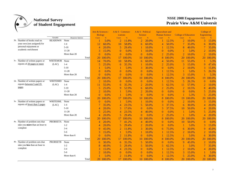

|                                                      |                 |                  |                | Arts & Sciences -<br><b>Biology</b> | A & S - Commun-<br>ications |               | A & S - Political<br><b>Science</b> |               | <b>Agruculture and</b><br><b>Human Science</b> |               | <b>College of Education</b> |           | College of<br><b>Engineering</b> |           |
|------------------------------------------------------|-----------------|------------------|----------------|-------------------------------------|-----------------------------|---------------|-------------------------------------|---------------|------------------------------------------------|---------------|-----------------------------|-----------|----------------------------------|-----------|
|                                                      | Variable        | Response Options | Count          | $\%$                                | Count                       | $\frac{9}{6}$ | Count                               | $\frac{9}{6}$ | Count                                          | $\frac{9}{6}$ | Count                       |           | Count                            | $\%$      |
| 3b. Number of books read on                          | <b>READOWN</b>  | None             |                | 5.0%                                | $\overline{2}$              | 11.8%         | $\overline{2}$                      | 20.0%         |                                                | 12.5%         | $\overline{2}$              | 10.0%     | 3                                | 15.0%     |
| your own (not assigned) for<br>personal enjoyment or |                 | $1 - 4$          | 12             | 60.0%                               | 10                          | 58.8%         | 6                                   | 60.0%         | $\overline{4}$                                 | 50.0%         |                             | 35.0%     | 6                                | 30.0%     |
| academic enrichment                                  |                 | $5 - 10$         |                | 20.0%                               | 5                           | 29.4%         |                                     | 10.0%         |                                                | 12.5%         | 8                           | 40.0%     | 7                                | 35.0%     |
|                                                      |                 | 11-20            |                | 15.0%                               | $\theta$                    | 0.0%          |                                     | 10.0%         | $\theta$                                       | 0.0%          |                             | 5.0%      | $\overline{2}$                   | 10.0%     |
|                                                      |                 | More than 20     | $\Omega$       | 0.0%                                | $\theta$                    | 0.0%          | $\Omega$                            | 0.0%          | $\overline{2}$                                 | 25.0%         | $\overline{2}$              | 10.0%     | $\overline{2}$                   | 10.0%     |
|                                                      |                 | Total            | 20             | 100.0%                              | 17                          | 100.0%        | 10                                  | 100.0%        | 8                                              | 100.0%        | 20                          | 100.0%    | 20                               | 100.0%    |
| 3c. Number of written papers or                      | <b>WRITEMOR</b> | None             | 14             | 70.0%                               | 10                          | 58.8%         | 6                                   | 60.0%         | 4                                              | 50.0%         | 11                          | 55.0%     |                                  | 5.3%      |
| reports of 20 pages or more                          | (LAC)           | $1 - 4$          | 5              | 25.0%                               | 6                           | 35.3%         |                                     | 10.0%         | $\overline{2}$                                 | 25.0%         | 3                           | 15.0%     | 9                                | 47.4%     |
|                                                      |                 | $5 - 10$         |                | 5.0%                                |                             | 5.9%          | 3                                   | 30.0%         | $\theta$                                       | 0.0%          | $\overline{2}$              | 10.0%     | 3                                | 15.8%     |
|                                                      |                 | $11 - 20$        | $\Omega$       | 0.0%                                | $\Omega$                    | 0.0%          | $\Omega$                            | 0.0%          |                                                | 12.5%         |                             | 5.0%      | 5                                | 26.3%     |
|                                                      |                 | More than 20     | $\Omega$       | 0.0%                                | $\theta$                    | 0.0%          | $\Omega$                            | 0.0%          |                                                | 12.5%         | 3                           | 15.0%     |                                  | 5.3%      |
|                                                      |                 | Total            | 20             | 100.0%                              | 17                          | 100.0%        | 10                                  | 100.0%        | 8                                              | 100.0%        | 20                          | 100.0%    | 19                               | 100.0%    |
| 3d. Number of written papers or                      | <b>WRITEMID</b> | None             |                | 10.0%                               | $\Omega$                    | 0.0%          | $\Omega$                            | $0.0\%$       |                                                | 12.5%         | 5                           | 26.3%     | $\theta$                         | 0.0%      |
| reports between 5 and 19                             | (LAC)           | $1 - 4$          | 11             | 55.0%                               | 6                           | 35.3%         | 2                                   | 20.0%         | 5                                              | 62.5%         | 11                          | 57.9%     | $\overline{2}$                   | 10.0%     |
| pages                                                |                 | $5 - 10$         |                | 25.0%                               | 9                           | 52.9%         | 6                                   | 60.0%         | $\overline{2}$                                 | 25.0%         | $\mathcal{D}_{\mathcal{L}}$ | 10.5%     | 8                                | 40.0%     |
|                                                      |                 | $11 - 20$        |                | 10.0%                               |                             | 5.9%          | $\overline{2}$                      | 20.0%         | $\theta$                                       | 0.0%          | $\Omega$                    | 0.0%      | 5                                | 25.0%     |
|                                                      |                 | More than 20     | $\theta$       | 0.0%                                |                             | 5.9%          | $\overline{0}$                      | 0.0%          | $\overline{0}$                                 | 0.0%          |                             | 5.3%      | 5                                | 25.0%     |
|                                                      |                 | Total            | 20             | 100.0%                              | 17                          | 100.0%        | 10                                  | 100.0%        | 8                                              | 100.0%        | 19                          | 100.0%    | 20                               | 100.0%    |
| 3e. Number of written papers or                      | <b>WRITESML</b> | None             | $\Omega$       | 0.0%                                |                             | 5.9%          |                                     | 10.0%         | $\theta$                                       | 0.0%          | $\overline{2}$              | 10.0%     | 3                                | 15.0%     |
| reports of fewer than 5 pages                        | (LAC)           | $1 - 4$          |                | 35.0%                               | 4                           | 23.5%         | 5                                   | 50.0%         | 3                                              | 37.5%         | 6                           | 30.0%     | $\overline{4}$                   | 20.0%     |
|                                                      |                 | $5 - 10$         | $\overline{4}$ | 20.0%                               | 3                           | 17.6%         | $\Omega$                            | 0.0%          | 3                                              | 37.5%         | 10                          | 50.0%     | $\overline{4}$                   | 20.0%     |
|                                                      |                 | $11 - 20$        |                | 25.0%                               | $\overline{4}$              | 23.5%         | 4                                   | 40.0%         | $\overline{0}$                                 | 0.0%          |                             | 5.0%      | 5                                | 25.0%     |
|                                                      |                 | More than 20     | 4              | 20.0%                               | 5                           | 29.4%         | $\Omega$                            | 0.0%          | $\overline{2}$                                 | 25.0%         |                             | 5.0%      | $\overline{4}$                   | 20.0%     |
|                                                      |                 | Total            | 20             | 100.0%                              | 17                          | 100.0%        | 10                                  | 100.0%        | 8                                              | 00.0%         | 20                          | 100.0%    | 20                               | 00.0%     |
| 4a. Number of problem sets that                      | <b>PROBSETA</b> | None             | 4              | 20.0%                               | 7                           | 41.2%         | 4                                   | 40.0%         | $\Omega$                                       | 0.0%          | 10                          | 50.0%     | $\overline{0}$                   | 0.0%      |
| take you more than an hour to                        |                 | $1 - 2$          | 4              | 20.0%                               | 5                           | 29.4%         | 2                                   | 20.0%         | $\theta$                                       | 0.0%          |                             | 5.0%      | 3                                | 15.0%     |
| complete                                             |                 | $3 - 4$          | 9              | 45.0%                               | $\overline{2}$              | 11.8%         | 3                                   | 30.0%         | 6                                              | 75.0%         | 6                           | 30.0%     | 9                                | 45.0%     |
|                                                      |                 | $5 - 6$          |                | 15.0%                               |                             | 5.9%          |                                     | 10.0%         |                                                | 12.5%         | 2                           | 10.0%     | $\overline{2}$                   | 10.0%     |
|                                                      |                 | More than 6      | $\Omega$       | 0.0%                                | $\overline{2}$              | 11.8%         | $\Omega$                            | 0.0%          |                                                | 12.5%         |                             | 5.0%      | 6                                | 30.0%     |
|                                                      |                 | Total            | 20             | 100.0%                              | 17                          | 100.0%        | 10                                  | 100.0%        | 8                                              | 100.0%        | 20                          | 100.0%    | 20                               | 100.0%    |
| 4b. Number of problem sets that                      | <b>PROBSETB</b> | None             | 6              | 30.0%                               | 6                           | 35.3%         | 5                                   | 50.0%         | $\Omega$                                       | 0.0%          | 9                           | 45.0%     | $\overline{2}$                   | 10.0%     |
| take you less than an hour to                        |                 | $1 - 2$          |                | 40.0%                               | 5                           | 29.4%         | 5                                   | 50.0%         | 5                                              | 62.5%         |                             | 5.0%      | $\overline{7}$                   | 35.0%     |
| complete                                             |                 | $3 - 4$          |                | 15.0%                               | 4                           | 23.5%         | $\mathbf{0}$                        | 0.0%          |                                                | 12.5%         | 2                           | 10.0%     | $\overline{4}$                   | 20.0%     |
|                                                      |                 | $5 - 6$          | 2              | 10.0%                               | $\theta$                    | 0.0%          | $\overline{0}$                      | 0.0%          |                                                | 12.5%         | 3                           | 15.0%     |                                  | 5.0%      |
|                                                      |                 | More than 6      |                | 5.0%                                | $\overline{\mathcal{L}}$    | 11.8%         | $\Omega$                            | 0.0%          |                                                | 12.5%         | 5                           | 25.0%     | 6                                | 30.0%     |
|                                                      |                 | Total            | 20             | 100.0%                              | 17                          | 100.0%        | 10                                  | 100.0%        |                                                | 8 100.0%      |                             | 20 100.0% |                                  | 20 100.0% |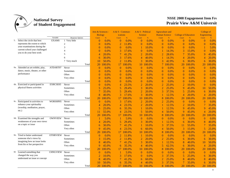

|    |                                    |                 |                  |       | Arts & Sciences -<br><b>Biology</b> |               | A & S - Commun-<br>ications |           | A & S - Political<br><b>Science</b> |           | <b>Agruculture and</b><br><b>Human Science</b> |          | <b>College of Education</b> |           | College of<br><b>Engineering</b> |           |
|----|------------------------------------|-----------------|------------------|-------|-------------------------------------|---------------|-----------------------------|-----------|-------------------------------------|-----------|------------------------------------------------|----------|-----------------------------|-----------|----------------------------------|-----------|
|    |                                    | Variable        | Response Options |       | Count                               | $\frac{9}{6}$ | Count                       | %         | Count                               | %         | Count                                          | $\%$     | Count                       | $\%$      | Count                            | %         |
| 5. | Select the circle that best        | <b>EXAMS</b>    | 1 Very little    |       | $\theta$                            | 0.0%          | $\mathbf{0}$                | 0.0%      | $\theta$                            | 0.0%      | $\boldsymbol{0}$                               | 0.0%     | $\Omega$                    | 0.0%      | $\mathbf{0}$                     | 0.0%      |
|    | represents the extent to which     |                 | $\overline{c}$   |       | $\Omega$                            | 0.0%          | $\overline{2}$              | 11.8%     | $\Omega$                            | 0.0%      | $\theta$                                       | 0.0%     | $\theta$                    | 0.0%      | $\overline{0}$                   | 0.0%      |
|    | your examinations during the       |                 | 3                |       | $\Omega$                            | 0.0%          | $\overline{0}$              | 0.0%      |                                     | 10.0%     | $\theta$                                       | 0.0%     | $\Omega$                    | 0.0%      | 1                                | 5.0%      |
|    | current school year challenged     |                 | $\overline{4}$   |       | $\Omega$                            | 0.0%          | 3                           | 17.6%     | $\Omega$                            | 0.0%      |                                                | 14.3%    | 3                           | 15.0%     | $\overline{0}$                   | 0.0%      |
|    | you to do your best work           |                 | 5                |       | 4                                   | 20.0%         | 7                           | 41.2%     | $\overline{2}$                      | 20.0%     | $\overline{2}$                                 | 28.6%    |                             | 35.0%     | 9                                | 45.0%     |
|    |                                    |                 | 6                |       | 6                                   | 30.0%         | 3                           | 17.6%     | 4                                   | 40.0%     | $\mathbf{1}$                                   | 14.3%    | 4                           | 20.0%     | 4                                | 20.0%     |
|    |                                    |                 | 7 Very much      |       | 10                                  | 50.0%         | $\overline{2}$              | 11.8%     | 3                                   | 30.0%     | 3                                              | 42.9%    | 6                           | 30.0%     | 6                                | 30.0%     |
|    |                                    |                 |                  | Total | 20                                  | 100.0%        | 17                          | 100.0%    | 10                                  | 100.0%    | $\tau$                                         | 100.0%   | 20                          | 100.0%    | 20                               | 100.0%    |
|    | 6a. Attended an art exhibit, play, | ATDART07        | Never            |       | $\Omega$                            | 0.0%          | $\mathbf{0}$                | 0.0%      | $\theta$                            | 0.0%      | $\theta$                                       | 0.0%     | $\theta$                    | 0.0%      | $\overline{0}$                   | 0.0%      |
|    | dance, music, theater, or other    |                 | Sometimes        |       | $\Omega$                            | 0.0%          | $\theta$                    | 0.0%      | $\Omega$                            | 0.0%      | $\theta$                                       | 0.0%     | $\Omega$                    | 0.0%      | $\overline{0}$                   | 0.0%      |
|    | performance                        |                 | Often            |       | $\Omega$                            | 0.0%          | $\theta$                    | 0.0%      | $\Omega$                            | 0.0%      | $\theta$                                       | 0.0%     | $\Omega$                    | 0.0%      | $\theta$                         | 0.0%      |
|    |                                    |                 | Very often       |       | $\overline{0}$                      | 0.0%          | $\overline{0}$              | 0.0%      | $\theta$                            | 0.0%      | $\theta$                                       | 0.0%     | $\theta$                    | 0.0%      | $\overline{0}$                   | 0.0%      |
|    |                                    |                 |                  | Total | $\theta$                            | 0.0%          | $\theta$                    | 0.0%      | $\theta$                            | 0.0%      | $\mathbf{0}$                                   | 0.0%     | $\theta$                    | 0.0%      | $\overline{0}$                   | 0.0%      |
|    | 6b. Exercised or participated in   | EXRCSE05        | Never            |       | $\theta$                            | 0.0%          | $\overline{4}$              | 23.5%     | $\overline{2}$                      | 20.0%     | $\overline{2}$                                 | 25.0%    | $\overline{2}$              | 10.0%     | $\overline{0}$                   | 0.0%      |
|    | physical fitness activities        |                 | Sometimes        |       | 5                                   | 25.0%         | 5                           | 29.4%     | 3                                   | 30.0%     | $\overline{2}$                                 | 25.0%    | 9                           | 45.0%     | 10                               | 50.0%     |
|    |                                    |                 | Often            |       |                                     | 35.0%         | 5                           | 29.4%     | $\overline{2}$                      | 20.0%     | 3                                              | 37.5%    | 5                           | 25.0%     | 6                                | 30.0%     |
|    |                                    |                 | Very often       |       | 8                                   | 40.0%         | 3                           | 17.6%     | 3                                   | 30.0%     | $\mathbf{1}$                                   | 12.5%    | 4                           | 20.0%     | $\overline{4}$                   | 20.0%     |
|    |                                    |                 |                  | Total | 20                                  | 100.0%        | 17                          | 100.0%    | 10                                  | 100.0%    | 8                                              | 100.0%   | 20                          | 100.0%    | 20                               | 100.0%    |
|    | 6c. Participated in activities to  | WORSHP05        | Never            |       | $\Omega$                            | 0.0%          | 3                           | 17.6%     | $\overline{2}$                      | 20.0%     | $\overline{2}$                                 | 25.0%    | $\Omega$                    | 0.0%      | $\overline{0}$                   | 0.0%      |
|    | enhance your spirituality          |                 | Sometimes        |       | 4                                   | 20.0%         | 4                           | 23.5%     | $\overline{2}$                      | 20.0%     |                                                | 12.5%    | $\overline{2}$              | 10.0%     | 7                                | 35.0%     |
|    | (worship, meditation, prayer,      |                 | Often            |       | 5                                   | 25.0%         | 6                           | 35.3%     |                                     | 10.0%     |                                                | 12.5%    | 9                           | 45.0%     | 9                                | 45.0%     |
|    | etc.)                              |                 | Very often       |       | 11                                  | 55.0%         | 4                           | 23.5%     | 5                                   | 50.0%     | 4                                              | 50.0%    | 9                           | 45.0%     | $\overline{4}$                   | 20.0%     |
|    |                                    |                 |                  | Total | 20                                  | 100.0%        | 17                          | 100.0%    | 10                                  | 100.0%    | 8                                              | 100.0%   | 20                          | 100.0%    | 20                               | 100.0%    |
|    | 6d. Examined the strengths and     | <b>OWNVIEW</b>  | Never            |       |                                     | 5.0%          |                             | 5.9%      | $\Omega$                            | 0.0%      | $\theta$                                       | 0.0%     | $\Omega$                    | 0.0%      | $\theta$                         | 0.0%      |
|    | weaknesses of your own views       |                 | Sometimes        |       | 4                                   | 20.0%         | 5                           | 29.4%     | 3                                   | 30.0%     |                                                | 12.5%    | 6                           | 30.0%     | 8                                | 40.0%     |
|    | on a topic or issue                |                 | Often            |       | 6                                   | 30.0%         | 7                           | 41.2%     |                                     | 10.0%     | 3                                              | 37.5%    | 11                          | 55.0%     | 7                                | 35.0%     |
|    |                                    |                 | Very often       |       | $\mathbf Q$                         | 45.0%         | 4                           | 23.5%     | 6                                   | 60.0%     | 4                                              | 50.0%    | 3                           | 15.0%     | 5                                | 25.0%     |
|    |                                    |                 |                  | Total | 20                                  | 100.0%        | 17                          | 100.0%    | 10                                  | 100.0%    | 8                                              | 100.0%   | 20                          | 100.0%    | 20                               | 100.0%    |
|    | 6e. Tried to better understand     | <b>OTHRVIEW</b> | Never            |       | $\Omega$                            | 0.0%          | 2                           | 11.8%     |                                     | 10.0%     | $\theta$                                       | 0.0%     | $\Omega$                    | 0.0%      | $\theta$                         | 0.0%      |
|    | someone else's views by            |                 | Sometimes        |       |                                     | 15.0%         | $\overline{2}$              | 11.8%     | 2                                   | 20.0%     | 2                                              | 25.0%    | 6                           | 30.0%     | 6                                | 30.0%     |
|    | imagining how an issue looks       |                 | Often            |       | 8                                   | 40.0%         | 7                           | 41.2%     | 3                                   | 30.0%     |                                                | 12.5%    | 8                           | 40.0%     | 10                               | 50.0%     |
|    | from his or her perspective        |                 | Very often       |       | 9                                   | 45.0%         | 6                           | 35.3%     | $\overline{4}$                      | 40.0%     | 5                                              | 62.5%    | 6                           | 30.0%     | $\overline{4}$                   | 20.0%     |
|    |                                    |                 |                  | Total | 20                                  | 100.0%        | 17                          | 100.0%    | 10                                  | 100.0%    | 8                                              | 100.0%   | 20                          | 100.0%    | 20                               | 100.0%    |
|    | 6f. Learned something that         | <b>CHNGVIEW</b> | Never            |       | $\Omega$                            | 0.0%          |                             | 5.9%      | $\theta$                            | 0.0%      | $\theta$                                       | 0.0%     | $\Omega$                    | 0.0%      | $\overline{0}$                   | 0.0%      |
|    | changed the way you                |                 | Sometimes        |       | 2                                   | 10.0%         | 3                           | 17.6%     | $\Omega$                            | $0.0\%$   | 3                                              | 37.5%    | 5                           | 25.0%     | 6                                | 30.0%     |
|    | understand an issue or concept     |                 | Often            |       | 8                                   | 40.0%         | 7                           | 41.2%     | 6                                   | 60.0%     | 2                                              | 25.0%    |                             | 40.0%     | 8                                | 40.0%     |
|    |                                    |                 | Very often       |       | 10                                  | 50.0%         | 6                           | 35.3%     | $\overline{\mathcal{A}}$            | 40.0%     | 3                                              | 37.5%    |                             | 35.0%     | 6                                | 30.0%     |
|    |                                    |                 |                  | Total | 20                                  | 100.0%        |                             | 17 100.0% |                                     | 10 100.0% |                                                | 8 100.0% |                             | 20 100.0% |                                  | 20 100.0% |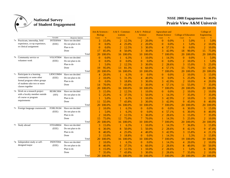

|                                  |                 |                   |       | Arts & Sciences -<br><b>Biology</b> |        | A & S - Commun-<br><b>ications</b> |               | A & S - Political<br><b>Science</b> |               | <b>Agruculture and</b><br><b>Human Science</b> |          | <b>College of Education</b> |               | College of<br>Engineering |        |
|----------------------------------|-----------------|-------------------|-------|-------------------------------------|--------|------------------------------------|---------------|-------------------------------------|---------------|------------------------------------------------|----------|-----------------------------|---------------|---------------------------|--------|
|                                  | Variable        | Response Options  |       | Count                               | $\%$   | Count                              | $\frac{9}{6}$ | Count                               | $\frac{9}{6}$ | Count                                          | $\%$     | Count                       | $\frac{9}{6}$ | Count                     | %      |
| 7a. Practicum, internship, field | <b>INTERN04</b> | Have not decided  |       | 3                                   | 15.0%  | $\overline{2}$                     | 12.5%         | $\overline{2}$                      | 20.0%         | $\theta$                                       | $0.0\%$  |                             | 5.0%          |                           | 5.0%   |
| experience, co-op experience,    | (EEE)           | Do not plan to do |       | $\theta$                            | 0.0%   | 4                                  | 25.0%         | $\overline{2}$                      | 20.0%         | $\theta$                                       | 0.0%     |                             | 5.0%          | $\overline{2}$            | 10.0%  |
| or clinical assignment           |                 | Plan to do        |       | $\Omega$                            | 0.0%   | $\overline{2}$                     | 12.5%         | 3                                   | 30.0%         | $\overline{4}$                                 | 57.1%    | $\Omega$                    | 0.0%          | $\overline{2}$            | 10.0%  |
|                                  |                 | Done              |       | 17                                  | 85.0%  | 8                                  | 50.0%         | 3                                   | 30.0%         | 3                                              | 42.9%    | 18                          | 90.0%         | 15                        | 75.0%  |
|                                  |                 |                   | Total | 20                                  | 100.0% | 16                                 | 100.0%        | 10                                  | 100.0%        | $\overline{7}$                                 | 100.0%   | 20                          | 100.0%        | 20                        | 100.0% |
| 7b. Community service or         | VOLNTR04        | Have not decided  |       | $\theta$                            | 0.0%   |                                    | 6.3%          |                                     | 10.0%         |                                                | 14.3%    | $\Omega$                    | 0.0%          |                           | 5.0%   |
| volunteer work                   | (EEE)           | Do not plan to do |       | $\Omega$                            | 0.0%   | $\Omega$                           | 0.0%          | 0                                   | 0.0%          | $\Omega$                                       | 0.0%     | $\overline{2}$              | 10.0%         |                           | 5.0%   |
|                                  |                 | Plan to do        |       |                                     | 5.0%   | $\overline{2}$                     | 12.5%         | 3                                   | 30.0%         | $\overline{2}$                                 | 28.6%    | 3                           | 15.0%         | 5                         | 25.0%  |
|                                  |                 | Done              |       | 19                                  | 95.0%  | 13                                 | 81.3%         | 6                                   | 60.0%         | $\overline{4}$                                 | 57.1%    | 15                          | 75.0%         | 13                        | 65.0%  |
|                                  |                 |                   | Total | 20                                  | 100.0% |                                    | 16 100.0%     | 10                                  | 100.0%        |                                                | 100.0%   | 20                          | 100.0%        | 20                        | 100.0% |
| 7c. Participate in a learning    | LRNCOM04        | Have not decided  |       | 4                                   | 20.0%  |                                    | 6.3%          | $\Omega$                            | 0.0%          | $\Omega$                                       | 0.0%     | $\overline{2}$              | 10.0%         | 3                         | 15.0%  |
| community or some other          | (EEE)           | Do not plan to do |       | $\overline{2}$                      | 10.0%  | 5                                  | 31.3%         | 4                                   | 40.0%         | $\Omega$                                       | 0.0%     | 5                           | 25.0%         | 6                         | 30.0%  |
| formal program where groups      |                 | Plan to do        |       | $\theta$                            | 0.0%   | 3                                  | 18.8%         | 3                                   | 30.0%         | 3                                              | 42.9%    | $\overline{\mathcal{L}}$    | 10.0%         | $\overline{4}$            | 20.0%  |
| of students take two or more     |                 | Done              |       | 14                                  | 70.0%  |                                    | 43.8%         | 3                                   | 30.0%         | 4                                              | 57.1%    | 11                          | 55.0%         |                           | 35.0%  |
| classes together                 |                 |                   | Total | 20                                  | 100.0% | 16                                 | 100.0%        | 10                                  | 100.0%        | 7                                              | 100.0%   | 20                          | 100.0%        | 20                        | 100.0% |
| 7d. Work on a research project   | RESRCH04        | Have not decided  |       |                                     | 15.0%  | $\overline{2}$                     | 12.5%         |                                     | 10.0%         | $\Omega$                                       | 0.0%     | $\overline{2}$              | 10.0%         | $\overline{2}$            | 10.0%  |
| with a faculty member outside    | (SFI)           | Do not plan to do |       | 5                                   | 25.0%  | 6                                  | 37.5%         | 5                                   | 50.0%         |                                                | 14.3%    |                             | 35.0%         | 7                         | 35.0%  |
| of course or program             |                 | Plan to do        |       |                                     | 5.0%   |                                    | 6.3%          |                                     | 10.0%         | 3                                              | 42.9%    | $\mathfrak{D}$              | 10.0%         | 3                         | 15.0%  |
| requirements                     |                 | Done              |       | 11                                  | 55.0%  |                                    | 43.8%         | 3                                   | 30.0%         | 3                                              | 42.9%    | 9                           | 45.0%         | 8                         | 40.0%  |
|                                  |                 |                   | Total | 20                                  | 100.0% | 16                                 | 100.0%        | 10                                  | 100.0%        | 7                                              | 100.0%   | 20                          | 100.0%        | 20                        | 100.0% |
| 7e. Foreign language coursework  | FORLNG04        | Have not decided  |       |                                     | 10.0%  |                                    | 6.3%          | $\theta$                            | 0.0%          | $\theta$                                       | 0.0%     | 6                           | 30.0%         | 3                         | 15.0%  |
|                                  | (EEE)           | Do not plan to do |       |                                     | 5.0%   |                                    | 6.3%          | $\theta$                            | 0.0%          | 4                                              | 57.1%    | 6                           | 30.0%         | 8                         | 40.0%  |
|                                  |                 | Plan to do        |       | $\overline{2}$                      | 10.0%  | $\overline{2}$                     | 12.5%         | 3                                   | 30.0%         | $\overline{2}$                                 | 28.6%    | 3                           | 15.0%         | 7                         | 35.0%  |
|                                  |                 | Done              |       | 15                                  | 75.0%  | 12                                 | 75.0%         |                                     | 70.0%         |                                                | 14.3%    | 5                           | 25.0%         | $\overline{2}$            | 10.0%  |
|                                  |                 |                   | Total | 20                                  | 100.0% | 16                                 | 100.0%        | 10                                  | 100.0%        | $\tau$                                         | 100.0%   | 20                          | 100.0%        | 20                        | 100.0% |
| 7f. Study abroad                 | STDABR04        | Have not decided  |       |                                     | 15.0%  |                                    | 6.3%          |                                     | 10.0%         |                                                | 14.3%    | 7                           | 36.8%         | 3                         | 15.8%  |
|                                  | (EEE)           | Do not plan to do |       | 6                                   | 30.0%  | 8                                  | 50.0%         | 5                                   | 50.0%         | $\overline{2}$                                 | 28.6%    | 8                           | 42.1%         | 9                         | 47.4%  |
|                                  |                 | Plan to do        |       | 8                                   | 40.0%  | $\overline{4}$                     | 25.0%         | 4                                   | 40.0%         | 3                                              | 42.9%    | 3                           | 15.8%         | $\overline{4}$            | 21.1%  |
|                                  |                 | Done              |       |                                     | 15.0%  | 3                                  | 18.8%         | $\Omega$                            | 0.0%          |                                                | 14.3%    |                             | 5.3%          | 3                         | 15.8%  |
|                                  |                 |                   | Total | 20                                  | 100.0% | 16                                 | 100.0%        | 10                                  | 100.0%        | $7^{\circ}$                                    | 100.0%   | 19                          | 100.0%        | 19                        | 100.0% |
| 7g. Independent study or self-   | INDSTD04        | Have not decided  |       | 2                                   | 10.0%  |                                    | 6.3%          | $\overline{0}$                      | 0.0%          |                                                | 14.3%    | 4                           | 20.0%         | $\overline{2}$            | 10.0%  |
| designed major                   | (EEE)           | Do not plan to do |       | 8                                   | 40.0%  | 6                                  | 37.5%         | 6                                   | 60.0%         | $\overline{2}$                                 | 28.6%    | 8                           | 40.0%         | 10                        | 50.0%  |
|                                  |                 | Plan to do        |       | 3                                   | 15.0%  | $\overline{2}$                     | 12.5%         |                                     | 10.0%         | $\overline{2}$                                 | 28.6%    |                             | 5.0%          | 6                         | 30.0%  |
|                                  |                 | Done              |       |                                     | 35.0%  |                                    | 43.8%         | 3                                   | 30.0%         | $\overline{2}$                                 | 28.6%    |                             | 35.0%         | $\overline{2}$            | 10.0%  |
|                                  |                 |                   | Total | 20                                  | 100.0% |                                    | 16 100.0%     | 10                                  | 100.0%        |                                                | 7 100.0% |                             | 20 100.0%     | 20                        | 100.0% |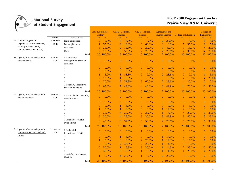

|                                                                   |                        |                                                       | Arts & Sciences -<br><b>Biology</b> |           | $A & S - Commun$<br>ications |               | A & S - Political<br><b>Science</b> |           | <b>Agruculture and</b><br><b>Human Science</b> |               | <b>College of Education</b> |               | College of<br>Engineering |           |
|-------------------------------------------------------------------|------------------------|-------------------------------------------------------|-------------------------------------|-----------|------------------------------|---------------|-------------------------------------|-----------|------------------------------------------------|---------------|-----------------------------|---------------|---------------------------|-----------|
|                                                                   | Variable               | Response Options                                      | Count                               | $\%$      | Count                        | $\frac{9}{6}$ | Count                               | $\%$      | Count                                          | $\frac{9}{6}$ | Count                       | $\frac{9}{6}$ | Count                     | $\%$      |
| 7h. Culminating senior                                            | SNRX04                 | Have not decided                                      | $\overline{2}$                      | 10.0%     | 3                            | 18.8%         | $\overline{0}$                      | 0.0%      | $\overline{2}$                                 | 28.6%         | 3                           | 15.0%         | 1                         | 5.0%      |
| experience (capstone course,<br>senior project or thesis,         | (EEE)                  | Do not plan to do                                     | 11                                  | 55.0%     | 3                            | 18.8%         | 6                                   | 60.0%     | $\overline{0}$                                 | 0.0%          |                             | 35.0%         | 1                         | 5.0%      |
| comprehensive exam, etc.)                                         |                        | Plan to do                                            | 5                                   | 25.0%     | $\overline{2}$               | 12.5%         | $\overline{2}$                      | 20.0%     | 3                                              | 42.9%         |                             | 15.0%         | $\overline{4}$            | 20.0%     |
|                                                                   |                        | Done                                                  | $\overline{\mathcal{L}}$            | 10.0%     | 8                            | 50.0%         | $\overline{2}$                      | 20.0%     | $\overline{2}$                                 | 28.6%         |                             | 35.0%         | 14                        | 70.0%     |
|                                                                   |                        | Total                                                 | 20                                  | 100.0%    | 16                           | 100.0%        | 10                                  | 100.0%    |                                                | 7 100.0%      |                             | 20 100.0%     | 20                        | 100.0%    |
| 8a. Quality of relationships with<br>other students               | <b>ENVSTU</b><br>(SCE) | 1 Unfriendly,<br>Unsupportive, Sense of<br>alienation | $\theta$                            | 0.0%      | $\theta$                     | 0.0%          | $\overline{0}$                      | 0.0%      | $\overline{0}$                                 | 0.0%          | $\theta$                    | 0.0%          | $\mathbf{0}$              | 0.0%      |
|                                                                   |                        | $\overline{c}$                                        | $\Omega$                            | 0.0%      | $\theta$                     | 0.0%          | $\theta$                            | $0.0\%$   | $\Omega$                                       | $0.0\%$       | $\theta$                    | 0.0%          | $\mathbf{0}$              | 0.0%      |
|                                                                   |                        | 3                                                     | $\Omega$                            | 0.0%      | $\Omega$                     | 0.0%          | $\theta$                            | 0.0%      | $\Omega$                                       | 0.0%          | $\theta$                    | 0.0%          | 3                         | 15.0%     |
|                                                                   |                        | 4                                                     |                                     | 5.0%      | 3                            | 18.8%         | $\theta$                            | 0.0%      | $\overline{2}$                                 | 28.6%         | $\theta$                    | 0.0%          | 1                         | 5.0%      |
|                                                                   |                        | 5                                                     | $\overline{2}$                      | 10.0%     |                              | 6.3%          | $\Omega$                            | 0.0%      | $\overline{0}$                                 | 0.0%          | $\overline{2}$              | 10.0%         | 4                         | 20.0%     |
|                                                                   |                        | 6                                                     | $\overline{4}$                      | 20.0%     | 5                            | 31.3%         | 6                                   | 60.0%     | $\overline{2}$                                 | 28.6%         | $\overline{4}$              | 20.0%         | $\overline{2}$            | 10.0%     |
|                                                                   |                        | 7 Friendly, Supportive,<br>Sense of belonging         | 13                                  | 65.0%     | 7                            | 43.8%         | 4                                   | 40.0%     | 3                                              | 42.9%         | 14                          | 70.0%         | 10                        | 50.0%     |
|                                                                   |                        | Total                                                 | 20                                  | 100.0%    |                              | 16 100.0%     |                                     | 10 100.0% |                                                | 7 100.0%      | <b>20</b>                   | 100.0%        | 20                        | 100.0%    |
| 8b. Quality of relationships with<br>faculty members              | <b>ENVFAC</b><br>(SCE) | 1 Unavailable, Unhelpful,<br>Unsympathetic            | $\theta$                            | 0.0%      | $\theta$                     | 0.0%          | $\overline{0}$                      | 0.0%      | $\overline{0}$                                 | 0.0%          | $\theta$                    | 0.0%          | $\theta$                  | 0.0%      |
|                                                                   |                        | 2                                                     | $\overline{0}$                      | 0.0%      | $\theta$                     | 0.0%          | $\overline{0}$                      | $0.0\%$   | $\overline{0}$                                 | $0.0\%$       | $\theta$                    | 0.0%          | $\mathbf{0}$              | 0.0%      |
|                                                                   |                        | 3                                                     | $\overline{0}$                      | 0.0%      | -1                           | 6.3%          | $\overline{0}$                      | 0.0%      | $\overline{0}$                                 | 0.0%          |                             | 5.0%          | $\mathbf{0}$              | 0.0%      |
|                                                                   |                        | $\overline{4}$                                        |                                     | 5.0%      | $\mathbf{1}$                 | 6.3%          | $\Omega$                            | 0.0%      |                                                | 14.3%         | $\overline{2}$              | 10.0%         | 3                         | 15.0%     |
|                                                                   |                        | 5                                                     | 5                                   | 25.0%     | $\overline{4}$               | 25.0%         | $\overline{2}$                      | 20.0%     |                                                | 14.3%         | $\overline{4}$              | 20.0%         | 6                         | 30.0%     |
|                                                                   |                        | 6                                                     | 6                                   | 30.0%     | 4                            | 25.0%         | 3                                   | 30.0%     | 3                                              | 42.9%         | 8                           | 40.0%         | 5                         | 25.0%     |
|                                                                   |                        | 7 Available, Helpful,<br>Sympathetic                  | 8                                   | 40.0%     | 6                            | 37.5%         | 5                                   | 50.0%     | $\overline{2}$                                 | 28.6%         | 5                           | 25.0%         | 6                         | 30.0%     |
|                                                                   |                        | Total                                                 | 20                                  | 100.0%    |                              | 16 100.0%     |                                     | 10 100.0% |                                                | 7 100.0%      |                             | 20 100.0%     | 20                        | 100.0%    |
| 8c. Quality of relationships with<br>administrative personnel and | <b>ENVADM</b><br>(SCE) | 1 Unhelpful,<br>Inconsiderate, Rigid                  | $\theta$                            | 0.0%      | $\theta$                     | 0.0%          | 1                                   | 10.0%     | $\overline{0}$                                 | 0.0%          | $\theta$                    | 0.0%          | $\mathbf{0}$              | 0.0%      |
| offices                                                           |                        | $\overline{c}$                                        | $\Omega$                            | 0.0%      | -1                           | 6.3%          | $\Omega$                            | 0.0%      |                                                | 14.3%         | $\theta$                    | 0.0%          | $\mathbf{0}$              | 0.0%      |
|                                                                   |                        | 3                                                     |                                     | 5.0%      | $\Omega$                     | 0.0%          | $\overline{2}$                      | 20.0%     |                                                | 14.3%         | 3                           | 15.0%         | 1                         | 5.0%      |
|                                                                   |                        | 4                                                     | $\overline{2}$                      | 10.0%     | 7                            | 43.8%         | $\overline{2}$                      | 20.0%     |                                                | 14.3%         |                             | 15.0%         | 3                         | 15.0%     |
|                                                                   |                        | 5                                                     | 10                                  | 50.0%     |                              | 6.3%          | 3                                   | 30.0%     |                                                | 14.3%         |                             | 35.0%         | 10                        | 50.0%     |
|                                                                   |                        | 6                                                     | 6                                   | 30.0%     | 3                            | 18.8%         |                                     | 10.0%     |                                                | 14.3%         | 4                           | 20.0%         | 4                         | 20.0%     |
|                                                                   |                        | 7 Helpful, Considerate,<br>Flexible                   |                                     | 5.0%      | 4                            | 25.0%         |                                     | 10.0%     | 2                                              | 28.6%         | 3                           | 15.0%         | $\overline{2}$            | 10.0%     |
|                                                                   |                        | Total                                                 |                                     | 20 100.0% |                              | 16 100.0%     |                                     | 10 100.0% |                                                | 7 100.0%      |                             | 20 100.0%     |                           | 20 100.0% |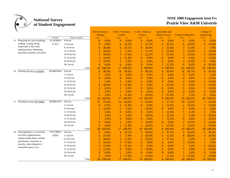

|                                                               |                      |                         |                | Arts & Sciences -<br><b>Biology</b> | $A & S - Commun$<br>ications |               | A & S - Political<br><b>Science</b> |               | <b>Agruculture and</b><br><b>Human Science</b> |          | <b>College of Education</b> |               | College of<br>Engineering |               |
|---------------------------------------------------------------|----------------------|-------------------------|----------------|-------------------------------------|------------------------------|---------------|-------------------------------------|---------------|------------------------------------------------|----------|-----------------------------|---------------|---------------------------|---------------|
|                                                               | Variable<br>ACADPR01 | <b>Response Options</b> | <b>Count</b>   | $\frac{9}{6}$                       | Count                        | $\frac{9}{6}$ | Count                               | $\frac{9}{6}$ | Count                                          | $\%$     | Count                       | $\frac{9}{6}$ | Count                     | $\frac{9}{6}$ |
| 9a. Preparing for class (studying,<br>reading, writing, doing |                      | $0 \frac{hr}{wk}$       | $\theta$       | 0.0%                                | $\overline{0}$               | 0.0%          | $\overline{0}$                      | 0.0%          | $\mathbf{0}$                                   | 0.0%     | $\Omega$                    | 0.0%          | $\mathbf{0}$              | 0.0%          |
| homework or lab work,                                         | (LAC)                | $1-5$ hr/wk             | $\Omega$       | 0.0%                                | 6                            | 35.3%         | $\overline{2}$                      | 22.2%         | $\overline{2}$                                 | 25.0%    | 6                           | 30.0%         | 5                         | 25.0%         |
| analyzing data, rehearsing,                                   |                      | $6-10$ hr/wk            |                | 40.0%                               | 4                            | 23.5%         | 4                                   | 44.4%         | $\overline{2}$                                 | 25.0%    | 3                           | 15.0%         |                           | 5.0%          |
| and other academic activities)                                |                      | $11-15$ hr/wk           |                | 20.0%                               |                              | 5.9%          |                                     | 11.1%         | $\overline{2}$                                 | 25.0%    | 3                           | 15.0%         | $\overline{2}$            | 10.0%         |
|                                                               |                      | $16-20$ hr/wk           |                | 20.0%                               | 3                            | 17.6%         | $\overline{2}$                      | 22.2%         |                                                | 12.5%    | 5                           | 25.0%         | $\overline{4}$            | 20.0%         |
|                                                               |                      | 21-25 hr/wk             |                | 10.0%                               | $\overline{2}$               | 11.8%         | $\theta$                            | 0.0%          | $\mathbf{0}$                                   | 0.0%     | $\mathbf{0}$                | 0.0%          | $\overline{2}$            | 10.0%         |
|                                                               |                      | 26-30 hr/wk             | $\overline{2}$ | 10.0%                               | -1                           | 5.9%          | $\theta$                            | 0.0%          | $\overline{0}$                                 | 0.0%     | 3                           | 15.0%         | $\overline{0}$            | 0.0%          |
|                                                               |                      | $30+hr/wk$              | $\Omega$       | 0.0%                                | $\Omega$                     | 0.0%          | $\mathbf{0}$                        | 0.0%          |                                                | 12.5%    | $\overline{0}$              | 0.0%          | 6                         | 30.0%         |
|                                                               |                      |                         | 20<br>Total    | 100.0%                              | 17                           | 100.0%        | 9                                   | 100.0%        | 8                                              | 100.0%   | 20                          | 100.0%        | 20                        | 100.0%        |
| 9b. Working for pay on campus                                 | WORKON01             | $0 \space hr/wk$        | 8              | 40.0%                               | 10                           | 58.8%         | 9                                   | 90.0%         | 4                                              | 50.0%    | 18                          | 94.7%         | 9                         | 45.0%         |
|                                                               |                      | $1-5$ hr/wk             |                | 5.0%                                | $\Omega$                     | 0.0%          | $\Omega$                            | 0.0%          | $\Omega$                                       | 0.0%     | $\Omega$                    | 0.0%          |                           | 5.0%          |
|                                                               |                      | $6-10$ hr/wk            | 0              | 0.0%                                | $\overline{0}$               | 0.0%          | $\overline{0}$                      | 0.0%          | $\overline{0}$                                 | 0.0%     | $\Omega$                    | 0.0%          | 3                         | 15.0%         |
|                                                               |                      | $11-15$ hr/wk           |                | 5.0%                                |                              | 5.9%          | $\Omega$                            | 0.0%          | $\theta$                                       | 0.0%     | $\Omega$                    | 0.0%          | $\overline{2}$            | 10.0%         |
|                                                               |                      | $16-20$ hr/wk           |                | 40.0%                               | $\overline{2}$               | 11.8%         | $\theta$                            | 0.0%          | $\overline{2}$                                 | 25.0%    | $\Omega$                    | 0.0%          | 3                         | 15.0%         |
|                                                               |                      | 21-25 hr/wk             | $\Omega$       | 0.0%                                |                              | 5.9%          | $\Omega$                            | 0.0%          | $\Omega$                                       | 0.0%     | $\Omega$                    | 0.0%          | $\overline{2}$            | 10.0%         |
|                                                               |                      | 26-30 hr/wk             |                | 5.0%                                |                              | 5.9%          | $\theta$                            | 0.0%          | $\Omega$                                       | 0.0%     | $\theta$                    | 0.0%          | $\overline{0}$            | 0.0%          |
|                                                               |                      | $30+hr/wk$              |                | 5.0%                                | $\overline{2}$               | 11.8%         |                                     | 10.0%         | $\overline{2}$                                 | 25.0%    |                             | 5.3%          | $\overline{0}$            | 0.0%          |
|                                                               |                      | Total                   | 20             | 100.0%                              | 17                           | 100.0%        | 10                                  | 100.0%        | 8                                              | 100.0%   | 19                          | 100.0%        | 20                        | 100.0%        |
| 9c. Working for pay off campus                                | WORKOF01             | 0 hr/wk                 | 15             | 75.0%                               | 10                           | 58.8%         | 5                                   | 50.0%         | 3                                              | 37.5%    | 10                          | 52.6%         | 7                         | 35.0%         |
|                                                               |                      | $1-5$ hr/wk             | $\Omega$       | 0.0%                                | $\overline{2}$               | 11.8%         | $\theta$                            | 0.0%          | 1                                              | 12.5%    | $\overline{2}$              | 10.5%         | $\overline{2}$            | 10.0%         |
|                                                               |                      | $6-10$ hr/wk            | $\overline{2}$ | 10.0%                               | $\mathbf{1}$                 | 5.9%          |                                     | 10.0%         | $\overline{0}$                                 | 0.0%     | $\theta$                    | 0.0%          | $\overline{0}$            | 0.0%          |
|                                                               |                      | $11-15$ hr/wk           |                | 5.0%                                | $\Omega$                     | 0.0%          | $\Omega$                            | 0.0%          |                                                | 12.5%    |                             | 5.3%          |                           | 5.0%          |
|                                                               |                      | $16-20$ hr/wk           |                | 5.0%                                |                              | 5.9%          |                                     | 10.0%         |                                                | 12.5%    |                             | 5.3%          | 4                         | 20.0%         |
|                                                               |                      | 21-25 hr/wk             |                | 5.0%                                | $\Omega$                     | 0.0%          | $\Omega$                            | 0.0%          |                                                | 12.5%    | $\theta$                    | 0.0%          | $\overline{2}$            | 10.0%         |
|                                                               |                      | 26-30 hr/wk             | $\Omega$       | 0.0%                                |                              | 5.9%          |                                     | 10.0%         | $\theta$                                       | 0.0%     | $\overline{2}$              | 10.5%         | $\overline{2}$            | 10.0%         |
|                                                               |                      | $30+hr/wk$              | $\theta$       | 0.0%                                | $\overline{2}$               | 11.8%         | $\overline{2}$                      | 20.0%         |                                                | 12.5%    | 3                           | 15.8%         | $\overline{2}$            | 10.0%         |
|                                                               |                      | Total                   | 20             | 100.0%                              | 17                           | 100.0%        | 10                                  | 100.0%        | 8                                              | 100.0%   | 19                          | 100.0%        | 20                        | 100.0%        |
| 9d. Participating in co-curricular                            | COCURR01             | $0 \space hr/wk$        | $\Omega$       | 0.0%                                | 4                            | 23.5%         | 3                                   | 30.0%         | 3                                              | 37.5%    | 4                           | 20.0%         | 6                         | 30.0%         |
| activities (organizations,                                    | (EEE)                | $1-5$ hr/wk             |                | 25.0%                               |                              | 5.9%          | 3                                   | 30.0%         |                                                | 12.5%    | 8                           | 40.0%         | $\overline{4}$            | 20.0%         |
| campus publications, student                                  |                      | $6-10$ hr/wk            | 6              | 30.0%                               | 2                            | 11.8%         | $\overline{2}$                      | 20.0%         | 3                                              | 37.5%    |                             | 5.0%          |                           | 5.0%          |
| government, fraternity or                                     |                      | $11-15$ hr/wk           |                | 10.0%                               | 3                            | 17.6%         | $\theta$                            | 0.0%          | $\theta$                                       | 0.0%     | $\overline{2}$              | 10.0%         |                           | 5.0%          |
| sorority, intercollegiate or                                  |                      | $16-20$ hr/wk           | 3              | 15.0%                               | 3                            | 17.6%         | $\theta$                            | 0.0%          | $\overline{0}$                                 | 0.0%     |                             | 5.0%          | 4                         | 20.0%         |
| intramural sports, etc.)                                      |                      | 21-25 hr/wk             | 3              | 15.0%                               | $\mathbf{0}$                 | 0.0%          |                                     | 10.0%         | $\boldsymbol{0}$                               | 0.0%     | $\overline{0}$              | 0.0%          | $\overline{c}$            | 10.0%         |
|                                                               |                      | 26-30 hr/wk             | $\Omega$       | 0.0%                                |                              | 5.9%          | $\theta$                            | 0.0%          | $\overline{0}$                                 | 0.0%     |                             | 5.0%          | $\mathbf{0}$              | 0.0%          |
|                                                               |                      | $30+hr/wk$              |                | 5.0%                                | 3                            | 17.6%         |                                     | 10.0%         |                                                | 12.5%    | 3                           | 15.0%         | $\overline{2}$            | 10.0%         |
|                                                               |                      |                         | Total<br>20    | 100.0%                              | 17                           | 100.0%        | 10                                  | 100.0%        |                                                | 8 100.0% |                             | 20 100.0%     | 20                        | 100.0%        |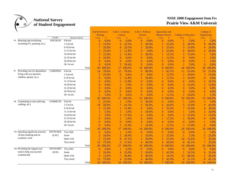

|                                                               |                 |                   | Arts & Sciences -<br><b>Biology</b> |               | $A & S - Commun$<br>ications |           | A & S - Political<br><b>Science</b> |         | <b>Agruculture and</b><br><b>Human Science</b> |          | <b>College of Education</b> |               | College of<br>Engineering |           |
|---------------------------------------------------------------|-----------------|-------------------|-------------------------------------|---------------|------------------------------|-----------|-------------------------------------|---------|------------------------------------------------|----------|-----------------------------|---------------|---------------------------|-----------|
|                                                               | Variable        | Response Options  | Count                               | $\frac{9}{6}$ | Count                        | %         | Count                               | $\%$    | Count                                          | $\%$     | Count                       | $\frac{9}{6}$ | Count                     | %         |
| 9e. Relaxing and socializing<br>(watching TV, partying, etc.) | SOCIAL05        | 0 hr/wk           | $\theta$                            | 0.0%          | $\overline{0}$               | 0.0%      | $\theta$                            | 0.0%    | $\overline{0}$                                 | 0.0%     |                             | 5.0%          |                           | 5.0%      |
|                                                               |                 | $1-5$ hr/wk       |                                     | 15.0%         | 4                            | 23.5%     | 5                                   | 50.0%   | $\overline{2}$                                 | 25.0%    | 6                           | 30.0%         | 8                         | 40.0%     |
|                                                               |                 | $6-10$ hr/wk      |                                     | 35.0%         | 4                            | 23.5%     | $\overline{2}$                      | 20.0%   | $\overline{2}$                                 | 25.0%    | 3                           | 15.0%         | 4                         | 20.0%     |
|                                                               |                 | $11-15$ hr/wk     | 5                                   | 25.0%         | $\overline{2}$               | 11.8%     | $\theta$                            | 0.0%    | $\overline{2}$                                 | 25.0%    | 6                           | 30.0%         | 4                         | 20.0%     |
|                                                               |                 | 16-20 hr/wk       | 3                                   | 15.0%         | $\overline{2}$               | 11.8%     | 3                                   | 30.0%   |                                                | 12.5%    | 3                           | 15.0%         |                           | 5.0%      |
|                                                               |                 | 21-25 hr/wk       |                                     | 10.0%         | $\overline{0}$               | 0.0%      | $\overline{0}$                      | 0.0%    |                                                | 12.5%    | $\Omega$                    | 0.0%          |                           | 5.0%      |
|                                                               |                 | 26-30 hr/wk       | 0                                   | 0.0%          | $\overline{0}$               | 0.0%      | $\Omega$                            | 0.0%    | $\Omega$                                       | 0.0%     | 0                           | 0.0%          |                           | 5.0%      |
|                                                               |                 | $30+hr/wk$        | $\theta$                            | 0.0%          | 5                            | 29.4%     | $\Omega$                            | 0.0%    | $\theta$                                       | 0.0%     |                             | 5.0%          | $\overline{0}$            | 0.0%      |
|                                                               |                 | Total             | 20                                  | 100.0%        | 17                           | 100.0%    | 10                                  | 100.0%  | 8                                              | 100.0%   | 20                          | 100.0%        | 20                        | 100.0%    |
| 9f. Providing care for dependents                             | CAREDE01        | $0 \space hr/wk$  | 14                                  | 70.0%         | 12                           | 70.6%     | 9                                   | 90.0%   | 5                                              | 62.5%    | 11                          | 55.0%         | 10                        | 52.6%     |
| living with you (parents,                                     |                 | $1-5$ hr/wk       | 5                                   | 25.0%         | $\theta$                     | 0.0%      | $\Omega$                            | 0.0%    |                                                | 12.5%    | $\overline{2}$              | 10.0%         | 3                         | 15.8%     |
| children, spouse, etc.)                                       |                 | $6-10$ hr/wk      | $\Omega$                            | 0.0%          | $\overline{2}$               | 11.8%     |                                     | 10.0%   | 1                                              | 12.5%    | $\overline{2}$              | 10.0%         | $\overline{0}$            | 0.0%      |
|                                                               |                 | $11-15$ hr/wk     | $\Omega$                            | 0.0%          | $\overline{2}$               | 11.8%     | $\Omega$                            | 0.0%    | $\Omega$                                       | 0.0%     | $\theta$                    | 0.0%          | $\overline{2}$            | 10.5%     |
|                                                               |                 | $16-20$ hr/wk     | $\Omega$                            | 0.0%          |                              | 5.9%      | $\Omega$                            | 0.0%    | $\theta$                                       | 0.0%     | 3                           | 15.0%         | 3                         | 15.8%     |
|                                                               |                 | 21-25 hr/wk       | $\Omega$                            | 0.0%          | $\Omega$                     | 0.0%      | $\Omega$                            | 0.0%    | $\Omega$                                       | 0.0%     | 0                           | 0.0%          | $\overline{0}$            | 0.0%      |
|                                                               |                 | 26-30 hr/wk       | $\Omega$                            | 0.0%          | $\Omega$                     | 0.0%      | $\theta$                            | 0.0%    | $\theta$                                       | 0.0%     | 0                           | 0.0%          | $\theta$                  | 0.0%      |
|                                                               |                 | $30+hr/wk$        |                                     | 5.0%          | $\Omega$                     | 0.0%      | $\Omega$                            | 0.0%    |                                                | 12.5%    | 2                           | 10.0%         |                           | 5.3%      |
|                                                               |                 | Total             | 20                                  | 100.0%        | 17                           | 100.0%    | 10                                  | 100.0%  | 8                                              | 00.0%    | 20                          | 100.0%        | 19                        | 100.0%    |
| 9g. Commuting to class (driving,                              | <b>COMMUTE</b>  | $0 \frac{hr}{wk}$ | 5                                   | 25.0%         |                              | 5.9%      | 3                                   | 30.0%   | $\theta$                                       | 0.0%     |                             | 5.0%          |                           | 5.0%      |
| walking, etc.)                                                |                 | $1-5$ hr/wk       | 10                                  | 50.0%         | 7                            | 41.2%     | 5                                   | 50.0%   | $\overline{4}$                                 | 50.0%    | 3                           | 15.0%         | 9                         | 45.0%     |
|                                                               |                 | $6-10$ hr/wk      | 3                                   | 15.0%         | $\overline{2}$               | 11.8%     | $\theta$                            | 0.0%    | $\overline{2}$                                 | 25.0%    |                             | 35.0%         | 4                         | 20.0%     |
|                                                               |                 | $11-15$ hr/wk     |                                     | 5.0%          |                              | 5.9%      |                                     | 10.0%   | $\theta$                                       | 0.0%     |                             | 5.0%          | $\overline{2}$            | 10.0%     |
|                                                               |                 | 16-20 hr/wk       |                                     | 5.0%          | 3                            | 17.6%     | $\Omega$                            | 0.0%    | $\theta$                                       | 0.0%     | 3                           | 15.0%         | 3                         | 15.0%     |
|                                                               |                 | 21-25 hr/wk       | $\Omega$                            | 0.0%          |                              | 5.9%      | $\theta$                            | 0.0%    |                                                | 12.5%    | $\overline{2}$              | 10.0%         | $\overline{0}$            | 0.0%      |
|                                                               |                 | 26-30 hr/wk       | $\Omega$                            | 0.0%          | $\theta$                     | 0.0%      | $\theta$                            | 0.0%    | $\theta$                                       | 0.0%     | $\Omega$                    | 0.0%          |                           | 5.0%      |
|                                                               |                 | $30+hr/wk$        | $\theta$                            | 0.0%          | $\overline{2}$               | 11.8%     |                                     | 10.0%   |                                                | 12.5%    | 3                           | 15.0%         | $\overline{0}$            | 0.0%      |
|                                                               |                 | Total             | 20                                  | 100.0%        | 17                           | 100.0%    | 10                                  | 100.0%  | 8                                              | 100.0%   | 20                          | 100.0%        | 20                        | 100.0%    |
| 10a. Spending significant amounts                             | <b>ENVSCHOL</b> | Very little       | $\Omega$                            | 0.0%          |                              | 5.9%      | $\overline{0}$                      | 0.0%    | $\overline{0}$                                 | 0.0%     | $\overline{0}$              | 0.0%          | -1                        | 5.0%      |
| of time studying and on                                       | (LAC)           | Some              | $\overline{2}$                      | 10.0%         | 5                            | 29.4%     |                                     | 10.0%   | $\overline{2}$                                 | 25.0%    |                             | 5.3%          | 5                         | 25.0%     |
| academic work                                                 |                 | Quite a bit       | 3                                   | 15.0%         | 8                            | 47.1%     | 5                                   | 50.0%   | $\overline{2}$                                 | 25.0%    | 10                          | 52.6%         | 7                         | 35.0%     |
|                                                               |                 | Very much         | 15                                  | 75.0%         | 3                            | 17.6%     | 4                                   | 40.0%   | 4                                              | 50.0%    | 8                           | 42.1%         | 7                         | 35.0%     |
|                                                               |                 | Total             | 20                                  | 100.0%        | 17                           | 100.0%    | 10                                  | 100.0%  | 8                                              | 100.0%   | 19.                         | 100.0%        | 20                        | 100.0%    |
| 10b. Providing the support you                                | <b>ENVSUPRT</b> | Very little       | $\Omega$                            | 0.0%          |                              | 6.3%      | $\theta$                            | $0.0\%$ | $\Omega$                                       | 0.0%     | $\Omega$                    | 0.0%          | $\Omega$                  | 0.0%      |
| need to help you succeed                                      | (SCE)           | Some              | 2                                   | 10.0%         | 4                            | 25.0%     | 2                                   | 20.0%   | 3                                              | 42.9%    | $\mathfrak{D}$              | 10.5%         | 6                         | 31.6%     |
| academically                                                  |                 | Quite a bit       |                                     | 15.0%         | 7                            | 43.8%     | 4                                   | 40.0%   |                                                | 14.3%    | 13                          | 68.4%         | 5                         | 26.3%     |
|                                                               |                 | Very much         | 15                                  | 75.0%         | 4                            | 25.0%     | 4                                   | 40.0%   | 3                                              | 42.9%    | 4                           | 21.1%         | 8                         | 42.1%     |
|                                                               |                 | Total             | 20                                  | 100.0%        |                              | 16 100.0% | 10                                  | 100.0%  |                                                | 7 100.0% | 19                          | 100.0%        |                           | 19 100.0% |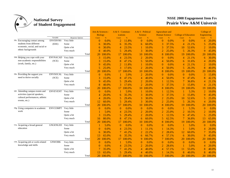

|                                    |                 |                  |       | <b>Biology</b> | Arts & Sciences - | A & S - Commun-<br><b>ications</b> |               | A & S - Political<br><b>Science</b> |         | <b>Agruculture and</b><br><b>Human Science</b> |          | <b>College of Education</b> |               | College of<br>Engineering |        |
|------------------------------------|-----------------|------------------|-------|----------------|-------------------|------------------------------------|---------------|-------------------------------------|---------|------------------------------------------------|----------|-----------------------------|---------------|---------------------------|--------|
|                                    | Variable        | Response Options |       | Count          | $\%$              | Count                              | $\frac{9}{6}$ | Count                               | $\%$    | Count                                          | $\%$     | Count                       | $\frac{9}{6}$ | Count                     | $\%$   |
| 10c. Encouraging contact among     | <b>ENVDIVRS</b> | Very little      |       | $\Omega$       | 0.0%              | 2                                  | 11.8%         | $\Omega$                            | $0.0\%$ | $\overline{0}$                                 | $0.0\%$  | $\Omega$                    | 0.0%          | 4                         | 20.0%  |
| students from different            | (EEE)           | Some             |       | 6              | 30.0%             | 6                                  | 35.3%         | 6                                   | 60.0%   | 3                                              | 37.5%    | $\overline{4}$              | 21.1%         | 5                         | 25.0%  |
| economic, social, and racial or    |                 | Ouite a bit      |       | 6              | 30.0%             | 4                                  | 23.5%         |                                     | 10.0%   | 3                                              | 37.5%    | 10                          | 52.6%         | $\overline{2}$            | 10.0%  |
| ethnic backgrounds                 |                 | Very much        |       | 8              | 40.0%             | 5                                  | 29.4%         | 3                                   | 30.0%   | $\overline{2}$                                 | 25.0%    | 5                           | 26.3%         | 9                         | 45.0%  |
|                                    |                 |                  | Total | 20             | 100.0%            | 17                                 | 100.0%        | 10                                  | 100.0%  | 8                                              | 100.0%   | 19                          | 100.0%        | 20                        | 100.0% |
| 10d. Helping you cope with your    | <b>ENVNACAD</b> | Very little      |       | 3              | 15.0%             | 4                                  | 23.5%         | 2                                   | 20.0%   | $\theta$                                       | 0.0%     | 4                           | 21.1%         | 6                         | 30.0%  |
| non-academic responsibilities      | (SCE)           | Some             |       | 3              | 15.0%             | 8                                  | 47.1%         | 5                                   | 50.0%   | 4                                              | 50.0%    | 6                           | 31.6%         | $\overline{4}$            | 20.0%  |
| (work, family, etc.)               |                 | Quite a bit      |       | 9              | 45.0%             | 2                                  | 11.8%         |                                     | 10.0%   | $\Omega$                                       | 0.0%     | 4                           | 21.1%         | $\overline{2}$            | 10.0%  |
|                                    |                 | Very much        |       | 5              | 25.0%             |                                    | 17.6%         | $\overline{2}$                      | 20.0%   | 4                                              | 50.0%    |                             | 26.3%         | 8                         | 40.0%  |
|                                    |                 |                  | Total | 20             | 100.0%            | 17                                 | 100.0%        | 10                                  | 100.0%  | 8                                              | 100.0%   | 19                          | 100.0%        | 20                        | 100.0% |
| 10e. Providing the support you     | <b>ENVSOCAL</b> | Very little      |       | $\overline{0}$ | 0.0%              |                                    | 5.9%          | 2                                   | 20.0%   | $\theta$                                       | 0.0%     | $\Omega$                    | 0.0%          | 3                         | 15.8%  |
| need to thrive socially            | (SCE)           | Some             |       | 3              | 15.0%             | 8                                  | 47.1%         | 4                                   | 40.0%   | 4                                              | 50.0%    | 9                           | 47.4%         | 8                         | 42.1%  |
|                                    |                 | Quite a bit      |       | <b>9</b>       | 45.0%             | 5                                  | 29.4%         | 2                                   | 20.0%   |                                                | 12.5%    |                             | 36.8%         | 4                         | 21.1%  |
|                                    |                 | Very much        |       | 8              | 40.0%             | 3                                  | 17.6%         | $\overline{2}$                      | 20.0%   | 3                                              | 37.5%    |                             | 15.8%         | 4                         | 21.1%  |
|                                    |                 |                  | Total | 20             | 100.0%            | 17                                 | 100.0%        | 10                                  | 100.0%  | 8                                              | 100.0%   | 19                          | 100.0%        | 19                        | 100.0% |
| 10f. Attending campus events and   | <b>ENVEVENT</b> | Very little      |       | $\overline{0}$ | 0.0%              |                                    | 5.9%          |                                     | 10.0%   |                                                | 12.5%    |                             | 5.3%          | $\overline{2}$            | 10.0%  |
| activities (special speakers,      |                 | Some             |       | 4              | 20.0%             | 6                                  | 35.3%         | 3                                   | 30.0%   | 3                                              | 37.5%    | 3                           | 15.8%         | 9                         | 45.0%  |
| cultural performances, athletic    |                 | Quite a bit      |       | 4              | 20.0%             | 5                                  | 29.4%         | 3                                   | 30.0%   | $\overline{2}$                                 | 25.0%    | 10                          | 52.6%         | 5                         | 25.0%  |
| events, etc.)                      |                 | Very much        |       | 12             | 60.0%             | 5                                  | 29.4%         | 3                                   | 30.0%   | $\overline{2}$                                 | 25.0%    | 5                           | 26.3%         | 4                         | 20.0%  |
|                                    |                 |                  | Total | 20             | 100.0%            | 17                                 | 100.0%        | 10                                  | 100.0%  | 8                                              | 100.0%   | 19                          | 100.0%        | 20                        | 100.0% |
| 10g. Using computers in academic   | <b>ENVCOMPT</b> | Very little      |       | $\Omega$       | 0.0%              | $\Omega$                           | 0.0%          | $\theta$                            | 0.0%    | $\overline{0}$                                 | 0.0%     |                             | 5.3%          | $\boldsymbol{0}$          | 0.0%   |
| work                               |                 | Some             |       |                | 5.0%              | 4                                  | 23.5%         | $\overline{2}$                      | 20.0%   | 2                                              | 25.0%    |                             | 10.5%         | $\overline{2}$            | 10.0%  |
|                                    |                 | Quite a bit      |       | 3              | 15.0%             | 5                                  | 29.4%         | $\overline{2}$                      | 20.0%   |                                                | 12.5%    | 9                           | 47.4%         | 5                         | 25.0%  |
|                                    |                 | Very much        |       | 16             | 80.0%             | 8                                  | 47.1%         | 6                                   | 60.0%   | 5                                              | 62.5%    |                             | 36.8%         | 13                        | 65.0%  |
|                                    |                 |                  | Total | 20             | 100.0%            | 17                                 | 100.0%        | 10                                  | 100.0%  | 8                                              | 100.0%   | 19                          | 100.0%        | 20                        | 100.0% |
| 11a. Acquiring a broad general     | <b>GNGENLED</b> | Very little      |       |                | 5.0%              | $\Omega$                           | 0.0%          | $\overline{0}$                      | 0.0%    | $\overline{0}$                                 | 0.0%     |                             | 5.0%          | $\overline{0}$            | 0.0%   |
| education                          |                 | Some             |       | $\Omega$       | 0.0%              | 4                                  | 23.5%         |                                     | 11.1%   |                                                | 14.3%    |                             | 5.0%          | $\overline{4}$            | 20.0%  |
|                                    |                 | Quite a bit      |       | 6              | 30.0%             | 7                                  | 41.2%         | $\overline{2}$                      | 22.2%   | $\overline{2}$                                 | 28.6%    | 12                          | 60.0%         | 7                         | 35.0%  |
|                                    |                 | Very much        |       | 13             | 65.0%             | 6                                  | 35.3%         | 6                                   | 66.7%   | 4                                              | 57.1%    | 6                           | 30.0%         | 9                         | 45.0%  |
|                                    |                 |                  | Total | 20             | 100.0%            | 17                                 | 100.0%        | 9.                                  | 100.0%  | 7                                              | 100.0%   | 20                          | 100.0%        | 20                        | 100.0% |
| 11b. Acquiring job or work-related | <b>GNWORK</b>   | Very little      |       | $\theta$       | 0.0%              |                                    | 5.9%          | $\Omega$                            | 0.0%    | $\overline{0}$                                 | 0.0%     | $\theta$                    | 0.0%          | $\overline{0}$            | 0.0%   |
| knowledge and skills               |                 | Some             |       | $\Omega$       | 0.0%              | 4                                  | 23.5%         | $\mathfrak{D}$                      | 20.0%   | 2                                              | 28.6%    |                             | 5.0%          | $\overline{4}$            | 20.0%  |
|                                    |                 | Quite a bit      |       |                | 35.0%             | 7                                  | 41.2%         | 4                                   | 40.0%   | 4                                              | 57.1%    | 11                          | 55.0%         | 8                         | 40.0%  |
|                                    |                 | Very much        |       | 13             | 65.0%             | 5                                  | 29.4%         | 4                                   | 40.0%   |                                                | 14.3%    | 8                           | 40.0%         | 8                         | 40.0%  |
|                                    |                 |                  | Total | 20             | 100.0%            | 17                                 | 100.0%        | 10                                  | 100.0%  |                                                | 7 100.0% | 20                          | 100.0%        | 20                        | 100.0% |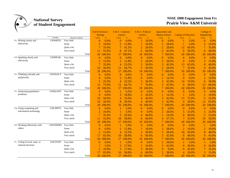

|                                 |                 |                         |                | Arts & Sciences -<br><b>Biology</b> | A & S - Commun-<br>ications |         | A & S - Political<br><b>Science</b> |               | <b>Agruculture and</b><br><b>Human Science</b> |          | <b>College of Education</b> |        | College of<br>Engineering |           |
|---------------------------------|-----------------|-------------------------|----------------|-------------------------------------|-----------------------------|---------|-------------------------------------|---------------|------------------------------------------------|----------|-----------------------------|--------|---------------------------|-----------|
|                                 | Variable        | <b>Response Options</b> | Count          | $\%$                                | Count                       | $\%$    | Count                               | $\frac{9}{6}$ | Count                                          | $\%$     | Count                       | $\%$   | Count                     | %         |
| 11c. Writing clearly and        | <b>GNWRITE</b>  | Very little             | $\Omega$       | 0.0%                                | $\Omega$                    | $0.0\%$ |                                     | 10.0%         | $\theta$                                       | 0.0%     |                             | 5.0%   | $\theta$                  | $0.0\%$   |
| effectively                     |                 | Some                    | $\overline{2}$ | 10.0%                               | $\overline{2}$              | 11.8%   |                                     | 10.0%         | $\overline{2}$                                 | 28.6%    |                             | 5.0%   | 5                         | 25.0%     |
|                                 |                 | Quite a bit             |                | 35.0%                               |                             | 41.2%   |                                     | 20.0%         | $\overline{2}$                                 | 28.6%    | 12                          | 60.0%  | 7                         | 35.0%     |
|                                 |                 | Very much               | 11             | 55.0%                               | 8                           | 47.1%   | 6                                   | 60.0%         | 3                                              | 42.9%    | 6                           | 30.0%  | 8                         | 40.0%     |
|                                 |                 | Total                   | 20             | 100.0%                              | 17                          | 100.0%  | 10                                  | 100.0%        | $\overline{7}$                                 | 100.0%   | 20                          | 100.0% | 20                        | 100.0%    |
| 11d. Speaking clearly and       | <b>GNSPEAK</b>  | Very little             | $\Omega$       | 0.0%                                | $\Omega$                    | $0.0\%$ | $\Omega$                            | 0.0%          | $\theta$                                       | 0.0%     | $\Omega$                    | 0.0%   | $\theta$                  | 0.0%      |
| effectively                     |                 | Some                    | 3              | 15.0%                               | 2                           | 11.8%   | 2                                   | 20.0%         | $\overline{2}$                                 | 28.6%    | $\Omega$                    | 0.0%   | 3                         | 15.0%     |
|                                 |                 | Quite a bit             |                | 35.0%                               | 4                           | 23.5%   | 3                                   | 30.0%         | 3                                              | 42.9%    | 13                          | 65.0%  | 8                         | 40.0%     |
|                                 |                 | Very much               | 10             | 50.0%                               | 11                          | 64.7%   | 5                                   | 50.0%         | $\overline{2}$                                 | 28.6%    |                             | 35.0%  | 9                         | 45.0%     |
|                                 |                 | Total                   | 20             | 100.0%                              | 17                          | 100.0%  | 10                                  | 100.0%        |                                                | 100.0%   | 20                          | 100.0% | 20                        | 100.0%    |
| 11e. Thinking critically and    | <b>GNANALY</b>  | Very little             | $\overline{0}$ | 0.0%                                | $\overline{0}$              | 0.0%    | $\mathbf{0}$                        | 0.0%          | $\theta$                                       | 0.0%     | $\Omega$                    | 0.0%   | $\theta$                  | 0.0%      |
| analytically                    |                 | Some                    | $\theta$       | 0.0%                                | 2                           | 11.8%   | $\Omega$                            | 0.0%          |                                                | 14.3%    | $\Omega$                    | 0.0%   | $\overline{2}$            | 10.0%     |
|                                 |                 | Quite a bit             | 5              | 25.0%                               | 4                           | 23.5%   | 3                                   | 30.0%         | 3                                              | 42.9%    | 14                          | 70.0%  | 6                         | 30.0%     |
|                                 |                 | Very much               | 15             | 75.0%                               | 11                          | 64.7%   |                                     | 70.0%         | 3                                              | 42.9%    | 6                           | 30.0%  | 12                        | 60.0%     |
|                                 |                 | Total                   | 20             | 100.0%                              | 17                          | 100.0%  | 10                                  | 100.0%        | 7                                              | 100.0%   | 20                          | 100.0% | 20                        | 100.0%    |
| 11f. Analyzing quantitative     | <b>GNQUANT</b>  | Very little             | $\overline{0}$ | 0.0%                                |                             | 6.3%    | $\Omega$                            | 0.0%          | $\theta$                                       | 0.0%     | $\Omega$                    | 0.0%   | $\theta$                  | 0.0%      |
| problems                        |                 | Some                    | $\Omega$       | 0.0%                                | 3                           | 18.8%   |                                     | 20.0%         |                                                | 14.3%    |                             | 5.0%   | $\overline{2}$            | 10.0%     |
|                                 |                 | Quite a bit             | 10             | 50.0%                               | 4                           | 25.0%   | 4                                   | 40.0%         | 3                                              | 42.9%    | 15                          | 75.0%  | 5                         | 25.0%     |
|                                 |                 | Very much               | 10             | 50.0%                               | 8                           | 50.0%   | 4                                   | 40.0%         | 3                                              | 42.9%    | 4                           | 20.0%  | 13                        | 65.0%     |
|                                 |                 | Total                   | 20             | 100.0%                              | 16                          | 100.0%  | 10                                  | 100.0%        | 7                                              | 100.0%   | 20                          | 100.0% | 20                        | 00.0%     |
| 11g. Using computing and        | <b>GNCMPTS</b>  | Very little             | $\overline{0}$ | 0.0%                                |                             | 5.9%    | $\overline{0}$                      | 0.0%          | $\theta$                                       | 0.0%     | $\Omega$                    | 0.0%   | $\theta$                  | 0.0%      |
| information technology          |                 | Some                    | 2              | 10.0%                               |                             | 5.9%    | $\Omega$                            | 0.0%          | 2                                              | 28.6%    | 5                           | 25.0%  | 5                         | 25.0%     |
|                                 |                 | Quite a bit             |                | 35.0%                               | 5                           | 29.4%   | 4                                   | 40.0%         |                                                | 14.3%    |                             | 40.0%  | 5                         | 25.0%     |
|                                 |                 | Very much               | 11             | 55.0%                               | 10                          | 58.8%   | 6                                   | 60.0%         | 4                                              | 57.1%    |                             | 35.0%  | 10                        | 50.0%     |
|                                 |                 | Total                   | 20             | 100.0%                              | 17                          | 100.0%  | 10                                  | 100.0%        | 7                                              | 100.0%   | 20                          | 100.0% | 20                        | 100.0%    |
| 11h. Working effectively with   | <b>GNOTHERS</b> | Very little             | $\overline{0}$ | 0.0%                                |                             | 5.9%    | $\theta$                            | 0.0%          | $\boldsymbol{0}$                               | 0.0%     | $\Omega$                    | 0.0%   |                           | 5.0%      |
| others                          |                 | Some                    | $\Omega$       | 0.0%                                | 2                           | 11.8%   |                                     | 10.0%         | $\overline{2}$                                 | 28.6%    | $\overline{2}$              | 10.0%  | $\overline{2}$            | 10.0%     |
|                                 |                 | Quite a bit             | 3              | 15.0%                               | 4                           | 23.5%   | 3                                   | 30.0%         | $\overline{2}$                                 | 28.6%    | 10                          | 50.0%  | 8                         | 40.0%     |
|                                 |                 | Very much               | 17             | 85.0%                               | 10                          | 58.8%   | 6                                   | 60.0%         | 3                                              | 42.9%    | 8                           | 40.0%  | 9                         | 45.0%     |
|                                 |                 | Total                   | 20             | 100.0%                              | 17                          | 100.0%  | 10                                  | 100.0%        | $\tau$                                         | 100.0%   | 20                          | 100.0% | 20                        | 100.0%    |
| 11i. Voting in local, state, or | <b>GNCITIZN</b> | Very little             | $\overline{0}$ | 0.0%                                |                             | 5.9%    | $\overline{0}$                      | 0.0%          | $\overline{2}$                                 | 28.6%    |                             | 5.0%   |                           | 5.0%      |
| national elections              |                 | Some                    |                | 5.0%                                | 3                           | 17.6%   |                                     | 10.0%         | 3                                              | 42.9%    | 6                           | 30.0%  | 9                         | 45.0%     |
|                                 |                 | Quite a bit             | $\overline{2}$ | 10.0%                               | 3                           | 17.6%   | 3                                   | 30.0%         | $\overline{0}$                                 | 0.0%     | 9                           | 45.0%  | 7                         | 35.0%     |
|                                 |                 | Very much               | 17             | 85.0%                               | 10                          | 58.8%   | 6                                   | 60.0%         | $\overline{2}$                                 | 28.6%    | 4                           | 20.0%  | 3                         | 15.0%     |
|                                 |                 | Total                   | 20             | 100.0%                              | 17                          | 100.0%  | 10                                  | 100.0%        |                                                | 7 100.0% | 20                          | 100.0% |                           | 20 100.0% |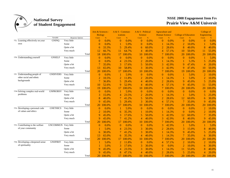

|                                            |                 |                         |                  | Arts & Sciences -<br><b>Biology</b> | A & S - Commun-<br><i>ications</i> |         | A & S - Political<br><b>Science</b> |        | <b>Agruculture and</b><br><b>Human Science</b> |        | <b>College of Education</b> |               | College of<br>Engineering |         |
|--------------------------------------------|-----------------|-------------------------|------------------|-------------------------------------|------------------------------------|---------|-------------------------------------|--------|------------------------------------------------|--------|-----------------------------|---------------|---------------------------|---------|
|                                            | Variable        | <b>Response Options</b> | Count            | $\frac{9}{6}$                       | Count                              | $\%$    | Count                               | $\%$   | Count                                          | $\%$   | Count                       | $\frac{9}{6}$ | Count                     | $\%$    |
| 11j. Learning effectively on your          | <b>GNINQ</b>    | Very little             | $\overline{0}$   | 0.0%                                | $\Omega$                           | 0.0%    | $\Omega$                            | 0.0%   | $\overline{0}$                                 | 0.0%   | $\theta$                    | 0.0%          | $\theta$                  | 0.0%    |
| own                                        |                 | Some                    | $\left  \right $ | 0.0%                                |                                    | 5.9%    | $\Omega$                            | 0.0%   |                                                | 14.3%  | $\overline{2}$              | 10.0%         |                           | 5.0%    |
|                                            |                 | Quite a bit             | 6                | 33.3%                               | 5                                  | 29.4%   | 6                                   | 60.0%  | 2                                              | 28.6%  | 8                           | 40.0%         | 8                         | 40.0%   |
|                                            |                 | Very much               | 12               | 66.7%                               | 11                                 | 64.7%   | 4                                   | 40.0%  | 4                                              | 57.1%  | 10                          | 50.0%         | 11                        | 55.0%   |
|                                            |                 | Total                   | 18               | 100.0%                              | 17                                 | 100.0%  | 10                                  | 100.0% |                                                | 100.0% | 20                          | 100.0%        | 20                        | 100.0%  |
| 11k. Understanding yourself                | <b>GNSELF</b>   | Very little             | $\overline{0}$   | 0.0%                                | $\Omega$                           | $0.0\%$ | $\theta$                            | 0.0%   | $\Omega$                                       | 0.0%   | $\theta$                    | 0.0%          |                           | 5.0%    |
|                                            |                 | Some                    | $\Omega$         | 0.0%                                | $\overline{4}$                     | 23.5%   | 2                                   | 20.0%  |                                                | 14.3%  |                             | 5.3%          | 5                         | 25.0%   |
|                                            |                 | Quite a bit             |                  | 35.0%                               | 3                                  | 17.6%   | 5                                   | 50.0%  | 3                                              | 42.9%  | 9                           | 47.4%         | 4                         | 20.0%   |
|                                            |                 | Very much               | 13               | 65.0%                               | 10                                 | 58.8%   | 3                                   | 30.0%  | 3                                              | 42.9%  | 9                           | 47.4%         | 10                        | 50.0%   |
|                                            |                 | Total                   | 20               | 100.0%                              | 17                                 | 100.0%  | 10                                  | 100.0% | 7.                                             | 100.0% | 19                          | 100.0%        | 20                        | 100.0%  |
| 111. Understanding people of               | <b>GNDIVERS</b> | Very little             | $\bf{0}$         | 0.0%                                |                                    | 5.9%    | $\theta$                            | 0.0%   | $\Omega$                                       | 0.0%   |                             | 5.0%          | $\overline{2}$            | 10.0%   |
| other racial and ethnic                    |                 | Some                    | 2                | 10.5%                               | 2                                  | 11.8%   | $\overline{2}$                      | 20.0%  |                                                | 14.3%  |                             | 5.0%          | $\overline{2}$            | 10.0%   |
| backgrounds                                |                 | Quite a bit             |                  | 36.8%                               | 5                                  | 29.4%   | 4                                   | 40.0%  | $\overline{2}$                                 | 28.6%  | 9                           | 45.0%         | 5                         | 25.0%   |
|                                            |                 | Very much               | 10               | 52.6%                               | 9                                  | 52.9%   | 4                                   | 40.0%  | 4                                              | 57.1%  | 9                           | 45.0%         | 11                        | 55.0%   |
|                                            |                 | Total                   | 19               | 100.0%                              | 17                                 | 100.0%  | 10                                  | 100.0% |                                                | 100.0% | 20                          | 100.0%        | 20                        | 100.0%  |
| 11m Solving complex real-world<br>problems | <b>GNPROBSV</b> | Very little             | $\bf{0}$         | 0.0%                                |                                    | 5.9%    | $\theta$                            | 0.0%   | $\Omega$                                       | 0.0%   | $\theta$                    | 0.0%          | $\theta$                  | $0.0\%$ |
|                                            |                 | Some                    | 3                | 15.0%                               | 4                                  | 23.5%   | 2                                   | 20.0%  |                                                | 14.3%  |                             | 5.0%          | 5                         | 25.0%   |
|                                            |                 | Quite a bit             | 8                | 40.0%                               | 7                                  | 41.2%   | 5                                   | 50.0%  | $\overline{2}$                                 | 28.6%  | 12                          | 60.0%         | 6                         | 30.0%   |
|                                            |                 | Very much               | 9                | 45.0%                               | 5                                  | 29.4%   | 3                                   | 30.0%  | 4                                              | 57.1%  |                             | 35.0%         | 9                         | 45.0%   |
|                                            |                 | Total                   | 20               | 100.0%                              | 17                                 | 100.0%  | 10                                  | 100.0% | 7.                                             | 100.0% | 20                          | 100.0%        | 20                        | 100.0%  |
| 11n. Developing a personal code            | <b>GNETHICS</b> | Very little             | $\Omega$         | $0.0\%$                             |                                    | 5.9%    | $\theta$                            | 0.0%   | $\Omega$                                       | 0.0%   | $\theta$                    | 0.0%          | $\overline{2}$            | 10.0%   |
| of values and ethics                       |                 | Some                    | $\overline{2}$   | 10.0%                               | 6                                  | 35.3%   |                                     | 10.0%  |                                                | 14.3%  | $\Omega$                    | 0.0%          | $\overline{2}$            | 10.0%   |
|                                            |                 | Quite a bit             | <sup>9</sup>     | 45.0%                               | 3                                  | 17.6%   | 5                                   | 50.0%  | 3                                              | 42.9%  | 12                          | 60.0%         | 7                         | 35.0%   |
|                                            |                 | Very much               | 9                | 45.0%                               | 7                                  | 41.2%   | 4                                   | 40.0%  | 3                                              | 42.9%  | 8                           | 40.0%         | 9                         | 45.0%   |
|                                            |                 | Total                   | 20               | 100.0%                              | 17                                 | 100.0%  | 10                                  | 100.0% | 7                                              | 100.0% | 20                          | 100.0%        | 20                        | 100.0%  |
| 11o. Contributing to the welfare           | <b>GNCOMMUN</b> | Very little             | $\bf{0}$         | 0.0%                                | $\Omega$                           | $0.0\%$ | $\overline{0}$                      | 0.0%   | 3                                              | 42.9%  |                             | 5.0%          |                           | 5.0%    |
| of your community                          |                 | Some                    |                  | 5.0%                                | $\overline{4}$                     | 23.5%   | 3                                   | 30.0%  | $\overline{2}$                                 | 28.6%  | 3                           | 15.0%         | 8                         | 40.0%   |
|                                            |                 | Quite a bit             | 6                | 30.0%                               | 7                                  | 41.2%   | 3                                   | 30.0%  |                                                | 14.3%  | 9                           | 45.0%         | 5                         | 25.0%   |
|                                            |                 | Very much               | 13               | 65.0%                               | 6                                  | 35.3%   | 4                                   | 40.0%  |                                                | 14.3%  |                             | 35.0%         | 6                         | 30.0%   |
|                                            |                 | Total                   | 20               | 100.0%                              | 17                                 | 100.0%  | 10                                  | 100.0% | 7.                                             | 100.0% | 20                          | 100.0%        | 20                        | 100.0%  |
| 11p. Developing a deepened sense           | <b>GNSPIRIT</b> | Very little             |                  | 5.0%                                | 2                                  | 11.8%   | $\theta$                            | 0.0%   | 4                                              | 57.1%  | $\overline{2}$              | 10.0%         | $\overline{2}$            | 10.0%   |
| of spirituality                            |                 | Some                    |                  | 5.0%                                | 3                                  | 17.6%   | 3                                   | 30.0%  | $\Omega$                                       | 0.0%   | 2                           | 10.0%         | 6                         | 30.0%   |
|                                            |                 | Quite a bit             | <sup>9</sup>     | 45.0%                               | 4                                  | 23.5%   | 3                                   | 30.0%  |                                                | 14.3%  | 11                          | 55.0%         | 8                         | 40.0%   |
|                                            |                 | Very much               | <sup>9</sup>     | 45.0%                               | 8                                  | 47.1%   | 4                                   | 40.0%  | 2                                              | 28.6%  | 5                           | 25.0%         | 4                         | 20.0%   |
|                                            |                 | Total                   | 20               | 100.0%                              | 17                                 | 100.0%  | 10                                  | 100.0% | $\overline{7}$                                 | 100.0% |                             | 20 100.0%     | 20                        | 100.0%  |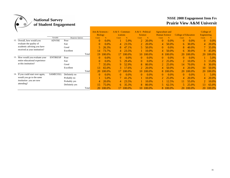

|                      |                                    |                 |                  | Arts & Sciences -<br><b>Biology</b> |         | $A & S - Commun$<br><i>ications</i> |         | A & S - Political<br><b>Science</b> |               | Agrueulture and<br><b>Human Science</b> |          | <b>College of Education</b> |               | College of<br><b>Engineering</b> |        |
|----------------------|------------------------------------|-----------------|------------------|-------------------------------------|---------|-------------------------------------|---------|-------------------------------------|---------------|-----------------------------------------|----------|-----------------------------|---------------|----------------------------------|--------|
|                      |                                    | Variable        | Response Options | Count                               | %       | Count                               | $\%$    | Count                               | $\frac{9}{6}$ | Count                                   | $\%$     | Count                       | $\frac{9}{6}$ | Count                            | $\%$   |
|                      | 12. Overall, how would you         | <b>ADVISE</b>   | Poor             | $\theta$                            | $0.0\%$ |                                     | 5.9%    | 2                                   | 20.0%         | $\theta$                                | 0.0%     | $\Omega$                    | $0.0\%$       | $\overline{0}$                   | 0.0%   |
|                      | evaluate the quality of            |                 | Fair             | $\theta$                            | $0.0\%$ | 4                                   | 23.5%   | 2                                   | 20.0%         | 4                                       | 50.0%    | 6                           | 30.0%         | $\overline{4}$                   | 20.0%  |
|                      | academic advising you have         |                 | Good             | 5.                                  | 26.3%   | 8                                   | 47.1%   | 5.                                  | 50.0%         | $\theta$                                | $0.0\%$  | 8.                          | 40.0%         |                                  | 35.0%  |
|                      | received at your institution?      |                 | Excellent        | 14                                  | 73.7%   | 4                                   | 23.5%   |                                     | 10.0%         | 4                                       | 50.0%    | 6 <sub>1</sub>              | 30.0%         | 9                                | 45.0%  |
|                      |                                    |                 | Total            | 19                                  | 100.0%  |                                     | 100.0%  | 10                                  | 100.0%        | 8                                       | 100.0%   | 20                          | 100.0%        | 20                               | 100.0% |
|                      | 13. How would you evaluate your    | <b>ENTIREXP</b> | Poor             | $\Omega$                            | 0.0%    | $\theta$                            | $0.0\%$ | $\theta$                            | $0.0\%$       | $\theta$                                | $0.0\%$  | $\theta$                    | $0.0\%$       |                                  | 5.0%   |
|                      | entire educational experience      |                 | Fair             | $\Omega$                            | 0.0%    |                                     | 29.4%   | $\theta$                            | $0.0\%$       | $2^{\circ}$                             | 25.0%    | $\overline{2}$              | 10.0%         | 3                                | 15.0%  |
| at this institution? |                                    |                 | Good             |                                     | 35.0%   | 9.                                  | 52.9%   | 8                                   | 80.0%         | $\mathbf{2}^-$                          | 25.0%    | 14                          | 70.0%         | 6.                               | 30.0%  |
|                      |                                    |                 | Excellent        | 15                                  | 65.0%   | 3.                                  | 17.6%   |                                     | 20.0%         | 4                                       | 50.0%    | 4                           | 20.0%         | 10                               | 50.0%  |
|                      |                                    |                 | Total            | 20                                  | 100.0%  |                                     | 100.0%  | 10 <sup>1</sup>                     | 100.0%        |                                         | 8 100.0% |                             | 20 100.0%     | 20                               | 100.0% |
|                      | 14. If you could start over again, | <b>SAMECOLL</b> | Definitely no    | $\Omega$                            | $0.0\%$ | $\theta$                            | $0.0\%$ | $\theta$                            | $0.0\%$       | $\theta$                                | $0.0\%$  | $\theta$                    | $0.0\%$       |                                  | 5.0%   |
|                      | would you go to the same           |                 | Probably no      |                                     | 5.0%    |                                     | 41.2%   |                                     | 10.0%         |                                         | 25.0%    | 4                           | 20.0%         | $\overline{4}$                   | 20.0%  |
|                      | <i>institution</i> you are now     |                 | Probably yes     | 4                                   | 20.0%   | 4                                   | 23.5%   |                                     | 10.0%         |                                         | 12.5%    | 11                          | 55.0%         |                                  | 10.0%  |
| attending?           |                                    |                 | Definitely yes   | 15                                  | 75.0%   | 6.                                  | 35.3%   | 8                                   | 80.0%         | 5.                                      | 62.5%    | 5.                          | 25.0%         | 13                               | 65.0%  |
|                      |                                    |                 | Total            | 20                                  | 100.0%  |                                     | 100.0%  | 10                                  | 100.0%        |                                         | 8 100.0% |                             | 20 100.0%     | 20                               | 100.0% |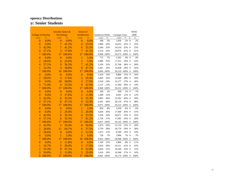|                           |               | Juvenile Justice & |               | School of        |               |                  |            |                |           |    | <b>NSSE</b> |
|---------------------------|---------------|--------------------|---------------|------------------|---------------|------------------|------------|----------------|-----------|----|-------------|
| <b>College of Nursing</b> |               | Psychology         |               | Architecture     |               | Southwest Public |            | Carnegie Class |           |    | 2008        |
| Count                     | $\frac{9}{6}$ | Count              | $\frac{9}{6}$ | Count            | $\frac{9}{6}$ | Count            | $\%$       | Count          | $\%$      | nt | $\%$        |
| $\overline{0}$            | 0.0%          | $\overline{0}$     | 0.0%          | $\overline{0}$   | 0.0%          | 308              | 3%         | 1,036          | $2\%$ #   |    | 2%          |
| $\boldsymbol{0}$          | 0.0%          | $\overline{7}$     | 41.2%         | $\overline{4}$   | 23.5%         | 2,884            | 29%        | 14,653         | 25% #     |    | 25%         |
| 3                         | 42.9%         | $\overline{7}$     | 41.2%         | 6                | 35.3%         | 3,260            | 33%        | 19,510         | 33% #     |    | 33%         |
| $\overline{4}$            | 57.1%         | 3                  | 17.6%         | $\overline{7}$   | 41.2%         | 3,516            | 35%        | 24,076         | 41% #     |    | 41%         |
| $\overline{7}$            | 100.0%        | 17                 | 100.0%        | 17               | 100.0%        | 9,968            | 100%       | 59,275 100% #  |           |    | 100%        |
| $\overline{0}$            | 0.0%          | $\overline{0}$     | 0.0%          | 1                | 5.9%          | 712              | 7%         | 2,201          | 4% #      |    | 4%          |
| $\overline{2}$            | 28.6%         | $\overline{4}$     | 25.0%         | 1                | 5.9%          | 3,486            | 35%        | 17,412         | 29% #     |    | 32%         |
| $\overline{4}$            | 57.1%         | 9                  | 56.3%         | $\overline{7}$   | 41.2%         | 3,330            | 33%        | 22,768         | 38% #     |    | 38%         |
| 1                         | 14.3%         | 3                  | 18.8%         | 8                | 47.1%         | 2,441            | 24%        | 16,838         | 28% #     |    | 26%         |
| $\overline{7}$            | 100.0%        | 16                 | 100.0%        | 17               | 100.0%        | 9,969            | 100%       | 59,219 100% #  |           |    | 100%        |
| $\mathbf{0}$              | 0.0%          | $\mathbf{0}$       | 0.0%          | $\boldsymbol{0}$ | 0.0%          | 1,410            | 14%        | 8,866          | 15% #     |    | 16%         |
| $\overline{2}$            | 28.6%         | 3                  | 17.6%         | 5                | 29.4%         | 3,483            | 35%        | 22,649         | 38% #     |    | 39%         |
| $\mathbf{0}$              | 0.0%          | 10                 | 58.8%         | $\overline{3}$   | 17.6%         | 2,918            | 29%        | 16,177         | 27% #     |    | 26%         |
| 5                         | 71.4%         | $\overline{4}$     | 23.5%         | 9                | 52.9%         | 2,157            | 22%        | 11,560         | 20% #     |    | 19%         |
| $\overline{7}$            | 100.0%        | 17                 | 100.0%        | 17               | 100.0%        | 9,968            | 100%       | 59,252 100% #  |           |    | $100\%$     |
| $\mathbf{0}$              | 0.0%          | $\mathbf{0}$       | 0.0%          | $\mathbf{0}$     | 0.0%          | 166              | 2%         | 560            | $1\%$ #   |    | $1\%$       |
| $\mathbf{0}$              | 0.0%          | 3                  | 17.6%         | $\overline{2}$   | 11.8%         | 1,449            | 15%        | 6,941          | $12\%$ #  |    | 12%         |
| 3                         | 42.9%         | $\overline{6}$     | 35.3%         | 6                | 35.3%         | 3,965            | 40%        | 23,592         | 40% #     |    | 39%         |
| $\overline{4}$            | 57.1%         | 8                  | 47.1%         | 9                | 52.9%         | 4,391            | 44%        | 28,129         | 47% #     |    | 48%         |
| 7                         | 100.0%        | 17                 | 100.0%        | 17               | 100.0%        | 9,971            | 100%       | 59,222         | $100\%$ # |    | 100%        |
| $\boldsymbol{0}$          | 0.0%          | $\overline{0}$     | 0.0%          | 1                | 5.9%          | 834              | 8%         | 3,439          | 6% #      |    | 6%          |
| $\boldsymbol{0}$          | 0.0%          | 5                  | 29.4%         | 5                | 29.4%         | 3,028            | 30%        | 17,940         | 30% #     |    | $31\%$      |
| $\overline{3}$            | 42.9%         | $\overline{6}$     | 35.3%         | $\overline{4}$   | 23.5%         | 3,359            | 34%        | 20,671         | 35% #     |    | 35%         |
| $\overline{4}$            | 57.1%         | 6                  | 35.3%         | $\overline{7}$   | 41.2%         | 2,736            | 27%        | 17,095         | 29% #     |    | 28%         |
| $\overline{7}$            | 100.0%        | 17                 | 100.0%        | 17               | 100.0%        | 9,957            | 100%       | 59,145 100% #  |           |    | 100%        |
| 3                         | 42.9%         | 5                  | 29.4%         | 8                | 50.0%         | 1,973            | 20%        | 12,133         | 21% #     |    | 20%         |
| $\overline{2}$            | 28.6%         | 11                 | 64.7%         | 6                | 37.5%         | 5,759            | 58%        | 34,770         | 59% #     |    | 58%         |
| $\overline{2}$            | 28.6%         | $\overline{0}$     | 0.0%          | $\overline{2}$   | 12.5%         | 1,473            | 15%        | 8,189          | 14% #     |    | 14%         |
| $\overline{0}$            | 0.0%          | 1                  | 5.9%          | $\overline{0}$   | 0.0%          | 728              | 7%         | 3,906          | 7% #      |    | 7%          |
| $\overline{7}$            | 100.0%        | 17                 | 100.0%        | 16               | 100.0%        | 9,933            | 100%       | 58,998 100% #  |           |    | 100%        |
| $\boldsymbol{0}$          | 0.0%          | $\overline{c}$     | 11.8%         | $\mathbf{0}$     | 0.0%          | 1,169            | 12%        | 4,966          | 8% #      |    | $11\%$      |
| 1                         | 16.7%         | 5                  | 29.4%         | 3                | 17.6%         | 3,924            | 39%        | 24,311         | 41% #     |    | 43%         |
| $\overline{2}$            | 33.3%         | 8                  | 47.1%         | 9                | 52.9%         | 3,056            | 31%        | 19,549         | 33% #     |    | 31%         |
| 3                         | 50.0%         | $\overline{2}$     | 11.8%         | 5                | 29.4%         | 1,816            | 18%        | 10,348         | 17% #     |    | 16%         |
| 6                         | 100.0%        | 17                 | 100.0%        | 17               | 100.0%        |                  | 9,965 100% | 59,174 100% #  |           |    | 100%        |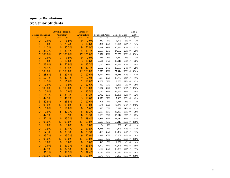|                           |               | Juvenile Justice & |               | School of      |               |                  |       |                |           |    | <b>NSSE</b> |
|---------------------------|---------------|--------------------|---------------|----------------|---------------|------------------|-------|----------------|-----------|----|-------------|
| <b>College of Nursing</b> |               | Psychology         |               | Architecture   |               | Southwest Public |       | Carnegie Class |           |    | 2008        |
| Count                     | $\frac{9}{6}$ | Count              | $\frac{9}{6}$ | Count          | $\frac{9}{6}$ | Count            | $\%$  | Count          | $\%$      | nt | $\%$        |
| $\theta$                  | 0.0%          | 1                  | 5.9%          | $\overline{0}$ | 0.0%          | 819              | 8%    | 3,773          | 6% #      |    | 7%          |
| $\overline{0}$            | 0.0%          | 5                  | 29.4%         | 3              | 17.6%         | 3,301            | 33%   | 20,071         | 34% #     |    | 34%         |
| 1                         | 14.3%         | 6                  | 35.3%         | 9              | 52.9%         | 3,249            | 33%   | 20,724         | 35% #     |    | 35%         |
| 6                         | 85.7%         | 5                  | 29.4%         | 5              | 29.4%         | 2,603            | 26%   | 14,682         | 25% #     |    | 25%         |
| 7                         | 100.0%        | 17                 | 100.0%        | 17             | 100.0%        | 9,972            | 100%  | 59,250 100% #  |           |    | 100%        |
| $\overline{0}$            | 0.0%          | 1                  | 5.9%          | $\overline{0}$ | 0.0%          | 316              | 3%    | 1,630          | 3% #      |    | 3%          |
| $\mathbf{0}$              | 0.0%          | 3                  | 17.6%         | 3              | 17.6%         | 2,621            | 27%   | 15,016         | 26% #     |    | 26%         |
| $\overline{c}$            | 28.6%         | 9                  | 52.9%         | $\overline{6}$ | 35.3%         | 4,150            | 43%   | 25,131         | 44% #     |    | 44%         |
| $\overline{5}$            | 71.4%         | $\overline{4}$     | 23.5%         | 8              | 47.1%         | 2,592            | 27%   | 15,637         | 27% #     |    | 28%         |
| $\overline{7}$            | 100.0%        | 17                 | 100.0%        | 17             | 100.0%        | 9,679            | 100%  | 57,414 100% #  |           |    | 100%        |
| $\overline{2}$            | 28.6%         | 5                  | 29.4%         | 3              | 17.6%         | 3,974            | 41%   | 25,415         | 44% #     |    | 42%         |
| $\overline{4}$            | 57.1%         | 8                  | 47.1%         | 9              | 52.9%         | 3,509            | 36%   | 19,752         | 34% #     |    | 35%         |
| 1                         | 14.3%         | 3                  | 17.6%         | $\overline{2}$ | 11.8%         | 1,262            | 13%   | 7,086          | $12\%$ #  |    | 13%         |
| $\mathbf{0}$              | 0.0%          | 1                  | 5.9%          | $\overline{3}$ | 17.6%         | 932              | 10%   | 5,136          | 9% #      |    | $10\%$      |
| $\overline{7}$            | 100.0%        | 17                 | 100.0%        | 17             | 100.0%        | 9,677            | 100%  | 57,389         | 100% #    |    | 100%        |
| $\mathbf{0}$              | 0.0%          | $\overline{0}$     | 0.0%          | $\overline{4}$ | 23.5%         | 5,174            | 54%   | 27,164         | 47% #     |    | 49%         |
| $\mathbf{1}$              | 14.3%         | 6                  | 35.3%         | $\overline{7}$ | 41.2%         | 2,732            | 28%   | 18,331         | 32% #     |    | 32%         |
| 3                         | 42.9%         | $\overline{7}$     | 41.2%         | 3              | 17.6%         | 1,070            | 11%   | 7,409          | 13% #     |    | 12%         |
| 3                         | 42.9%         | $\overline{4}$     | 23.5%         | 3              | 17.6%         | 695              | 7%    | 4,436          | 8% #      |    | 7%          |
| 7                         | 100.0%        | 17                 | 100.0%        | 17             | 100.0%        | 9,671            | 100%  | 57,340         | $100\%$ # |    | 100%        |
| $\boldsymbol{0}$          | 0.0%          | $\overline{2}$     | 11.8%         | $\overline{0}$ | 0.0%          | 995              | 10%   | 6,329          | 11% #     |    | 11%         |
| $\mathbf{0}$              | 0.0%          | 8                  | 47.1%         | 6              | 35.3%         | 2,557            | 26%   | 16,357         | 28% #     |    | 29%         |
| 3                         | 42.9%         | 1                  | 5.9%          | 6              | 35.3%         | 2,638            | 27%   | 15,612         | 27% #     |    | 27%         |
| $\overline{4}$            | 57.1%         | 6                  | 35.3%         | 5              | 29.4%         | 3,499            | 36%   | 19,117         | 33% #     |    | 33%         |
| $\overline{7}$            | 100.0%        | 17                 | 100.0%        | 17             | 100.0%        | 9,689            | 100%  | 57,415         | 100% #    |    | 100%        |
| $\boldsymbol{0}$          | 0.0%          | $\overline{0}$     | 0.0%          | $\overline{0}$ | 0.0%          | 94               | 1%    | 288            | $1\%$ #   |    | 1%          |
| $\mathbf{0}$              | 0.0%          | 5                  | 29.4%         | $\overline{2}$ | 11.8%         | 1,638            | 17%   | 7,843          | 14% #     |    | 12%         |
| 1                         | 14.3%         | 6                  | 35.3%         | $\overline{6}$ | 35.3%         | 3,054            | 32%   | 18,457         | 32% #     |    | 31%         |
| 6                         | 85.7%         | 6                  | 35.3%         | 9              | 52.9%         | 4,879            | 50%   | 30,769         | 54% #     |    | 56%         |
| 7                         | 100.0%        | 17                 | 100.0%        | 17             | 100.0%        | 9,665            | 100%  | 57,357 100% #  |           |    | 100%        |
| $\mathbf{0}$              | 0.0%          | $\mathbf{0}$       | 0.0%          | $\overline{0}$ | 0.0%          | 446              | $5\%$ | 2,352          | 4% #      |    | $4\%$       |
| $\mathbf{0}$              | 0.0%          | 5                  | 31.3%         | $\overline{4}$ | 23.5%         | 3,399            | 35%   | 19,875         | 35% #     |    | 35%         |
| 3                         | 42.9%         | 6                  | 37.5%         | 8              | 47.1%         | 3,104            | 32%   | 19,358         | 34% #     |    | 33%         |
| $\overline{4}$            | 57.1%         | 5                  | 31.3%         | 5              | 29.4%         | 2,727            | 28%   | 15,797         | 28% #     |    | 28%         |
| $\overline{7}$            | 100.0%        | 16                 | 100.0%        | 17             | 100.0%        | 9,676 100%       |       | 57,382 100% #  |           |    | 100%        |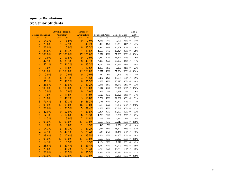|                           |               | Juvenile Justice & |               | School of        |               |                  |       |                |           |    | <b>NSSE</b> |
|---------------------------|---------------|--------------------|---------------|------------------|---------------|------------------|-------|----------------|-----------|----|-------------|
| <b>College of Nursing</b> |               | Psychology         |               | Architecture     |               | Southwest Public |       | Carnegie Class |           |    | 2008        |
| Count                     | $\frac{9}{6}$ | Count              | $\frac{9}{6}$ | Count            | $\frac{9}{6}$ | Count            | $\%$  | Count          | $\%$      | nt | $\%$        |
| 1                         | 14.3%         | 1                  | 5.9%          | $\overline{0}$   | 0.0%          | 1,683            | 17%   | 9,003          | 16% #     |    | 14%         |
| $\overline{2}$            | 28.6%         | 9                  | 52.9%         | $\overline{7}$   | 41.2%         | 3,990            | 41%   | 23,253         | 41% #     |    | 41%         |
| $\overline{2}$            | 28.6%         | 1                  | 5.9%          | 6                | 35.3%         | 2,344            | 24%   | 14,709         | 26% #     |    | 26%         |
| $\overline{2}$            | 28.6%         | 6                  | 35.3%         | $\overline{4}$   | 23.5%         | 1,655            | 17%   | 10,424         | 18% #     |    | 19%         |
| 7                         | 100.0%        | 17                 | 100.0%        | 17               | 100.0%        | 9,672            | 100%  | 57,389         | $100\%$ # |    | 100%        |
| $\boldsymbol{0}$          | 0.0%          | $\overline{2}$     | 11.8%         | $\overline{0}$   | 0.0%          | 2,860            | 30%   | 15,421         | 27% #     |    | 26%         |
| 3                         | 42.9%         | 6                  | 35.3%         | 8                | 47.1%         | 4,020            | 42%   | 25,092         | 44% #     |    | 44%         |
| $\overline{4}$            | 57.1%         | $\overline{7}$     | 41.2%         | 6                | 35.3%         | 1,734            | 18%   | 10,721         | 19% #     |    | 19%         |
| $\overline{0}$            | 0.0%          | $\overline{2}$     | 11.8%         | 3                | 17.6%         | 1,063            | 11%   | 6,160          | $11\%$ #  |    | 11%         |
| 7                         | 100.0%        | 17                 | 100.0%        | 17               | 100.0%        | 9,677 100%       |       | 57,394 100% #  |           |    | 100%        |
| $\boldsymbol{0}$          | 0.0%          | $\mathbf{0}$       | 0.0%          | $\boldsymbol{0}$ | 0.0%          | 532              | 6%    | 2,373          | 4%#       |    | 4%          |
| 1                         | 14.3%         | 6                  | 35.3%         | $\overline{4}$   | 23.5%         | 2,957            | 31%   | 16,635         | 29% #     |    | 29%         |
| $\overline{4}$            | 57.1%         | 7                  | 41.2%         | 6                | 35.3%         | 4,087            | 42%   | 25,975         | 46% #     |    | 46%         |
| $\overline{2}$            | 28.6%         | $\overline{4}$     | 23.5%         | $\overline{7}$   | 41.2%         | 2,041            | 21%   | 11,943         | 21% #     |    | 22%         |
| $\overline{7}$            | 100.0%        | 17                 | 100.0%        | 17               | 100.0%        | 9,617 100%       |       | 56,926 100% #  |           |    | 100%        |
| $\boldsymbol{0}$          | 0.0%          | $\mathbf{0}$       | 0.0%          | $\mathbf{0}$     | 0.0%          | 563              | 6%    | 2,889          | 5% #      |    | 6%          |
| $\boldsymbol{0}$          | 0.0%          | $\overline{2}$     | 11.8%         | 4                | 25.0%         | 3,126            | 33%   | 19,126         | 34% #     |    | 34%         |
| $\overline{2}$            | 28.6%         | $\overline{7}$     | 41.2%         | 3                | 18.8%         | 3,781            | 39%   | 22,602         | 40% #     |    | 39%         |
| 5                         | 71.4%         | 8                  | 47.1%         | 9                | 56.3%         | 2,133            | 22%   | 12,270         | 22% #     |    | 21%         |
| $\overline{7}$            | 100.0%        | 17                 | 100.0%        | 16               | 100.0%        | 9,603            | 100%  | 56,887         | 100% #    |    | 100%        |
| $\overline{2}$            | 28.6%         | 4                  | 23.5%         | 5                | 29.4%         | 4,657            | 49%   | 25,649         | 45% #     |    | 42%         |
| $\overline{3}$            | 42.9%         | 9                  | 52.9%         | $\overline{4}$   | 23.5%         | 2,894            | 30%   | 17,907         | 32% #     |    | 33%         |
| $\mathbf{1}$              | 14.3%         | 3                  | 17.6%         | 6                | 35.3%         | 1,290            | 13%   | 8,286          | 15% #     |    | 15%         |
| 1                         | 14.3%         | 1                  | 5.9%          | $\overline{2}$   | 11.8%         | 758              | $8\%$ | 4,977          | 9% #      |    | 9%          |
| 7                         | 100.0%        | 17                 | 100.0%        | 17               | 100.0%        | 9,599            | 100%  | 56,819         | 100% #    |    | 100%        |
| $\boldsymbol{0}$          | 0.0%          | $\overline{0}$     | 0.0%          | $\mathbf{1}$     | 5.9%          | 446              | 5%    | 2,351          | 4% #      |    | 4%          |
| 1                         | 14.3%         | 6                  | 35.3%         | 7                | 41.2%         | 2,951            | 31%   | 18,727         | 33% #     |    | 32%         |
| $\overline{4}$            | 57.1%         | 8                  | 47.1%         | 5                | 29.4%         | 3,546            | 37%   | 21,446         | 38% #     |    | 38%         |
| $\overline{2}$            | 28.6%         | 3                  | 17.6%         | $\overline{4}$   | 23.5%         | 2,654            | 28%   | 14,303         | 25% #     |    | 26%         |
| $\overline{7}$            | 100.0%        | 17                 | 100.0%        | 17               | 100.0%        | 9,597            | 100%  | 56,827         | $100\%$ # |    | 100%        |
| $\mathbf{1}$              | 14.3%         | 1                  | 5.9%          | $\mathbf{1}$     | 5.9%          | 1,194            | 12%   | 7,272          | 13% #     |    | 12%         |
| $\overline{2}$            | 28.6%         | 5                  | 29.4%         | 5                | 29.4%         | 3,082            | 32%   | 19,929         | 35% #     |    | 35%         |
| $\overline{2}$            | 28.6%         | 7                  | 41.2%         | 5                | 29.4%         | 2,798            | 29%   | 15,753         | 28% #     |    | 28%         |
| $\overline{2}$            | 28.6%         | $\overline{4}$     | 23.5%         | 6                | 35.3%         | 2,534            | 26%   | 13,897         | 24% #     |    | 25%         |
| 7                         | 100.0%        | 17                 | 100.0%        | 17               | 100.0%        | 9,608 100%       |       | 56,851 100% #  |           |    | 100%        |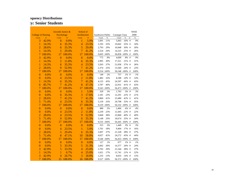|                           |               | Juvenile Justice & |               | School of      |        |                  |        |                |          |             | <b>NSSE</b> |
|---------------------------|---------------|--------------------|---------------|----------------|--------|------------------|--------|----------------|----------|-------------|-------------|
| <b>College of Nursing</b> |               | Psychology         |               | Architecture   |        | Southwest Public |        | Carnegie Class |          |             | 2008        |
| Count                     | $\frac{9}{6}$ | Count              | $\frac{9}{6}$ | Count          | $\%$   | Count            | $\%$   | Count          | $\%$     | $\sqrt{nt}$ | $\%$        |
| 3                         | 42.9%         | $\overline{0}$     | 0.0%          | 1              | 5.9%   | 1,091            | 11%    | 5,843          | 10% #    |             | 9%          |
| 1                         | 14.3%         | 6                  | 35.3%         | $\overline{4}$ | 23.5%  | 3,195            | 33%    | 19,842         | 35% #    |             | 34%         |
| $\overline{2}$            | 28.6%         | 6                  | 35.3%         | 5              | 29.4%  | 2,793            | 29%    | 16,848         | 30% #    |             | 30%         |
| 1                         | 14.3%         | 5                  | 29.4%         | $\overline{7}$ | 41.2%  | 2,524            | 26%    | 14,325         | 25% #    |             | 26%         |
| 7                         | 100.0%        | 17                 | 100.0%        | 17             | 100.0% | 9,603 100%       |        | 56,858 100% #  |          |             | 100%        |
| 3                         | 42.9%         | $\mathbf{0}$       | 0.0%          | $\mathbf{0}$   | 0.0%   | 772              | 8%     | 4,609          | 8% #     |             | 9%          |
| 1                         | 14.3%         | $\overline{2}$     | 11.8%         | 6              | 35.3%  | 2,905            | 30%    | 17,321         | 31% #    |             | 31%         |
| 1                         | 14.3%         | 6                  | 35.3%         | $\overline{4}$ | 23.5%  | 3,503            | 37%    | 21,058         | 37% #    |             | 36%         |
| $\overline{2}$            | 28.6%         | 9                  | 52.9%         | $\overline{7}$ | 41.2%  | 2,374            | 25%    | 13,560         | 24% #    |             | 23%         |
| $\overline{7}$            | 100.0%        | 17                 | 100.0%        | 17             | 100.0% | 9,554 100%       |        | 56,548 100% #  |          |             | 100%        |
| $\overline{0}$            | 0.0%          | $\overline{0}$     | 0.0%          | $\overline{0}$ | 0.0%   | 149              | 2%     | 757            | $1\%$ #  |             | $1\%$       |
| $\overline{0}$            | 0.0%          | $\overline{4}$     | 23.5%         | $\overline{2}$ | 11.8%  | 1,482            | 16%    | 8,188          | 14% #    |             | 14%         |
| 1                         | 14.3%         | 6                  | 35.3%         | $\overline{7}$ | 41.2%  | 4,125            | 43%    | 24,597         | 44% #    |             | 43%         |
| 6                         | 85.7%         | $\overline{7}$     | 41.2%         | 8              | 47.1%  | 3,787            | 40%    | 22,931         | 41% #    |             | 43%         |
| $\overline{7}$            | 100.0%        | 17                 | 100.0%        | 17             | 100.0% | 9,543 100%       |        | 56,473 100% #  |          |             | 100%        |
| $\overline{0}$            | 0.0%          | $\overline{0}$     | 0.0%          | $\mathbf{1}$   | 5.9%   | 329              | 3%     | 1,763          | 3% #     |             | 3%          |
| $\boldsymbol{0}$          | 0.0%          | 6                  | 35.3%         | 3              | 17.6%  | 2,181            | 23%    | 12,291         | 22% #    |             | 21%         |
| $\overline{2}$            | 28.6%         | 7                  | 41.2%         | $\overline{7}$ | 41.2%  | 3,860            | 41%    | 23,480         | 42% #    |             | 41%         |
| 5                         | 71.4%         | $\overline{4}$     | 23.5%         | 6              | 35.3%  | 3,159            | 33%    | 18,798         | 33% #    |             | 35%         |
| 7                         | 100.0%        | 17                 | 100.0%        | 17             | 100.0% | 9,529            | 100%   | 56,332 100% #  |          |             | 100%        |
| $\boldsymbol{0}$          | 0.0%          | $\mathbf{0}$       | 0.0%          | $\mathbf{0}$   | 0.0%   | 480              | 5%     | 2,466          | 4%#      |             | 4%          |
| $\mathbf{0}$              | 0.0%          | $\overline{4}$     | 23.5%         | $\overline{2}$ | 11.8%  | 2,239            | 23%    | 12,445         | 22% #    |             | 22%         |
| $\overline{2}$            | 28.6%         | 4                  | 23.5%         | 9              | 52.9%  | 3,668            | $38\%$ | 22,860         | 40% #    |             | 40%         |
| 5                         | 71.4%         | 9                  | 52.9%         | 6              | 35.3%  | 3,148            | 33%    | 18,674         | 33% #    |             | 34%         |
| $\overline{7}$            | 100.0%        | 17                 | 100.0%        | 17             | 100.0% | 9,535 100%       |        | 56,445 100% #  |          |             | 100%        |
| $\overline{0}$            | 0.0%          | $\overline{0}$     | 0.0%          | $\overline{0}$ | 0.0%   | 315              | 3%     | 1,449          | 3%#      |             | 3%          |
| $\overline{0}$            | 0.0%          | $\overline{4}$     | 23.5%         | 1              | 5.9%   | 1,701            | 18%    | 9,404          | 17% #    |             | 16%         |
| $\overline{2}$            | 28.6%         | 5                  | 29.4%         | 6              | 35.3%  | 3,497            | 37%    | 21,328         | 38% #    |             | 37%         |
| 5                         | 71.4%         | 8                  | 47.1%         | 10             | 58.8%  | 4,027            | 42%    | 24,272         | 43% #    |             | 44%         |
| $\overline{7}$            | 100.0%        | 17                 | 100.0%        | 17             | 100.0% | 9,540 100%       |        | 56,453 100% #  |          |             | 100%        |
| $\overline{0}$            | 0.0%          | $\overline{0}$     | 0.0%          | $\mathbf{0}$   | 0.0%   | 127              | 1%     | 677            | $1\%$ #  |             | 1%          |
| $\overline{0}$            | 0.0%          | 5                  | 33.3%         | 5              | 31.3%  | 2,842            | 30%    | 14,377         | 26% #    |             | 24%         |
| 3                         | 42.9%         | 5                  | 33.3%         | $\overline{4}$ | 25.0%  | 3,702            | 39%    | 21,544         | 38% #    |             | 37%         |
| 1                         | 14.3%         | $\mathbf{1}$       | 6.7%          | $\overline{4}$ | 25.0%  | 1,621            | 17%    | 11,741         | $21\%$ # |             | 22%         |
| 3                         | 42.9%         | $\overline{4}$     | 26.7%         | 3              | 18.8%  | 1,235            | 13%    | 8,033          | 14% #    |             | 15%         |
| $\overline{7}$            | 100.0%        | 15                 | 100.0%        | 16             | 100.0% | 9,527 100%       |        | 56,372 100% #  |          |             | 100%        |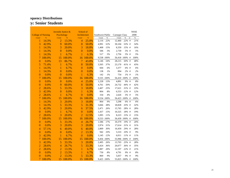|                           |               | Juvenile Justice & |               | School of      |        |                  |            |                |          |             | <b>NSSE</b> |
|---------------------------|---------------|--------------------|---------------|----------------|--------|------------------|------------|----------------|----------|-------------|-------------|
| <b>College of Nursing</b> |               | Psychology         |               | Architecture   |        | Southwest Public |            | Carnegie Class |          |             | 2008        |
| Count                     | $\frac{9}{6}$ | Count              | $\frac{9}{6}$ | Count          | $\%$   | Count            | $\%$       | Count          | $\%$     | $\sqrt{nt}$ | $\%$        |
| 1                         | 14.3%         | $\overline{2}$     | 13.3%         | 4              | 25.0%  | 2,116            | 22%        | 12,460         | 22% #    |             | 21%         |
| 3                         | 42.9%         | 9                  | 60.0%         | 8              | 50.0%  | 4,991            | 52%        | 30,104         | 53% #    |             | 54%         |
| $\mathbf{1}$              | 14.3%         | 3                  | 20.0%         | 3              | 18.8%  | 1,408            | 15%        | 8,359          | 15% #    |             | 16%         |
| 1                         | 14.3%         | $\overline{0}$     | 0.0%          | $\overline{0}$ | 0.0%   | 506              | 5%         | 2,739          | 5% #     |             | 5%          |
| 1                         | 14.3%         | 1                  | 6.7%          | 1              | 6.3%   | 517              | 5%         | 2,756          | 5% #     |             | 5%          |
| 7                         | 100.0%        | 15                 | 100.0%        | 16             | 100.0% | 9,538            | 100%       | 56,418 100% #  |          |             | 100%        |
| $\overline{0}$            | 0.0%          | 13                 | 86.7%         | 7              | 43.8%  | 5,146            | 54%        | 28,215         | 50% #    |             | 48%         |
| 5                         | 71.4%         | 1                  | 6.7%          | 8              | 50.0%  | 3,505            | 37%        | 23,170         | 41% #    |             | 43%         |
| $\mathbf{1}$              | 14.3%         | 1                  | 6.7%          | $\overline{0}$ | 0.0%   | 604              | 6%         | 3,377          | 6% #     |             | 6%          |
| $\mathbf{1}$              | 14.3%         | $\overline{0}$     | 0.0%          | $\overline{0}$ | 0.0%   | 138              | 1%         | 894            | $2\%$ #  |             | 2%          |
| $\boldsymbol{0}$          | 0.0%          | $\overline{0}$     | 0.0%          | 1              | 6.3%   | 142              | 1%         | 754            | $1\%$ #  |             | 1%          |
| $\overline{7}$            | 100.0%        | 15                 | 100.0%        | 16             | 100.0% | 9,535 100%       |            | 56,410 100% #  |          |             | 100%        |
| $\boldsymbol{0}$          | 0.0%          | $\mathbf{0}$       | 0.0%          | 4              | 25.0%  | 1,228            | 13%        | 4,891          | 9% #     |             | 8%          |
| $\boldsymbol{0}$          | 0.0%          | 9                  | 60.0%         | 8              | 50.0%  | 4,761            | 50%        | 24,732         | 44% #    |             | 42%         |
| $\overline{2}$            | 28.6%         | 5                  | 33.3%         | 3              | 18.8%  | 2,407            | 25%        | 17,621         | 31% #    |             | 33%         |
| $\overline{3}$            | 42.9%         | $\overline{0}$     | 0.0%          | $\mathbf{1}$   | 6.3%   | 804              | $8\%$      | 6,553          | 12% #    |             | 12%         |
| $\overline{2}$            | 28.6%         |                    | 6.7%          | $\overline{0}$ | 0.0%   | 334              | 4%         | 2,626          | 5% #     |             | 5%          |
| $\overline{7}$            | 100.0%        | 15                 | 100.0%        | 16             | 100.0% |                  | 9,534 100% | 56,423 100% #  |          |             | $100\%$     |
| 1                         | 14.3%         | 3                  | 20.0%         | 3              | 18.8%  | 864              | 9%         | 3,298          | 6% #     |             | 6%          |
| 1                         | 14.3%         | 5                  | 33.3%         | 5              | 31.3%  | 3,666            | 38%        | 18,828         | 33% #    |             | 32%         |
| 3                         | 42.9%         | 3                  | 20.0%         | 6              | 37.5%  | 2,471            | 26%        | 15,765         | 28% #    |             | 28%         |
| $\overline{0}$            | 0.0%          | 1                  | 6.7%          | $\overline{0}$ | 0.0%   | 1,437            | 15%        | 10,325         | 18% #    |             | 19%         |
| $\overline{2}$            | 28.6%         | 3                  | 20.0%         | $\overline{2}$ | 12.5%  | 1,095            | 11%        | 8,223          | $15%$ #  |             | 15%         |
| $\overline{7}$            | 100.0%        | 15                 | 100.0%        | 16             | 100.0% | 9,533            | 100%       | 56,439 100% #  |          |             | 100%        |
| $\mathbf{0}$              | 0.0%          | 5                  | 33.3%         | 4              | 26.7%  | 1,586            | 17%        | 10,379         | 19% #    |             | 20%         |
| $\boldsymbol{0}$          | 0.0%          | 3                  | 20.0%         | 3              | 20.0%  | 2,974            | 31%        | 17,614         | 31% #    |             | 31%         |
| 4                         | 57.1%         | 6                  | 40.0%         | 6              | 40.0%  | 2,809            | 30%        | 16,459         | 29% #    |             | 28%         |
| $\boldsymbol{0}$          | 0.0%          | $\overline{0}$     | 0.0%          | $\overline{2}$ | 13.3%  | 942              | $10\%$     | 5,533          | 10% #    |             | 9%          |
| 3                         | 42.9%         | 1                  | 6.7%          | $\overline{0}$ | 0.0%   | 1,145            | 12%        | 6,011          | $11\%$ # |             | 11%         |
| $\overline{7}$            | 100.0%        | 15                 | 100.0%        | 15             | 100.0% | 9,456            | 100%       | 55,996 100% #  |          |             | 100%        |
| 3                         | 42.9%         | 5                  | 33.3%         | 3              | 20.0%  | 2,495            | 26%        | 13,703         | 25% #    |             | 28%         |
| $\overline{2}$            | 28.6%         | $\overline{4}$     | 26.7%         | 5              | 33.3%  | 3,424            | 36%        | 20,077         | 36% #    |             | 35%         |
| $\overline{2}$            | 28.6%         | $\overline{2}$     | 13.3%         | $\mathbf{1}$   | 6.7%   | 1,887            | 20%        | 12,197         | 22% #    |             | 21%         |
| $\overline{0}$            | 0.0%          | $\overline{2}$     | 13.3%         | 1              | 6.7%   | 750              | 8%         | 4,791          | 9% #     |             | 8%          |
| $\overline{0}$            | 0.0%          | $\overline{2}$     | 13.3%         | 5              | 33.3%  | 869              | 9%         | 5,057          | 9% #     |             | 9%          |
| 7                         | 100.0%        | 15                 | 100.0%        | 15             | 100.0% | 9,425 100%       |            | 55,825 100% #  |          |             | 100%        |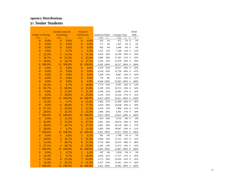|                           |               | Juvenile Justice & |               | School of      |               |                  |            |                |         |    | <b>NSSE</b> |
|---------------------------|---------------|--------------------|---------------|----------------|---------------|------------------|------------|----------------|---------|----|-------------|
| <b>College of Nursing</b> |               | Psychology         |               | Architecture   |               | Southwest Public |            | Carnegie Class |         |    | 2008        |
| Count                     | $\frac{9}{6}$ | Count              | $\frac{9}{6}$ | Count          | $\frac{9}{6}$ | Count            | $\%$       | Count          | $\%$    | nt | $\%$        |
| $\overline{0}$            | 0.0%          | $\overline{0}$     | 0.0%          | $\overline{0}$ | 0.0%          | 103              | 1%         | 672            | $1\%$ # |    | $1\%$       |
| $\overline{0}$            | 0.0%          | $\overline{0}$     | 0.0%          | $\overline{0}$ | 0.0%          | 177              | 2%         | 1,107          | $2\%$ # |    | 2%          |
| $\overline{0}$            | 0.0%          | $\overline{0}$     | 0.0%          | $\overline{0}$ | 0.0%          | 402              | 4%         | 2,440          | 4% #    |    | $4\%$       |
| $\overline{0}$            | 0.0%          | 1                  | 6.7%          | 1              | 6.3%          | 1,141            | 12%        | 7,148          | 13% #   |    | 12%         |
| $\overline{2}$            | 33.3%         | $\overline{2}$     | 13.3%         | 5              | 31.3%         | 2,456            | 26%        | 16,169         | 29% #   |    | 29%         |
| $\mathbf{1}$              | 16.7%         | 8                  | 53.3%         | $\overline{4}$ | 25.0%         | 2,890            | 30%        | 17,302         | 31% #   |    | 32%         |
| 3                         | 50.0%         | $\overline{4}$     | 26.7%         | 6              | 37.5%         | 2,336            | 25%        | 11,479         | 20% #   |    | 20%         |
| 6                         | 100.0%        | 15                 | 100.0%        | 16             | 100.0%        | 9,505 100%       |            | 56,317 100% #  |         |    | $100\%$     |
| $\mathbf{0}$              | 0.0%          | $\overline{0}$     | 0.0%          | $\mathbf{0}$   | 0.0%          | 3,159            | 33%        | 16,557         | 30% #   |    | $26\%$      |
| $\overline{0}$            | 0.0%          | $\overline{0}$     | 0.0%          | $\overline{0}$ | 0.0%          | 4,234            | 45%        | 25,750         | 46% #   |    | 47%         |
| $\boldsymbol{0}$          | 0.0%          | $\boldsymbol{0}$   | 0.0%          | $\overline{0}$ | 0.0%          | 1,269            | 13%        | 8,087          | 14% #   |    | $16\%$      |
| $\overline{0}$            | 0.0%          | $\overline{0}$     | 0.0%          | $\overline{0}$ | 0.0%          | 778              | $8\%$      | 5,511          | 10% #   |    | 11%         |
| $\mathbf{0}$              | 0.0%          | $\overline{0}$     | 0.0%          | $\overline{0}$ | 0.0%          |                  | 9,440 100% | 55,905         | 100% #  |    | 100%        |
| $\mathbf{1}$              | 14.3%         | 1                  | 6.7%          | 3              | 18.8%         | 1,774            | 19%        | 8,781          | $16%$ # |    | 13%         |
| $\overline{6}$            | 85.7%         | 9                  | 60.0%         | $\overline{4}$ | 25.0%         | 3,339            | 35%        | 18,723         | 34% #   |    | 32%         |
| $\overline{0}$            | 0.0%          | $\overline{2}$     | 13.3%         | 5              | 31.3%         | 2,100            | 22%        | 12,983         | 23% #   |    | 24%         |
| $\overline{0}$            | 0.0%          | 3                  | 20.0%         | $\overline{4}$ | 25.0%         | 2,210            | 23%        | 15,324         | 27% #   |    | 31%         |
| 7                         | 100.0%        | 15                 | 100.0%        | 16             | 100.0%        | 9,423 100%       |            | 55,811 100% #  |         |    | $100\%$     |
| $\mathbf{1}$              | 14.3%         | 1                  | 6.7%          | $\overline{4}$ | 25.0%         | 3,482            | 37%        | 22,390         | 40% #   |    | 38%         |
| $\overline{0}$            | 0.0%          | 6                  | 40.0%         | 6              | 37.5%         | 2,618            | 28%        | 16,038         | 29% #   |    | 29%         |
| $\overline{4}$            | 57.1%         | 3                  | 20.0%         | $\overline{2}$ | 12.5%         | 1,419            | 15%        | 7,996          | 14% #   |    | 15%         |
| $\overline{2}$            | 28.6%         | 5                  | 33.3%         | $\overline{4}$ | 25.0%         | 1,906            | 20%        | 9,391          | 17% #   |    | 18%         |
| $\overline{7}$            | 100.0%        | 15                 | 100.0%        | 16             | 100.0%        | 9,425 100%       |            | 55,815 100% #  |         |    | $100\%$     |
| $\overline{0}$            | 0.0%          | $\overline{2}$     | 13.3%         | $\overline{2}$ | 12.5%         | 914              | 10%        | 4,732          | 8% #    |    | 8%          |
| 3                         | 42.9%         | 5                  | 33.3%         | 6              | 37.5%         | 3,301            | 35%        | 20,074         | 36% #   |    | 35%         |
| $\overline{2}$            | 28.6%         | $\overline{7}$     | 46.7%         | 6              | 37.5%         | 3,381            | 36%        | 20,118         | 36% #   |    | 37%         |
| $\overline{2}$            | 28.6%         | $\mathbf{1}$       | 6.7%          | $\overline{2}$ | 12.5%         | 1,826            | 19%        | 10,947         | 20% #   |    | 21%         |
| $\overline{7}$            | 100.0%        | 15                 | 100.0%        | 16             | 100.0%        | 9,422 100%       |            | 55,871 100% #  |         |    | 100%        |
| $\mathbf{0}$              | 0.0%          | $\overline{0}$     | 0.0%          | $\mathbf{1}$   | 6.3%          | 581              | 6%         | 2,746          | 5% #    |    | 5%          |
| $\overline{2}$            | 28.6%         | $\overline{4}$     | 26.7%         | 5              | 31.3%         | 2,946            | 31%        | 17,213         | 31% #   |    | 31%         |
| $\mathbf{1}$              | 14.3%         | $\overline{7}$     | 46.7%         | 6              | 37.5%         | 3,734            | $40\%$     | 22,555         | 40% #   |    | $40\%$      |
| $\overline{4}$            | 57.1%         | $\overline{4}$     | 26.7%         | $\overline{4}$ | 25.0%         | 2,182            | 23%        | 13,373         | 24% #   |    | 25%         |
| $\overline{7}$            | 100.0%        | 15                 | 100.0%        | 16             | 100.0%        |                  | 9,443 100% | 55,887 100% #  |         |    | 100%        |
| $\overline{0}$            | 0.0%          | 1                  | 6.7%          | $\mathbf{1}$   | 6.3%          | 347              | 4%         | 1,628          | 3%#     |    | 3%          |
| $\mathbf{1}$              | 14.3%         | 1                  | 6.7%          | 3              | 18.8%         | 3,016            | 32%        | 17,157         | 31% #   |    | $30\%$      |
| 5                         | 71.4%         | 8                  | 53.3%         | 7              | 43.8%         | 3,713            | 39%        | 22,916         | 41% #   |    | 41%         |
| $\mathbf{1}$              | 14.3%         | 5                  | 33.3%         | 5              | 31.3%         | 2,357            | 25%        | 14,181         | 25% #   |    | $26\%$      |
| $\overline{7}$            | 100.0%        | 15                 | 100.0%        | 16             | 100.0%        | 9,433            | 100%       | 55,882 100% #  |         |    | 100%        |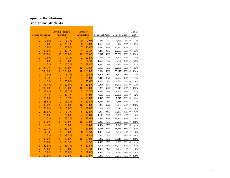|                           |               | Juvenile Justice & |               | School of      |               |                  |      |                |           |    | <b>NSSE</b> |
|---------------------------|---------------|--------------------|---------------|----------------|---------------|------------------|------|----------------|-----------|----|-------------|
| <b>College of Nursing</b> |               | Psychology         |               | Architecture   |               | Southwest Public |      | Carnegie Class |           |    | 2008        |
| Count                     | $\frac{9}{6}$ | Count              | $\frac{9}{6}$ | Count          | $\frac{9}{6}$ | Count            | $\%$ | Count          | $\%$      | nt | $\%$        |
| $\overline{0}$            | 0.0%          | 1                  | 6.7%          | $\overline{0}$ | 0.0%          | 913              | 10%  | 4,235          | 8% #      |    | $7\%$       |
| $\mathbf{0}$              | 0.0%          | $\overline{4}$     | 26.7%         | $\overline{0}$ | 0.0%          | 1,570            | 17%  | 8,172          | 15% #     |    | 15%         |
| $\overline{0}$            | 0.0%          | 3                  | 20.0%         | $\overline{7}$ | 43.8%         | 2,617            | 28%  | 13,720         | 25% #     |    | 21%         |
| $\overline{7}$            | 100.0%        | 7                  | 46.7%         | 9              | 56.3%         | 4,247            | 45%  | 29,139         | 53% #     |    | 57%         |
| $\overline{7}$            | 100.0%        | 15                 | 100.0%        | 16             | 100.0%        | 9,347            | 100% | 55,266 100% #  |           |    | 100%        |
| $\mathbf{0}$              | 0.0%          | 1                  | 6.7%          | $\overline{2}$ | 12.5%         | 949              | 10%  | 5,249          | $10\%$ #  |    | 8%          |
| $\overline{0}$            | 0.0%          | $\overline{0}$     | 0.0%          | 1              | 6.3%          | 1,558            | 17%  | 8,736          | 16% #     |    | 15%         |
| 1                         | 14.3%         | $\overline{2}$     | 13.3%         | 3              | 18.8%         | 1,622            | 17%  | 8,384          | 15% #     |    | 13%         |
| $\overline{6}$            | 85.7%         | 12                 | 80.0%         | 10             | 62.5%         | 5,195            | 56%  | 32,808         | 59% #     |    | 63%         |
| $\overline{7}$            | 100.0%        | 15                 | 100.0%        | 16             | 100.0%        | 9,324 100%       |      | 55,177         | 100% #    |    | 100%        |
| $\boldsymbol{0}$          | 0.0%          | 1                  | 6.7%          | $\overline{2}$ | 12.5%         | 1,496            | 16%  | 8,129          | 15% #     |    | 13%         |
| 1                         | 14.3%         | $\overline{2}$     | 13.3%         | $\overline{4}$ | 25.0%         | 4,414            | 47%  | 27,122         | 49% #     |    | 51%         |
| 1                         | 14.3%         | 3                  | 20.0%         | $\overline{4}$ | 25.0%         | 1,038            | 11%  | 4,892          | 9% #      |    | $8\%$       |
| 5                         | 71.4%         | 9                  | 60.0%         | 6              | 37.5%         | 2,381            | 26%  | 14,976         | 27% #     |    | 27%         |
| $\overline{7}$            | 100.0%        | 15                 | 100.0%        | 16             | 100.0%        | 9,329            | 100% | 55,119         | 100% #    |    | $100\%$     |
| $\overline{2}$            | 28.6%         | 5                  | 33.3%         | $\overline{2}$ | 12.5%         | 1,693            | 18%  | 9,666          | 18% #     |    | 15%         |
| $\mathbf{1}$              | 14.3%         | 7                  | 46.7%         | $\overline{4}$ | 25.0%         | 4,656            | 50%  | 29,031         | 53% #     |    | 52%         |
| $\overline{2}$            | 28.6%         | 1                  | 6.7%          | $\overline{4}$ | 25.0%         | 1,446            | 16%  | 7,017          | 13% #     |    | 12%         |
| $\overline{2}$            | 28.6%         | $\overline{2}$     | 13.3%         | 6              | 37.5%         | 1,531            | 16%  | 9,388          | 17% #     |    | 21%         |
| $\overline{7}$            | 100.0%        | 15                 | 100.0%        | 16             | 100.0%        | 9,326 100%       |      | 55,102         | 100% #    |    | 100%        |
| $\overline{2}$            | 28.6%         | $\overline{0}$     | 0.0%          | 3              | 18.8%         | 981              | 11%  | 5,010          | 9% #      |    | 8%          |
| $\overline{2}$            | 28.6%         | 1                  | 6.7%          | $\overline{6}$ | 37.5%         | 3,857            | 41%  | 25,287         | 46% #     |    | 41%         |
| $\overline{2}$            | 28.6%         | 3                  | 20.0%         | 3              | 18.8%         | 1,119            | 12%  | 5,005          | 9% #      |    | $8\%$       |
| 1                         | 14.3%         | 11                 | 73.3%         | $\overline{4}$ | 25.0%         | 3,378            | 36%  | 19,864         | 36% #     |    | 44%         |
| 7                         | 100.0%        | 15                 | 100.0%        | 16             | 100.0%        | 9,335            | 100% | 55,166 100% #  |           |    | 100%        |
| $\mathbf{1}$              | 14.3%         | 3                  | 20.0%         | 3              | 18.8%         | 1,434            | 15%  | 7,249          | 13% #     |    | 11%         |
| $\overline{4}$            | 57.1%         | 7                  | 46.7%         | $\overline{4}$ | 25.0%         | 5,988            | 64%  | 36,434         | 66% #     |    | 63%         |
| $\mathbf{1}$              | 14.3%         | $\overline{0}$     | 0.0%          | $\overline{6}$ | 37.5%         | 1,075            | 12%  | 4,830          | 9% #      |    | $8\%$       |
| 1                         | 14.3%         | 5                  | 33.3%         | 3              | 18.8%         | 835              | 9%   | 6,605          | $12\%$ #  |    | 18%         |
| 7                         | 100.0%        | 15                 | 100.0%        | 16             | 100.0%        | 9,332 100%       |      | 55,118 100% #  |           |    | 100%        |
| $\overline{c}$            | 28.6%         | 5                  | 33.3%         | $\overline{2}$ | 12.5%         | 1,428            | 15%  | 6,989          | 13% #     |    | $11\%$      |
| 3                         | 42.9%         | $\overline{7}$     | 46.7%         | 6              | 37.5%         | 5,395            | 58%  | 34,090         | 62% #     |    | 61%         |
| $\overline{2}$            | 28.6%         | $\overline{0}$     | 0.0%          | 5              | 31.3%         | 1,054            | 11%  | 4,902          | 9% #      |    | 8%          |
| $\overline{0}$            | 0.0%          | 3                  | 20.0%         | 3              | 18.8%         | 1,453            | 16%  | 9,094          | 17% #     |    | 20%         |
| 7                         | 100.0%        | 15                 | 100.0%        | 16             | 100.0%        | 9,330 100%       |      | 55,075         | $100\%$ # |    | 100%        |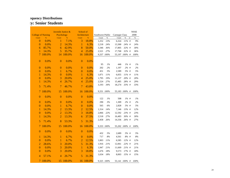|                           |               | Juvenile Justice & |        | School of        |           |                  |            |                |         |    | <b>NSSE</b> |
|---------------------------|---------------|--------------------|--------|------------------|-----------|------------------|------------|----------------|---------|----|-------------|
| <b>College of Nursing</b> |               | Psychology         |        | Architecture     |           | Southwest Public |            | Carnegie Class |         |    | 2008        |
| Count                     | $\frac{9}{6}$ | Count              | $\%$   | Count            | $\%$      | Count            | $\%$       | Count          | $\%$    | nt | $\%$        |
| $\Omega$                  | 0.0%          | 1                  | 7.1%   | 3                | 18.8%     | 1,252            | 13%        | 6,324          | 11% #   |    | 9%          |
| $\boldsymbol{0}$          | 0.0%          | $\overline{2}$     | 14.3%  | 1                | 6.3%      | 2,218            | 24%        | 13,300         | 24% #   |    | 24%         |
| 6                         | 85.7%         | 6                  | 42.9%  | 8                | 50.0%     | 3,346            | 36%        | 17,805         | 32% #   |    | 30%         |
| 1                         | 14.3%         | 5                  | 35.7%  | $\overline{4}$   | 25.0%     | 2,521            | 27%        | 17,768         | 32% #   |    | 36%         |
| 7                         | 100.0%        | 14                 | 100.0% | 16               | 100.0%    |                  | 9,337 100% | 55,197 100% #  |         |    | 100%        |
| $\boldsymbol{0}$          | 0.0%          | $\mathbf{0}$       | 0.0%   | $\mathbf{0}$     | 0.0%      |                  |            |                |         |    |             |
|                           |               |                    |        |                  |           | 95               | 1%         | 446            | $1\%$ # |    | $1\%$       |
| $\mathbf{0}$              | 0.0%          | $\mathbf{0}$       | 0.0%   | $\boldsymbol{0}$ | 0.0%      | 202              | $2\%$      | 1,197          | $2\%$ # |    | $2\%$       |
| $\mathbf{0}$              | 0.0%          | 1                  | 6.7%   | $\overline{0}$   | 0.0%      | 451              | 5%         | 2,589          | 5% #    |    | 5%          |
| 1                         | 14.3%         | $\overline{0}$     | 0.0%   | 1                | 6.3%      | 1,071            | $11\%$     | 6,055          | 11% #   |    | 11%         |
| $\boldsymbol{0}$          | 0.0%          | 3                  | 20.0%  | $\overline{4}$   | 25.0%     | 1,795            | 19%        | 11,137         | 20% #   |    | 20%         |
| 1                         | 14.3%         | $\overline{4}$     | 26.7%  | $\overline{4}$   | 25.0%     | 2,524            | 27%        | 15,485         | 28% #   |    | 29%         |
| 5                         | 71.4%         | 7                  | 46.7%  | 7                | 43.8%     | 3,193            | 34%        | 18,274         | 33% #   |    | 33%         |
| 7                         | 100.0%        | 15                 | 100.0% | 16               | 100.0%    |                  | 9,331 100% | 55,183 100% #  |         |    | 100%        |
| $\mathbf{0}$              | 0.0%          | $\overline{0}$     | 0.0%   | $\mathbf{0}$     | 0.0%      | 122              | 1%         | 508            | $1\%$ # |    | 1%          |
| $\mathbf{0}$              | 0.0%          | $\overline{0}$     | 0.0%   | $\overline{0}$   | 0.0%      | 290              | 3%         | 1,309          | $2\%$ # |    | $2\%$       |
| $\mathbf{0}$              | 0.0%          | 1                  | 6.7%   | $\overline{0}$   | 0.0%      | 565              | 6%         | 2,828          | 5% #    |    | 5%          |
| 1                         | 14.3%         | $\overline{2}$     | 13.3%  | $\overline{2}$   | 12.5%     | 1,314            | 14%        | 7,146          | 13% #   |    | 12%         |
| $\boldsymbol{0}$          | 0.0%          | $\overline{2}$     | 13.3%  | 3                | 18.8%     | 2,066            | 22%        | 12,592         | 23% #   |    | 23%         |
| 1                         | 14.3%         | $\overline{2}$     | 13.3%  | 6                | 37.5%     | 2,518            | 27%        | 16,483         | 30% #   |    | 30%         |
| 5                         | 71.4%         | 8                  | 53.3%  | 5                | 31.3%     | 2,458            | 26%        | 14,336         | 26% #   |    | 27%         |
| $\tau$                    | 100.0%        | 15                 | 100.0% | 16               | 100.0%    |                  | 9,333 100% | 55,202 100% #  |         |    | 100%        |
| $\boldsymbol{0}$          | 0.0%          | $\overline{0}$     | 0.0%   | $\mathbf{0}$     | 0.0%      | 432              | 5%         | 2,689          | 5% #    |    | 5%          |
| 1                         | 14.3%         | 1                  | 6.7%   | $\overline{0}$   | 0.0%      | 717              | 8%         | 4,561          | $8\%$ # |    | 8%          |
| $\boldsymbol{0}$          | 0.0%          | 1                  | 6.7%   | $\overline{2}$   | 12.5%     | 1,003            | 11%        | 6,585          | 12% #   |    | 12%         |
| $\overline{2}$            | 28.6%         | 3                  | 20.0%  | 5                | 31.3%     | 1,916            | 21%        | 12,061         | 22% #   |    | 21%         |
| $\mathbf{0}$              | 0.0%          | 3                  | 20.0%  | $\mathbf{1}$     | 6.3%      | 1,947            | 21%        | 11,669         | 21% #   |    | 21%         |
| $\mathbf{0}$              | 0.0%          | 3                  | 20.0%  | 3                | 18.8%     | 1,676            | $18\%$     | 9,573          | $17%$ # |    | 18%         |
| 4                         | 57.1%         | 4                  | 26.7%  | 5                | 31.3%     | 1,634            | $18\%$     | 8,003          | 15% #   |    | 15%         |
| $\overline{7}$            | 100.0%        | 15                 | 100.0% |                  | 16 100.0% |                  | 9,325 100% | 55,141 100% #  |         |    | 100%        |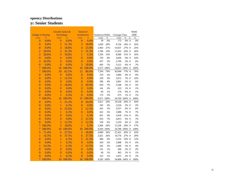|                           |               | Juvenile Justice & |               | School of      |               |                  |            |                |         |    | <b>NSSE</b> |
|---------------------------|---------------|--------------------|---------------|----------------|---------------|------------------|------------|----------------|---------|----|-------------|
| <b>College of Nursing</b> |               | Psychology         |               | Architecture   |               | Southwest Public |            | Carnegie Class |         |    | 2008        |
| Count                     | $\frac{9}{6}$ | Count              | $\frac{9}{6}$ | Count          | $\frac{9}{6}$ | Count            | $\%$       | Count          | $\%$    | nt | $\%$        |
| 0                         | 0.0%          | $\overline{0}$     | 0.0%          | $\mathbf{0}$   | 0.0%          | 39               | $0\%$      | 172            | 0% #    |    | $0\%$       |
| $\boldsymbol{0}$          | 0.0%          | 5                  | 31.3%         | 3              | 18.8%         | 1,828            | 20%        | 9,726          | 18% #   |    | 16%         |
| $\boldsymbol{0}$          | 0.0%          | 3                  | 18.8%         | $\overline{4}$ | 25.0%         | 2,463            | 27%        | 14,657         | 27% #   |    | 25%         |
| $\overline{2}$            | 28.6%         | 5                  | 31.3%         | 5              | 31.3%         | 1,786            | 19%        | 11,053         | 20% #   |    | 20%         |
| $\overline{2}$            | 28.6%         | 3                  | 18.8%         | $\mathbf{1}$   | 6.3%          | 1,336            | 14%        | 8,380          | 15% #   |    | 16%         |
| $\mathbf{0}$              | 0.0%          | $\overline{0}$     | 0.0%          | $\overline{0}$ | 0.0%          | 759              | 8%         | 4,826          | 9% #    |    | 10%         |
| 3                         | 42.9%         | $\overline{0}$     | 0.0%          | $\overline{0}$ | 0.0%          | 457              | 5%         | 2,799          | 5% #    |    | 6%          |
| $\overline{0}$            | 0.0%          | $\overline{0}$     | 0.0%          | 3              | 18.8%         | 605              | 7%         | 3,212          | 6% #    |    | $7\%$       |
| $\overline{7}$            | 100.0%        | 16                 | 100.0%        | 16             | 100.0%        |                  | 9,273 100% | 54,825 100% #  |         |    | 100%        |
| $\overline{7}$            | 100.0%        | 10                 | 62.5%         | 12             | 80.0%         | 7,294            | 79%        | 42,044         | 77% #   |    | $70\%$      |
| $\boldsymbol{0}$          | 0.0%          | $\overline{0}$     | 0.0%          | $\mathbf{0}$   | 0.0%          | 210              | 2%         | 2,066          | 4%#     |    | $6\%$       |
| $\overline{0}$            | 0.0%          | $\overline{2}$     | 12.5%         | $\overline{0}$ | 0.0%          | 329              | 4%         | 3,672          | 7% #    |    | 10%         |
| $\overline{0}$            | 0.0%          | $\overline{0}$     | 0.0%          | $\overline{0}$ | 0.0%          | 396              | 4%         | 2,861          | 5% #    |    | 6%          |
| $\overline{0}$            | 0.0%          | 3                  | 18.8%         | 3              | 20.0%         | 659              | 7%         | 2,548          | 5% #    |    | 5%          |
| $\overline{0}$            | 0.0%          | $\overline{0}$     | 0.0%          | $\overline{0}$ | 0.0%          | 141              | 2%         | 633            | $1\%$ # |    | 1%          |
| $\overline{0}$            | 0.0%          | $\overline{0}$     | 0.0%          | $\overline{0}$ | 0.0%          | 69               | 1%         | 270            | 0% #    |    | 1%          |
| $\boldsymbol{0}$          | 0.0%          | 1                  | 6.3%          | $\mathbf{0}$   | 0.0%          | 173              | 2%         | 675            | $1\%$ # |    | 1%          |
| 7                         | 100.0%        | 16                 | 100.0%        | 15             | 100.0%        | 9,271            | 100%       | 54,769 100% #  |         |    | $100\%$     |
| $\boldsymbol{0}$          | 0.0%          | 5                  | 31.3%         | 8              | 50.0%         | 3,611            | 39%        | 19,538         | 36% #   |    | 44%         |
| $\boldsymbol{0}$          | 0.0%          | $\mathbf{1}$       | 6.3%          | $\mathbf{0}$   | 0.0%          | 345              | $4\%$      | 2,534          | 5% #    |    | 5%          |
| $\boldsymbol{0}$          | 0.0%          | 4                  | 25.0%         | $\overline{2}$ | 12.5%         | 452              | 5%         | 3,557          | 6% #    |    | $6\%$       |
| $\boldsymbol{0}$          | 0.0%          | 1                  | 6.3%          | $\overline{0}$ | 0.0%          | 452              | 5%         | 3,988          | 7% #    |    | $7\%$       |
| $\boldsymbol{0}$          | 0.0%          | $\overline{0}$     | 0.0%          | $\mathbf{1}$   | 6.3%          | 831              | 9%         | 5,818          | 11% #   |    | 9%          |
| $\overline{0}$            | 0.0%          | $\overline{0}$     | 0.0%          | $\overline{2}$ | 12.5%         | 653              | 7%         | 4,813          | 9% #    |    | 7%          |
| $\overline{0}$            | 0.0%          | $\overline{2}$     | 12.5%         | $\overline{2}$ | 12.5%         | 559              | 6%         | 3,310          | 6% #    |    | 5%          |
| 7                         | 100.0%        | $\overline{3}$     | 18.8%         | 1              | 6.3%          | 2,366            | 26%        | 11,230         | 20% #   |    | 17%         |
| $\overline{7}$            | 100.0%        | 16                 | 100.0%        | 16             | 100.0%        | 9,269            | $100\%$    | 54,788         | 100% #  |    | 100%        |
| 5                         | 71.4%         | 6                  | 37.5%         | 3              | 18.8%         | 4,989            | 54%        | 27,421         | 50% #   |    | 43%         |
| 1                         | 14.3%         | 6                  | 37.5%         | 6              | 37.5%         | 2,421            | 26%        | 14,776         | 27% #   |    | 29%         |
| $\overline{0}$            | 0.0%          | 1                  | 6.3%          | 5              | 31.3%         | 880              | $9\%$      | 5,532          | 10% #   |    | 12%         |
| $\overline{0}$            | 0.0%          | 1                  | 6.3%          | $\overline{0}$ | 0.0%          | 429              | 5%         | 2,808          | 5% #    |    | $6\%$       |
| 1                         | 14.3%         | 1                  | 6.3%          | $\overline{2}$ | 12.5%         | 262              | 3%         | 1,849          | 3%#     |    | 4%          |
| $\boldsymbol{0}$          | 0.0%          | $\overline{0}$     | 0.0%          | $\overline{0}$ | 0.0%          | 131              | $1\%$      | 944            | $2\%$ # |    | 2%          |
| $\overline{0}$            | 0.0%          | $\overline{0}$     | 0.0%          | $\overline{0}$ | 0.0%          | 49               | 1%         | 463            | $1\%$ # |    | $1\%$       |
| $\overline{0}$            | 0.0%          | 1                  | 6.3%          | $\overline{0}$ | 0.0%          | 122              | 1%         | 1,015          | $2\%$ # |    | 2%          |
| 7                         | 100.0%        | 16                 | 100.0%        | 16             | 100.0%        |                  | 9,283 100% | 54,808 100% #  |         |    | 100%        |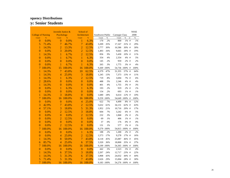|                           |        | Juvenile Justice & |        | School of        |        |                  |            |                |          |    | <b>NSSE</b> |
|---------------------------|--------|--------------------|--------|------------------|--------|------------------|------------|----------------|----------|----|-------------|
| <b>College of Nursing</b> |        | Psychology         |        | Architecture     |        | Southwest Public |            | Carnegie Class |          |    | 2008        |
| Count                     | $\%$   | Count              | $\%$   | Count            | $\%$   | Count            | $\%$       | Count          | $\%$     | nt | $\%$        |
| $\overline{0}$            | 0.0%   | $\overline{0}$     | 0.0%   | 1                | 6.3%   | 170              | 2%         | 800            | $1\%$ #  |    | 1%          |
| 5                         | 71.4%  | 7                  | 46.7%  | $\overline{7}$   | 43.8%  | 3,209            | 35%        | 17,167         | $31\%$ # |    | 29%         |
| $\mathbf{1}$              | 14.3%  | $\overline{2}$     | 13.3%  | $\overline{2}$   | 12.5%  | 2,777            | 30%        | 16,586         | 30% #    |    | 30%         |
| $\overline{0}$            | 0.0%   | $\overline{3}$     | 20.0%  | $\overline{2}$   | 12.5%  | 1,493            | 16%        | 9,665          | 18% #    |    | 19%         |
| $\mathbf{1}$              | 14.3%  | 1                  | 6.7%   | $\overline{2}$   | 12.5%  | 856              | 9%         | 5,430          | 10% #    |    | 11%         |
| $\overline{0}$            | 0.0%   | 1                  | 6.7%   | $\mathbf{1}$     | 6.3%   | 354              | 4%         | 2,354          | 4%#      |    | 5%          |
| $\overline{0}$            | 0.0%   | $\overline{0}$     | 0.0%   | $\overline{0}$   | 0.0%   | 145              | $2\%$      | 959            | $2\%$ #  |    | 2%          |
| $\overline{0}$            | 0.0%   | 1                  | 6.7%   | 1                | 6.3%   | 265              | 3%         | 1,775          | 3%#      |    | 4%          |
| 7                         | 100.0% | 15                 | 100.0% | 16               | 100.0% | 9,269            | 100%       | 54,736 100% #  |          |    | $100\%$     |
| $\mathbf{1}$              | 14.3%  | $\overline{7}$     | 43.8%  | 10               | 62.5%  | 4,379            | 47%        | 31,355         | 57% #    |    | 64%         |
| 1                         | 14.3%  | $\overline{4}$     | 25.0%  | 3                | 18.8%  | 1,245            | 13%        | 7,373          | 13% #    |    | 11%         |
| 1                         | 14.3%  | 1                  | 6.3%   | $\overline{2}$   | 12.5%  | 719              | 8%         | 3,694          | 7% #     |    | 6%          |
| $\overline{2}$            | 28.6%  | $\overline{0}$     | 0.0%   | $\overline{0}$   | 0.0%   | 488              | $5\%$      | 2,246          | 4%#      |    | $4\%$       |
| $\mathbf{1}$              | 14.3%  | $\overline{0}$     | 0.0%   | $\overline{0}$   | 0.0%   | 401              | 4%         | 1,755          | 3% #     |    | 3%          |
| $\boldsymbol{0}$          | 0.0%   | 1                  | 6.3%   | $\mathbf{1}$     | 6.3%   | 193              | $2\%$      | 919            | $2\%$ #  |    | 1%          |
| $\overline{0}$            | 0.0%   | $\overline{0}$     | 0.0%   | $\overline{0}$   | 0.0%   | 154              | 2%         | 693            | $1\%$ #  |    | 1%          |
| 1                         | 14.3%  | 3                  | 18.8%  | $\overline{0}$   | 0.0%   | 1,680            | 18%        | 6,614          | $12\%$ # |    | 10%         |
| 7                         | 100.0% | 16                 | 100.0% | 16               | 100.0% | 9,259            | 100%       | 54,649 100% #  |          |    | 100%        |
| $\overline{0}$            | 0.0%   | $\overline{0}$     | 0.0%   | $\overline{4}$   | 25.0%  | 622              | 7%         | 4,499          | $8\%$ #  |    | 12%         |
| 3                         | 42.9%  | $\overline{7}$     | 43.8%  | $\overline{2}$   | 12.5%  | 5,632            | 61%        | 34,131         | 62% #    |    | 63%         |
| $\overline{4}$            | 57.1%  | 3                  | 18.8%  | 5                | 31.3%  | 1,952            | 21%        | 10,716         | 20% #    |    | 17%         |
| $\overline{0}$            | 0.0%   | $\overline{2}$     | 12.5%  | 3                | 18.8%  | 604              | 7%         | 3,242          | 6% #     |    | 5%          |
| $\overline{0}$            | 0.0%   | $\overline{0}$     | 0.0%   | $\overline{2}$   | 12.5%  | 232              | 3%         | 1,068          | $2\%$ #  |    | 2%          |
| $\overline{0}$            | 0.0%   | $\overline{2}$     | 12.5%  | $\overline{0}$   | 0.0%   | 69               | 1%         | 406            | $1\%$ #  |    | 1%          |
| $\overline{0}$            | 0.0%   | $\overline{0}$     | 0.0%   | $\overline{0}$   | 0.0%   | 37               | $0\%$      | 176            | $0\%$ #  |    | $0\%$       |
| $\mathbf{0}$              | 0.0%   | $\overline{2}$     | 12.5%  | $\overline{0}$   | 0.0%   | 131              | 1%         | 577            | $1\%$ #  |    | 1%          |
| $\overline{7}$            | 100.0% | 16                 | 100.0% | 16               | 100.0% | 9,279 100%       |            | 54,815 100% #  |          |    | 100%        |
| $\boldsymbol{0}$          | 0.0%   | $\overline{0}$     | 0.0%   | $\mathbf{1}$     | 6.3%   | 188              | 2%         | 1,200          | $2\%$ #  |    | 2%          |
| $\overline{0}$            | 0.0%   | $\overline{4}$     | 25.0%  | $\overline{2}$   | 12.5%  | 1,573            | 17%        | 9,278          | 17% #    |    | 16%         |
| $\mathbf{1}$              | 14.3%  | 8                  | 50.0%  | $\overline{7}$   | 43.8%  | 4,118            | 45%        | 25,087         | 46% #    |    | 45%         |
| $\overline{6}$            | 85.7%  | 4                  | 25.0%  | 6                | 37.5%  | 3,320            | 36%        | 18,800         | 35% #    |    | 37%         |
| $\overline{7}$            | 100.0% | 16                 | 100.0% | 16               | 100.0% | 9,199            | 100%       | 54,365 100% #  |          |    | 100%        |
| $\overline{0}$            | 0.0%   | $\overline{0}$     | 0.0%   | $\boldsymbol{0}$ | 0.0%   | 442              | 5%         | 2,523          | 5% #     |    | 4%          |
| 1                         | 14.3%  | 6                  | 37.5%  | 3                | 18.8%  | 2,207            | 24%        | 12,717         | 23% #    |    | 22%         |
| 1                         | 14.3%  | 5                  | 31.3%  | $\overline{6}$   | 37.5%  | 3,908            | 43%        | 24,032         | 44% #    |    | 44%         |
| 5                         | 71.4%  | 5                  | 31.3%  | 7                | 43.8%  | 2,626            | 29%        | 15,004         | 28% #    |    | 30%         |
| 7                         | 100.0% | 16                 | 100.0% | 16               | 100.0% |                  | 9,183 100% | 54,276 100% #  |          |    | 100%        |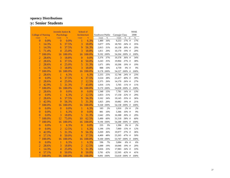|                           |               | Juvenile Justice & |               | School of        |               |                  |       |                |           |    | <b>NSSE</b> |
|---------------------------|---------------|--------------------|---------------|------------------|---------------|------------------|-------|----------------|-----------|----|-------------|
| <b>College of Nursing</b> |               | Psychology         |               | Architecture     |               | Southwest Public |       | Carnegie Class |           |    | 2008        |
| Count                     | $\frac{9}{6}$ | Count              | $\frac{9}{6}$ | Count            | $\frac{9}{6}$ | Count            | $\%$  | Count          | $\%$      | nt | $\%$        |
| $\overline{0}$            | 0.0%          | $\overline{0}$     | 0.0%          | $\mathbf{1}$     | 6.3%          | 1,489            | 16%   | 9,253          | 17% #     |    | 17%         |
| 1                         | 14.3%         | 6                  | 37.5%         | 3                | 18.8%         | 3,077            | 33%   | 18,703         | 34% #     |    | 35%         |
| 1                         | 14.3%         | 6                  | 37.5%         | 9                | 56.3%         | 2,815            | 31%   | 16,138         | 30% #     |    | 29%         |
| 5                         | 71.4%         | $\overline{4}$     | 25.0%         | 3                | 18.8%         | 1,811            | 20%   | 10,170         | 19% #     |    | 20%         |
| $\overline{7}$            | 100.0%        | 16                 | 100.0%        | 16               | 100.0%        | 9,192            | 100%  | 54,264 100% #  |           |    | 100%        |
| $\overline{2}$            | 28.6%         | 3                  | 18.8%         | $\mathbf{0}$     | 0.0%          | 3,376            | 37%   | 19,378         | 36% #     |    | 34%         |
| $\overline{2}$            | 28.6%         | 6                  | 37.5%         | 8                | 50.0%         | 3,243            | 35%   | 19,904         | 37% #     |    | 38%         |
| $\overline{2}$            | 28.6%         | 4                  | 25.0%         | 5                | 31.3%         | 1,671            | 18%   | 10,206         | 19% #     |    | 19%         |
| $\mathbf{1}$              | 14.3%         | 3                  | 18.8%         | 3                | 18.8%         | 888              | 10%   | 4,739          | 9% #      |    | 9%          |
| 7                         | 100.0%        | 16                 | 100.0%        | 16               | 100.0%        | 9,178            | 100%  | 54,227         | $100\%$ # |    | 100%        |
| $\overline{2}$            | 28.6%         | 1                  | 6.3%          | 1                | 6.3%          | 2,255            | 25%   | 12,746         | $24\%$ #  |    | 23%         |
| $\mathbf{0}$              | 0.0%          | 6                  | 37.5%         | 6                | 37.5%         | 3,524            | 38%   | 21,417         | 40% #     |    | 39%         |
| $\overline{2}$            | 28.6%         | $\overline{4}$     | 25.0%         | $\overline{2}$   | 12.5%         | 2,375            | 26%   | 14,170         | 26% #     |    | 27%         |
| $\overline{3}$            | 42.9%         | 5                  | 31.3%         | $\overline{7}$   | 43.8%         | 1,016            | 11%   | 5,705          | $11\%$ #  |    | 11%         |
| $\overline{7}$            | 100.0%        | 16                 | 100.0%        | 16               | 100.0%        | 9,170            | 100%  | 54,038         | $100\%$ # |    | 100%        |
| $\overline{2}$            | 28.6%         | $\mathbf{0}$       | 0.0%          | $\boldsymbol{0}$ | 0.0%          | 1,348            | 15%   | 7,781          | 14% #     |    | 13%         |
| $\overline{0}$            | 0.0%          | 1                  | 6.3%          | $\overline{2}$   | 12.5%         | 2,833            | 31%   | 17,130         | 32% #     |    | 29%         |
| $\overline{2}$            | 28.6%         | 6                  | 37.5%         | 9                | 56.3%         | 3,162            | 34%   | 19,145         | 35% #     |    | 36%         |
| $\overline{3}$            | 42.9%         | 9                  | 56.3%         | 5                | 31.3%         | 1,825            | 20%   | 10,082         | 19% #     |    | 21%         |
| $\overline{7}$            | 100.0%        | 16                 | 100.0%        | 16               | 100.0%        | 9,168 100%       |       | 54,138         | 100% #    |    | 100%        |
| $\boldsymbol{0}$          | 0.0%          | $\overline{0}$     | 0.0%          | $\mathbf{1}$     | 6.3%          | 183              | $2\%$ | 1,016          | $2\%$ #   |    | $2\%$       |
| $\overline{0}$            | 0.0%          | 1                  | 6.3%          | $\overline{0}$   | 0.0%          | 881              | 10%   | 5,366          | 10% #     |    | 9%          |
| $\mathbf{0}$              | 0.0%          | 3                  | 18.8%         | 5                | 31.3%         | 2,642            | 29%   | 16,388         | 30% #     |    | 29%         |
| 7                         | 100.0%        | 12                 | 75.0%         | 10               | 62.5%         | 5,490            | 60%   | 31,518         | 58% #     |    | 60%         |
| $\overline{7}$            | 100.0%        | 16                 | 100.0%        | 16               | 100.0%        | 9,196 100%       |       | 54,288 100% #  |           |    | 100%        |
| $\mathbf{0}$              | 0.0%          | 1                  | 6.3%          | $\mathbf{0}$     | 0.0%          | 235              | 3%    | 1,396          | 3%#       |    | 2%          |
| $\boldsymbol{0}$          | 0.0%          | $\overline{2}$     | 12.5%         | 1                | 6.3%          | 1,196            | 13%   | 7,069          | 13% #     |    | 12%         |
| 3                         | 42.9%         | 5                  | 31.3%         | 9                | 56.3%         | 3,269            | 36%   | 19,977         | 37% #     |    | 36%         |
| $\overline{4}$            | 57.1%         | 8                  | 50.0%         | 6                | 37.5%         | 4,400            | 48%   | 25,265         | 47% #     |    | 50%         |
| 7                         | 100.0%        | 16                 | 100.0%        | 16               | 100.0%        | 9,100            | 100%  | 53,707         | 100% #    |    | 100%        |
| $\boldsymbol{0}$          | 0.0%          | 1                  | 6.3%          | $\mathbf{1}$     | 6.3%          | 596              | 7%    | 3,084          | 6% #      |    | 6%          |
| $\overline{2}$            | 28.6%         | 3                  | 18.8%         | $\overline{c}$   | 12.5%         | 1,688            | 19%   | 10,046         | 19% #     |    | 20%         |
| 1                         | 14.3%         | 4                  | 25.0%         | 5                | 31.3%         | 3,026            | 33%   | 17,983         | 34% #     |    | 33%         |
| $\overline{4}$            | 57.1%         | 8                  | 50.0%         | 8                | 50.0%         | 3,781            | 42%   | 22,505         | 42% #     |    | 41%         |
| 7                         | 100.0%        | 16                 | 100.0%        | 16               | 100.0%        | 9,091 100%       |       | 53,618 100% #  |           |    | 100%        |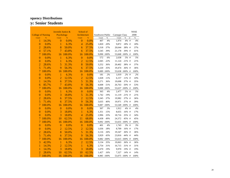|                           |               | Juvenile Justice & |               | School of      |               |                  |      |                |           |    | <b>NSSE</b> |
|---------------------------|---------------|--------------------|---------------|----------------|---------------|------------------|------|----------------|-----------|----|-------------|
| <b>College of Nursing</b> |               | Psychology         |               | Architecture   |               | Southwest Public |      | Carnegie Class |           |    | 2008        |
| Count                     | $\frac{9}{6}$ | Count              | $\frac{9}{6}$ | Count          | $\frac{9}{6}$ | Count            | $\%$ | Count          | $\%$      | nt | $\%$        |
| 1                         | 14.3%         | $\overline{0}$     | 0.0%          | $\overline{0}$ | 0.0%          | 407              | 4%   | 1,974          | 4%#       |    | 4%          |
| $\boldsymbol{0}$          | 0.0%          | 1                  | 6.3%          | $\overline{4}$ | 25.0%         | 1,820            | 20%  | 9,872          | 18% #     |    | 18%         |
| $\overline{2}$            | 28.6%         | 8                  | 50.0%         | 6              | 37.5%         | 3,318            | 37%  | 20,644         | 38% #     |    | 37%         |
| $\overline{4}$            | 57.1%         | $\overline{7}$     | 43.8%         | 6              | 37.5%         | 3,545            | 39%  | 21,178         | 39% #     |    | 41%         |
| $\overline{7}$            | 100.0%        | 16                 | 100.0%        | 16             | 100.0%        | 9,090            | 100% | 53,668         | 100% #    |    | 100%        |
| $\overline{0}$            | 0.0%          | 1                  | 6.3%          | $\mathbf{0}$   | 0.0%          | 572              | 6%   | 2,638          | 5% #      |    | 5%          |
| $\boldsymbol{0}$          | 0.0%          | 1                  | 6.3%          | $\overline{2}$ | 12.5%         | 2,045            | 22%  | 11,124         | 21% #     |    | 21%         |
| $\overline{c}$            | 28.6%         | 5                  | 31.3%         | 8              | 50.0%         | 3,252            | 36%  | 20,402         | 38% #     |    | 37%         |
| 5                         | 71.4%         | 9                  | 56.3%         | 6              | 37.5%         | 3,220            | 35%  | 19,474         | 36% #     |    | 36%         |
| 7                         | 100.0%        | 16                 | 100.0%        | 16             | 100.0%        | 9,089 100%       |      | 53,638 100% #  |           |    | 100%        |
| $\boldsymbol{0}$          | 0.0%          | 1                  | 6.3%          | $\mathbf{0}$   | 0.0%          | 181              | 2%   | 1,019          | $2\%$ #   |    | 2%          |
| $\overline{0}$            | 0.0%          | $\overline{2}$     | 12.5%         | $\overline{2}$ | 12.5%         | 1,028            | 11%  | 6,157          | 11% #     |    | 10%         |
| 1                         | 14.3%         | 6                  | 37.5%         | 5              | 31.3%         | 3,271            | 36%  | 19,698         | 37% #     |    | 35%         |
| $\overline{6}$            | 85.7%         | 7                  | 43.8%         | 9              | 56.3%         | 4,608            | 51%  | 26,763         | 50% #     |    | 53%         |
| $\overline{7}$            | 100.0%        | 16                 | 100.0%        | 16             | 100.0%        | 9,088 100%       |      | 53,637         | 100% #    |    | 100%        |
| $\boldsymbol{0}$          | 0.0%          | 1                  | 6.3%          | $\mathbf{0}$   | 0.0%          | 365              | 4%   | 2,477          | 5% #      |    | 5%          |
| $\boldsymbol{0}$          | 0.0%          | 3                  | 18.8%         | 5              | 31.3%         | 1,742            | 19%  | 11,119         | 21% #     |    | 21%         |
| $\overline{2}$            | 28.6%         | 6                  | 37.5%         | $\overline{2}$ | 12.5%         | 3,345            | 37%  | 19,982         | 37% #     |    | 36%         |
| 5                         | 71.4%         | 6                  | 37.5%         | 9              | 56.3%         | 3,635            | 40%  | 19,971         | 37% #     |    | 39%         |
| 7                         | 100.0%        | 16                 | 100.0%        | 16             | 100.0%        | 9,087            | 100% | 53,549         | 100% #    |    | 100%        |
| $\boldsymbol{0}$          | 0.0%          | $\mathbf{0}$       | 0.0%          | $\overline{0}$ | 0.0%          | 307              | 3%   | 1,912          | $4\%$ #   |    | $4\%$       |
| $\boldsymbol{0}$          | 0.0%          | 3                  | 18.8%         | 1              | 6.3%          | 1,351            | 15%  | 8,655          | 16% #     |    | 17%         |
| $\overline{0}$            | 0.0%          | 3                  | 18.8%         | $\overline{4}$ | 25.0%         | 2,996            | 33%  | 18,716         | 35% #     |    | 34%         |
| 7                         | 100.0%        | 10                 | 62.5%         | 11             | 68.8%         | 4,438            | 49%  | 24,372         | 45% #     |    | 45%         |
| $\overline{7}$            | 100.0%        | 16                 | 100.0%        | 16             | 100.0%        | 9,092 100%       |      | 53,655 100% #  |           |    | 100%        |
| $\mathbf{0}$              | 0.0%          | $\overline{0}$     | 0.0%          | $\mathbf{0}$   | 0.0%          | 401              | 4%   | 1,743          | 3%#       |    | 3%          |
| $\overline{0}$            | 0.0%          | $\overline{2}$     | 12.5%         | $\overline{2}$ | 12.5%         | 1,636            | 18%  | 8,709          | 16% #     |    | 17%         |
| $\overline{2}$            | 28.6%         | 8                  | 50.0%         | 5              | 31.3%         | 3,116            | 34%  | 19,347         | 36% #     |    | 36%         |
| $\overline{5}$            | 71.4%         | 6                  | 37.5%         | 9              | 56.3%         | 3,929            | 43%  | 23,816         | 44% #     |    | 44%         |
| $\overline{7}$            | 100.0%        | 16                 | 100.0%        | 16             | 100.0%        | 9,082 100%       |      | 53,615 100% #  |           |    | 100%        |
| 3                         | 42.9%         | $\mathbf{1}$       | 6.3%          | $\overline{2}$ | 12.5%         | 3,134            | 35%  | 19,063         | 36% #     |    | 36%         |
| $\mathbf{1}$              | 14.3%         | $\overline{2}$     | 12.5%         | $\mathbf{1}$   | 6.3%          | 2,754            | 31%  | 16,715         | 31% #     |    | 31%         |
| 1                         | 14.3%         | 3                  | 18.8%         | 3              | 18.8%         | 1,670            | 19%  | 9,970          | 19% #     |    | 19%         |
| $\overline{2}$            | 28.6%         | 10                 | 62.5%         | 10             | 62.5%         | 1,427            | 16%  | 7,327          | $14\%$ #  |    | 14%         |
| $\overline{7}$            | 100.0%        | 16                 | 100.0%        | 16             | 100.0%        | 8,985            | 100% | 53,075         | $100\%$ # |    | 100%        |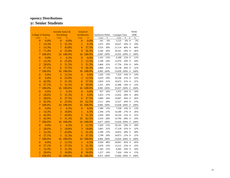|                           |               | Juvenile Justice & |               | School of      |               |                  |            |                |           |    | <b>NSSE</b> |
|---------------------------|---------------|--------------------|---------------|----------------|---------------|------------------|------------|----------------|-----------|----|-------------|
| <b>College of Nursing</b> |               | Psychology         |               | Architecture   |               | Southwest Public |            | Carnegie Class |           |    | 2008        |
| Count                     | $\frac{9}{6}$ | Count              | $\frac{9}{6}$ | Count          | $\frac{9}{6}$ | Count            | $\%$       | Count          | $\%$      | nt | $\%$        |
| $\overline{0}$            | 0.0%          | $\overline{0}$     | 0.0%          | $\overline{0}$ | 0.0%          | 541              | 6%         | 3,133          | 6% #      |    | 5%          |
| 1                         | 14.3%         | 5                  | 31.3%         | 1              | 6.3%          | 1,675            | 19%        | 10,627         | 20% #     |    | 19%         |
| $\mathbf{1}$              | 14.3%         | $\overline{7}$     | 43.8%         | 6              | 37.5%         | 3,525            | 39%        | 21,114         | 40% #     |    | 40%         |
| 5                         | 71.4%         | $\overline{4}$     | 25.0%         | 9              | 56.3%         | 3,246            | 36%        | 18,161         | 34% #     |    | 36%         |
| 7                         | 100.0%        | 16                 | 100.0%        | 16             | 100.0%        | 8,987            | 100%       | 53,035         | $100\%$ # |    | 100%        |
| $\overline{0}$            | 0.0%          | 1                  | 6.3%          | $\mathbf{0}$   | 0.0%          | 1,165            | 13%        | 6,188          | $12\%$ #  |    | 11%         |
| 1                         | 14.3%         | $\overline{4}$     | 25.0%         | $\overline{2}$ | 12.5%         | 2,148            | 24%        | 12,976         | 24% #     |    | 24%         |
| $\overline{2}$            | 28.6%         | 5                  | 31.3%         | 5              | 31.3%         | 2,866            | 32%        | 17,756         | 33% #     |    | 34%         |
| $\overline{4}$            | 57.1%         | 6                  | 37.5%         | 9              | 56.3%         | 2,804            | 31%        | 16,138         | 30% #     |    | 32%         |
| 7                         | 100.0%        | 16                 | 100.0%        | 16             | 100.0%        | 8,983            | 100%       | 53,058 100% #  |           |    | 100%        |
| $\boldsymbol{0}$          | 0.0%          | $\overline{2}$     | 12.5%         | $\mathbf{0}$   | 0.0%          | 1,202            | 13%        | 7,333          | 14% #     |    | 14%         |
| $\boldsymbol{0}$          | 0.0%          | 4                  | 25.0%         | $\overline{2}$ | 12.5%         | 2,619            | 29%        | 16,536         | 31% #     |    | 32%         |
| 3                         | 42.9%         | 5                  | 31.3%         | 6              | 37.5%         | 2,829            | 31%        | 16,672         | 31% #     |    | 31%         |
| $\overline{4}$            | 57.1%         | 5                  | 31.3%         | 8              | 50.0%         | 2,331            | 26%        | 12,496         | 24% #     |    | 23%         |
| $\overline{7}$            | 100.0%        | 16                 | 100.0%        | 16             | 100.0%        | 8,981            | 100%       | 53,037         | 100% #    |    | 100%        |
| $\boldsymbol{0}$          | 0.0%          | 1                  | 6.3%          | $\mathbf{0}$   | 0.0%          | 937              | 10%        | 5,472          | 10% #     |    | 10%         |
| $\overline{2}$            | 28.6%         | 5                  | 31.3%         | $\overline{0}$ | 0.0%          | 2,453            | 27%        | 15,032         | 28% #     |    | 28%         |
| $\overline{2}$            | 28.6%         | 6                  | 37.5%         | $\overline{6}$ | 37.5%         | 3,084            | 34%        | 19,007         | 36% #     |    | 36%         |
| 3                         | 42.9%         | 4                  | 25.0%         | 10             | 62.5%         | 2,511            | 28%        | 13,527         | 26% #     |    | 27%         |
| 7                         | 100.0%        | 16                 | 100.0%        | 16             | 100.0%        | 8,985            | 100%       | 53,038         | $100\%$ # |    | 100%        |
| $\boldsymbol{0}$          | 0.0%          | 1                  | 6.3%          | $\overline{0}$ | 0.0%          | 1,390            | 15%        | 7,538          | $14\%$ #  |    | 13%         |
| 1                         | 14.3%         | 3                  | 18.8%         | 1              | 6.3%          | 2,394            | 27%        | 14,180         | 27% #     |    | 26%         |
| 3                         | 42.9%         | $\overline{7}$     | 43.8%         | 5              | 31.3%         | 2,650            | 30%        | 16,516         | 31% #     |    | 31%         |
| 3                         | 42.9%         | 5                  | 31.3%         | 10             | 62.5%         | 2,543            | 28%        | 14,796         | 28% #     |    | 29%         |
| $\overline{7}$            | 100.0%        | 16                 | 100.0%        | 16             | 100.0%        | 8,977            | 100%       | 53,030 100% #  |           |    | 100%        |
| $\mathbf{0}$              | 0.0%          | 1                  | 6.3%          | $\overline{c}$ | 12.5%         | 1,920            | 21%        | 10,191         | 19% #     |    | 18%         |
| $\overline{2}$            | 28.6%         | 3                  | 18.8%         | 3              | 18.8%         | 2,865            | 32%        | 17,128         | 32% #     |    | 32%         |
| $\mathbf{1}$              | 14.3%         | $\overline{7}$     | 43.8%         | 5              | 31.3%         | 2,399            | 27%        | 14,832         | 28% #     |    | 28%         |
| $\overline{4}$            | 57.1%         | 5                  | 31.3%         | 6              | 37.5%         | 1,798            | 20%        | 10,873         | $21\%$ #  |    | 21%         |
| 7                         | 100.0%        | 16                 | 100.0%        | 16             | 100.0%        |                  | 8,982 100% | 53,024 100% #  |           |    | 100%        |
| $\mathbf{0}$              | 0.0%          | $\overline{2}$     | 12.5%         | 1              | 6.3%          | 4,294            | 48%        | 24,061         | 45% #     |    | 45%         |
| $\overline{4}$            | 57.1%         | 6                  | 37.5%         | 5              | 31.3%         | 2,078            | 23%        | 13,212         | 25% #     |    | 25%         |
| 1                         | 14.3%         | 5                  | 31.3%         | $\overline{2}$ | 12.5%         | 1,343            | 15%        | 8,305          | 16% #     |    | 16%         |
| $\overline{2}$            | 28.6%         | 3                  | 18.8%         | 8              | 50.0%         | 1,257            | 14%        | 7,426          | 14% #     |    | 15%         |
| $\overline{7}$            | 100.0%        | 16                 | 100.0%        | 16             | 100.0%        |                  | 8,972 100% | 53,004 100% #  |           |    | 100%        |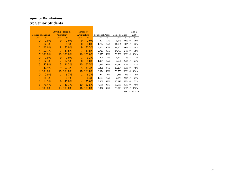|                           |         | Juvenile Justice $\&$       |               | School of    |               |                  |            |                |           |    | <b>NSSE</b>   |
|---------------------------|---------|-----------------------------|---------------|--------------|---------------|------------------|------------|----------------|-----------|----|---------------|
| <b>College of Nursing</b> |         | Psychology                  |               | Architecture |               | Southwest Public |            | Carnegie Class |           |    | 2008          |
| Count                     | $\%$    | Count                       | $\frac{9}{6}$ | Count        | $\frac{9}{6}$ | Count            | %          | Count          | $\%$      | nt | $\frac{9}{6}$ |
| $\Omega$                  | $0.0\%$ | $\theta$                    | $0.0\%$       | 0            | $0.0\%$       | 897              | 10%        | 5,645          | $11\%$ #  |    | 10%           |
| 1                         | 14.3%   |                             | 6.3%          | 0            | $0.0\%$       | 1,794            | 20%        | 11,501         | $21\%$ #  |    | 20%           |
| 2                         | 28.6%   | 8                           | 50.0%         | 9            | 56.3%         | 3,664            | 40%        | 21,705         | $41\%$ #  |    | 40%           |
| $\overline{4}$            | 57.1%   | $\tau$                      | 43.8%         | 7            | 43.8%         | 2,720            | 30%        | 14,709         | $27\%$ #  |    | 30%           |
| 7                         | 100.0%  | 16                          | 100.0%        | 16           | 100.0%        | 9,075            | 100%       | 53,560         | $100\%$ # |    | 100%          |
| $\Omega$                  | $0.0\%$ | 0                           | $0.0\%$       | 1            | 6.3%          | 201              | 2%         | 1,227          | $2\%$ #   |    | 2%            |
| 1                         | 14.3%   | $\mathcal{D}_{\mathcal{L}}$ | 12.5%         | 0            | $0.0\%$       | 1,084            | 12%        | 6,581          | $12\%$ #  |    | 11%           |
| 3                         | 42.9%   | 5                           | 31.3%         | 10           | 62.5%         | 4,398            | 48%        | 26,517         | 50% #     |    | 47%           |
| 3                         | 42.9%   | 9                           | 56.3%         | 5            | 31.3%         | 3,391            | 37%        | 19,234         | $36\%$ #  |    | 40%           |
| 7.                        | 100.0%  | 16                          | 100.0%        | 16           | 100.0%        |                  | 9,074 100% | 53,559         | $100\%$ # |    | 100%          |
| $\Omega$                  | $0.0\%$ |                             | $6.7\%$       |              | 6.3%          | 447              | 5%         | 2,853          | $5\%$ #   |    | 5%            |
|                           | 14.3%   |                             | $6.7\%$       |              | 6.3%          | 1,100            | 12%        | 7,245          | $14\%$ #  |    | 13%           |
|                           | 14.3%   | 6                           | 40.0%         | 4            | 25.0%         | 3.369            | 37%        | 20,912         | $39\%$ #  |    | 37%           |
| 5                         | 71.4%   |                             | 46.7%         | 10           | 62.5%         | 4,161            | 46%        | 22,563         | $42\%$ #  |    | 45%           |
|                           | 100.0%  | 15                          | 100.0%        | 16           | 100.0%        | 9,077            | 100%       | 53,573 100% #  |           |    | 100%          |

IPEDS: 227526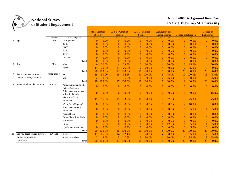

|     |                                     |                 |                                               | Arts & Sciences -<br><b>Biology</b> |        | $A & S - Commun$<br>ications |               | A & S - Political<br><b>Science</b> |        | <b>Agruculture and</b><br><b>Human Science</b> |        | <b>College of Education</b> |        | College of<br>Engineering |        |
|-----|-------------------------------------|-----------------|-----------------------------------------------|-------------------------------------|--------|------------------------------|---------------|-------------------------------------|--------|------------------------------------------------|--------|-----------------------------|--------|---------------------------|--------|
|     |                                     | Variable        | <b>Response Options</b>                       | Count                               | %      | Count                        | $\frac{9}{6}$ | Count                               | $\%$   | Count                                          | $\%$   | Count                       | $\%$   | Count                     | $\%$   |
|     | 15. Age                             | AGE             | 19 or younger                                 | $\Omega$                            | 0.0%   | $\Omega$                     | 0.0%          | $\overline{0}$                      | 0.0%   | $\overline{0}$                                 | 0.0%   | $\overline{0}$              | 0.0%   | $\mathbf{0}$              | 0.0%   |
|     |                                     |                 | $20 - 23$                                     | $\Omega$                            | 0.0%   | $\Omega$                     | 0.0%          | $\overline{0}$                      | 0.0%   | $\overline{0}$                                 | 0.0%   | $\overline{0}$              | 0.0%   | $\theta$                  | 0.0%   |
|     |                                     |                 | 24-29                                         | $\overline{0}$                      | 0.0%   | $\theta$                     | 0.0%          | $\overline{0}$                      | 0.0%   | $\overline{0}$                                 | 0.0%   | $\mathbf{0}$                | 0.0%   | $\theta$                  | 0.0%   |
|     |                                     |                 | 30-39                                         | $\Omega$                            | 0.0%   | $\Omega$                     | 0.0%          | $\bf{0}$                            | 0.0%   | $\theta$                                       | 0.0%   | $\overline{0}$              | 0.0%   | $\mathbf{0}$              | 0.0%   |
|     |                                     |                 | $40 - 55$                                     | $\Omega$                            | 0.0%   | $\Omega$                     | 0.0%          | $\Omega$                            | 0.0%   | $\Omega$                                       | 0.0%   | $\overline{0}$              | 0.0%   | $\mathbf{0}$              | 0.0%   |
|     |                                     |                 | Over 55                                       | $\overline{0}$                      | 0.0%   | $\theta$                     | 0.0%          | $\bf{0}$                            | 0.0%   | $\theta$                                       | 0.0%   | $\mathbf{0}$                | 0.0%   | $\mathbf{0}$              | 0.0%   |
|     |                                     |                 | Total                                         | $\overline{0}$                      | 0.0%   | $\Omega$                     | 0.0%          | $\overline{0}$                      | 0.0%   | $\theta$                                       | 0.0%   | $\theta$                    | 0.0%   | $\mathbf{0}$              | 0.0%   |
|     | 16. Sex                             | <b>SEX</b>      | Male                                          | 6                                   | 30.0%  | 4                            | 23.5%         | 3                                   | 30.0%  | 4                                              | 50.0%  | 3                           | 15.0%  | 14                        | 70.0%  |
|     |                                     |                 | Female                                        | 14                                  | 70.0%  | 13                           | 76.5%         |                                     | 70.0%  | 4                                              | 50.0%  | 17                          | 85.0%  | 6                         | 30.0%  |
|     |                                     |                 | Total                                         | 20                                  | 100.0% | 17                           | 100.0%        | 10                                  | 100.0% | 8                                              | 100.0% | 20                          | 100.0% | 20                        | 100.0% |
|     | 17. Are you an international        | <b>INTERNAT</b> | N <sub>o</sub>                                | 18                                  | 90.0%  | 16                           | 94.1%         | 10                                  | 100.0% | 6                                              | 75.0%  | 19                          | 100.0% | 15                        | 75.0%  |
|     | student or foreign national?        |                 | Yes                                           | $\overline{2}$                      | 10.0%  |                              | 5.9%          | $\Omega$                            | 0.0%   | $\overline{2}$                                 | 25.0%  | $\theta$                    | 0.0%   | 5                         | 25.0%  |
|     |                                     |                 | Total                                         | 20                                  | 100.0% | 17                           | 100.0%        | 10                                  | 100.0% | 8                                              | 100.0% | 19                          | 100.0% | 20                        | 100.0% |
|     | 18. Racial or ethnic identification | RACE05          | American Indian or other<br>Native American   | $\Omega$                            | 0.0%   | $\theta$                     | 0.0%          | $\theta$                            | 0.0%   | $\theta$                                       | 0.0%   | $\overline{0}$              | 0.0%   | $\overline{0}$            | 0.0%   |
|     |                                     |                 | Asian, Asian American,<br>or Pacific Islander | $\overline{0}$                      | 0.0%   | $\overline{0}$               | 0.0%          | $\mathbf{0}$                        | 0.0%   | $\overline{0}$                                 | 0.0%   | $\mathbf{0}$                | 0.0%   | 3                         | 15.0%  |
|     |                                     |                 | <b>Black or African</b><br>American           | 19                                  | 95.0%  | 15                           | 93.8%         | 10                                  | 100.0% | 7                                              | 87.5%  | 15                          | 75.0%  | 15                        | 75.0%  |
|     |                                     |                 | White (non-Hispanic)                          | $\overline{0}$                      | 0.0%   | $\theta$                     | 0.0%          | $\theta$                            | 0.0%   | $\overline{0}$                                 | 0.0%   | 2                           | 10.0%  | $\overline{0}$            | 0.0%   |
|     |                                     |                 | Mexican or Mexican<br>American                | $\mathbf{0}$                        | 0.0%   | $\mathbf{0}$                 | 0.0%          | $\mathbf{0}$                        | 0.0%   | $\mathbf{0}$                                   | 0.0%   | 1                           | 5.0%   | -1                        | 5.0%   |
|     |                                     |                 | Puerto Rican                                  | $\overline{0}$                      | 0.0%   | $\theta$                     | 0.0%          | $\bf{0}$                            | 0.0%   | $\theta$                                       | 0.0%   | $\mathbf{0}$                | 0.0%   | $\mathbf{0}$              | 0.0%   |
|     |                                     |                 | Other Hispanic or Latino                      | $\Omega$                            | 0.0%   | $\Omega$                     | 0.0%          | $\bf{0}$                            | 0.0%   | $\theta$                                       | 0.0%   | $\overline{0}$              | 0.0%   | $\mathbf{0}$              | 0.0%   |
|     |                                     |                 | Multiracial                                   | $\Omega$                            | 0.0%   | $\Omega$                     | 0.0%          | $\overline{0}$                      | 0.0%   | $\overline{0}$                                 | 0.0%   | $\theta$                    | 0.0%   | $\mathbf{0}$              | 0.0%   |
|     |                                     |                 | Other                                         |                                     | 5.0%   | $\theta$                     | 0.0%          | $\overline{0}$                      | 0.0%   |                                                | 12.5%  |                             | 5.0%   |                           | 5.0%   |
|     |                                     |                 | I prefer not to respond                       | $\theta$                            | 0.0%   |                              | 6.3%          | $\Omega$                            | 0.0%   | $\overline{0}$                                 | 0.0%   |                             | 5.0%   | $\mathbf{0}$              | 0.0%   |
|     |                                     |                 | Total                                         | <b>20</b>                           | 100.0% | 16                           | 100.0%        | 10                                  | 100.0% | 8                                              | 100.0% | 20                          | 100.0% | 20                        | .00.0% |
| 20. | Did you begin college at your       | <b>ENTER</b>    | Started here                                  | 17                                  | 85.0%  | 14                           | 82.4%         |                                     | 70.0%  | 4                                              | 50.0%  | 13                          | 65.0%  |                           | 35.0%  |
|     | current institution or              |                 | Started elsewhere                             |                                     | 15.0%  |                              | 17.6%         |                                     | 30.0%  | 4                                              | 50.0%  |                             | 35.0%  | 13                        | 65.0%  |
|     | elsewhere?                          |                 | Total                                         | 20                                  | 100.0% | 17                           | 100.0%        | 10                                  | 100.0% | 8                                              | 100.0% | 20                          | 100.0% | 20                        | 100.0% |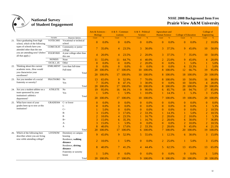

|     |                                                                   |                 |                                       | <b>Biology</b> | Arts & Sciences - | $A & S - Commun$<br>ications |        | A & S - Political<br>Science |               | <b>Agruculture and</b><br><b>Human Science</b> |               | <b>College of Education</b> |               | College of<br>Engineering |               |
|-----|-------------------------------------------------------------------|-----------------|---------------------------------------|----------------|-------------------|------------------------------|--------|------------------------------|---------------|------------------------------------------------|---------------|-----------------------------|---------------|---------------------------|---------------|
|     |                                                                   | Variable        | Response Options                      | Count          | $\%$              | Count                        | $\%$   | Count                        | $\frac{9}{6}$ | Count                                          | $\frac{9}{6}$ | Count                       | $\frac{9}{6}$ | Count                     | $\frac{9}{6}$ |
|     | 21. Since graduating from high<br>school, which of the following  | VOTECH05        | Vocational or technical<br>school     | $\Omega$       | 0.0%              | $\overline{0}$               | 0.0%   | $\mathbf{0}$                 | 0.0%          | $\overline{0}$                                 | 0.0%          | $\mathbf{0}$                | 0.0%          | $\overline{2}$            | 10.0%         |
|     | types of schools have you<br>attended other than the one          | COMCOL05        | Community or junior<br>college        | 7              | 35.0%             | $\overline{4}$               | 23.5%  | 3                            | 30.0%         | 3                                              | 37.5%         | 9                           | 45.0%         | 10                        | 50.0%         |
|     | you are attending now? (Select<br>all that apply.)                | FOURYR05        | 4-year college other than<br>this one | 4              | 20.0%             | 4                            | 23.5%  | 2                            | 20.0%         | 3                                              | 37.5%         | 7                           | 35.0%         | 10                        | 50.0%         |
|     |                                                                   | NONE05          | None                                  | 11             | 55.0%             | 11                           | 64.7%  | 4                            | 40.0%         | $\overline{2}$                                 | 25.0%         | 9                           | 45.0%         | 4                         | 20.0%         |
|     |                                                                   | OCOL1_05        | Other                                 | $\overline{0}$ | 0.0%              | $\overline{0}$               | 0.0%   | $\overline{2}$               | 20.0%         | $\overline{0}$                                 | 0.0%          | 1                           | 5.0%          | -1                        | 5.0%          |
| 22. | Thinking about this current                                       | <b>ENRLMENT</b> | Less than full-time                   | $\theta$       | 0.0%              | $\overline{0}$               | 0.0%   | $\theta$                     | 0.0%          | $\overline{0}$                                 | 0.0%          | 6                           | 33.3%         | -1                        | 5.0%          |
|     | academic termHow would                                            |                 | Full-time                             | 20             | 100.0%            | 17                           | 100.0% | 10                           | 100.0%        | 8                                              | 100.0%        | 12                          | 66.7%         | 19                        | 95.0%         |
|     | you characterize your<br>enrollment?                              |                 | Total                                 | 20             | 100.0%            | 17                           | 100.0% | 10                           | 100.0%        | 8                                              | 100.0%        | 18                          | 100.0%        | <b>20</b>                 | 100.0%        |
|     | 23. Are you member of a social                                    | <b>FRATSORO</b> | <b>No</b>                             | 13             | 65.0%             | 9                            | 52.9%  |                              | 70.0%         | 8                                              | 100.0%        | 10                          | 50.0%         | 16                        | 80.0%         |
|     | fraternity or sorority?                                           |                 | Yes                                   |                | 35.0%             | 8                            | 47.1%  |                              | 30.0%         | $\overline{0}$                                 | 0.0%          | 10                          | 50.0%         | 4                         | 20.0%         |
|     |                                                                   |                 | Total                                 | 20             | 100.0%            | 17                           | 100.0% | 10                           | 100.0%        | 8                                              | 100.0%        | 20                          | 100.0%        | 20                        | 100.0%        |
|     | 24. Are you a student-athlete on a                                | <b>ATHLETE</b>  | N <sub>o</sub>                        | 19             | 95.0%             | 16                           | 94.1%  | 9                            | 90.0%         | 6                                              | 85.7%         | 18                          | 94.7%         | 17                        | 85.0%         |
|     | team sponsored by your                                            |                 | Yes                                   |                | 5.0%              |                              | 5.9%   |                              | 10.0%         |                                                | 14.3%         | 1                           | 5.3%          | 3                         | 15.0%         |
|     | institution's athletics<br>department?                            |                 | Total                                 | 20             | 100.0%            | 17                           | 100.0% | 10                           | 100.0%        |                                                | 7 100.0%      | 19                          | 100.0%        | <b>20</b>                 | 100.0%        |
|     | 25. What have most of your                                        | GRADES04        | C- or lower                           | $\mathbf{0}$   | 0.0%              | $\overline{0}$               | 0.0%   | $\overline{0}$               | 0.0%          | $\bf{0}$                                       | 0.0%          | $\mathbf{0}$                | 0.0%          | $\mathbf{0}$              | 0.0%          |
|     | grades been up to now at this                                     |                 | $\mathbf C$                           | $\mathbf{0}$   | 0.0%              | $\overline{0}$               | 0.0%   | $\overline{0}$               | 0.0%          | $\mathbf{0}$                                   | 0.0%          | $\mathbf{0}$                | 0.0%          | 1                         | 5.3%          |
|     | institution?                                                      |                 | $C+$                                  |                | 5.0%              | $\overline{0}$               | 0.0%   | $\mathbf{0}$                 | 0.0%          | $\overline{0}$                                 | 0.0%          | $\boldsymbol{0}$            | 0.0%          | $\overline{2}$            | 10.5%         |
|     |                                                                   |                 | $B-$                                  | 3              | 15.0%             | 3                            | 17.6%  | 2                            | 33.3%         | -1                                             | 14.3%         | 1                           | 5.0%          | $\overline{2}$            | 10.5%         |
|     |                                                                   |                 | B                                     | $\overline{2}$ | 10.0%             | 4                            | 23.5%  |                              | 16.7%         | $\overline{2}$                                 | 28.6%         | $\overline{2}$              | 10.0%         | 1                         | 5.3%          |
|     |                                                                   |                 | $B+$                                  | 3              | 15.0%             | 6                            | 35.3%  |                              | 16.7%         | $\overline{2}$                                 | 28.6%         | 6                           | 30.0%         | 7                         | 36.8%         |
|     |                                                                   |                 | A-                                    | 3              | 15.0%             |                              | 5.9%   | $\Omega$                     | 0.0%          | $\overline{0}$                                 | 0.0%          | $\overline{2}$              | 10.0%         | $\overline{2}$            | 10.5%         |
|     |                                                                   |                 | A                                     | 8              | 40.0%             | 3                            | 17.6%  |                              | 33.3%         | $\overline{2}$                                 | 28.6%         | 9                           | 45.0%         | 4                         | 21.1%         |
|     |                                                                   |                 | Total                                 | 20             | 100.0%            | 17                           | 100.0% | 6                            | 100.0%        |                                                | 7 100.0%      | 20                          | 100.0%        | 19                        | 100.0%        |
|     | 26. Which of the following best<br>describes where you are living | <b>LIVENOW</b>  | Dormitory or campus<br>housing        | 9              | 45.0%             | 9                            | 52.9%  | 5                            | 55.6%         |                                                | 12.5%         | 6                           | 30.0%         | 3                         | 15.0%         |
|     | now while attending college?                                      |                 | Residence, walking<br>distance        | 2              | 10.0%             |                              | 5.9%   | $\overline{0}$               | 0.0%          | $\overline{2}$                                 | 25.0%         |                             | 5.0%          | 3                         | 15.0%         |
|     |                                                                   |                 | Residence, driving<br>distance        | 8              | 40.0%             | 7                            | 41.2%  | 4                            | 44.4%         | 5                                              | 62.5%         | 13                          | 65.0%         | 13                        | 65.0%         |
|     |                                                                   |                 | Fraternity or sorority<br>house       |                | 5.0%              | $\theta$                     | 0.0%   | $\overline{0}$               | 0.0%          | $\overline{0}$                                 | 0.0%          | $\theta$                    | 0.0%          |                           | 5.0%          |
|     |                                                                   |                 | Total                                 | <b>20</b>      | 100.0%            | 17                           | 100.0% | 9                            | 100.0%        |                                                | 8 100.0%      | 20                          | 100.0%        | 20                        | 100.0%        |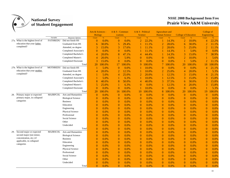

|                                   |                 |                            | Arts & Sciences - |        | $A & S - Commun$ |        | A & S - Political |        | <b>Agruculture and</b> |               |                             |               | College of       |        |
|-----------------------------------|-----------------|----------------------------|-------------------|--------|------------------|--------|-------------------|--------|------------------------|---------------|-----------------------------|---------------|------------------|--------|
|                                   |                 |                            | <b>Biology</b>    |        | <i>ications</i>  |        | <b>Science</b>    |        | <b>Human Science</b>   |               | <b>College of Education</b> |               | Engineering      |        |
|                                   | Variable        | Response Options           | Count             | $\%$   | Count            | $\%$   | Count             | $\%$   | Count                  | $\frac{9}{6}$ | Count                       | $\frac{9}{6}$ | Count            | $\%$   |
| 27a. What is the highest level of | <b>FATHREDU</b> | Did not finish HS          | $\Omega$          | 0.0%   | $\mathbf{0}$     | 0.0%   | $\overline{2}$    | 22.2%  | 1                      | 14.3%         | $\overline{2}$              | 10.0%         | $\overline{4}$   | 22.2%  |
| education that your father        |                 | Graduated from HS          | 6                 | 30.0%  | 5                | 29.4%  |                   | 11.1%  | $\overline{2}$         | 28.6%         | 6                           | 30.0%         | $\overline{2}$   | 11.1%  |
| completed?                        |                 | Attended, no degree        | 3                 | 15.0%  | 3                | 17.6%  |                   | 11.1%  | $\overline{2}$         | 28.6%         | 5                           | 25.0%         | $\overline{2}$   | 11.1%  |
|                                   |                 | Completed Associate's      | $\overline{0}$    | 0.0%   | $\Omega$         | 0.0%   |                   | 11.1%  | 1                      | 14.3%         | 1                           | 5.0%          | $\mathbf{0}$     | 0.0%   |
|                                   |                 | Completed Bachelor's       | $\overline{4}$    | 20.0%  | 8                | 47.1%  | 4                 | 44.4%  | 1                      | 14.3%         | 3                           | 15.0%         | $\tau$           | 38.9%  |
|                                   |                 | Completed Master's         | 4                 | 20.0%  |                  | 5.9%   | $\overline{0}$    | 0.0%   | $\mathbf{0}$           | 0.0%          | $\overline{2}$              | 10.0%         | 1                | 5.6%   |
|                                   |                 | Completed Doctorate        | 3                 | 15.0%  | $\mathbf{0}$     | 0.0%   | $\Omega$          | 0.0%   | $\mathbf{0}$           | 0.0%          | $\mathbf{1}$                | 5.0%          | $\overline{2}$   | 11.1%  |
|                                   |                 | Total                      | 20                | 100.0% | 17               | 100.0% | 9                 | 100.0% | $\overline{7}$         | 100.0%        | 20                          | 100.0%        | 18               | 100.0% |
| 27b. What is the highest level of | <b>MOTHREDU</b> | Did not finish HS          |                   | 5.0%   | $\overline{0}$   | 0.0%   |                   | 10.0%  | $\boldsymbol{0}$       | 0.0%          | $\theta$                    | 0.0%          | $\overline{4}$   | 21.1%  |
| education that your mother        |                 | Graduated from HS          | $\overline{4}$    | 20.0%  | $\overline{2}$   | 12.5%  |                   | 10.0%  | $\overline{2}$         | 25.0%         | $\overline{4}$              | 20.0%         |                  | 5.3%   |
| completed?                        |                 | Attended, no degree        |                   | 5.0%   | $\overline{4}$   | 25.0%  | $\overline{2}$    | 20.0%  |                        | 12.5%         | 3                           | 15.0%         | 4                | 21.1%  |
|                                   |                 | Completed Associate's      |                   | 5.0%   |                  | 6.3%   |                   | 10.0%  |                        | 12.5%         | 3                           | 15.0%         | 3                | 15.8%  |
|                                   |                 | Completed Bachelor's       | 8                 | 40.0%  | 8                | 50.0%  | 4                 | 40.0%  | 3                      | 37.5%         | 6                           | 30.0%         | 3                | 15.8%  |
|                                   |                 | Completed Master's         | 5                 | 25.0%  |                  | 6.3%   | $\mathbf{0}$      | 0.0%   | $\mathbf{1}$           | 12.5%         | 4                           | 20.0%         | 3                | 15.8%  |
|                                   |                 | <b>Completed Doctorate</b> | $\mathbf{0}$      | 0.0%   | $\Omega$         | 0.0%   | $\mathbf{1}$      | 10.0%  | $\mathbf{0}$           | 0.0%          | $\overline{0}$              | 0.0%          | 1                | 5.3%   |
|                                   |                 | Total                      | 20                | 00.0%  | 16               | 100.0% | 10                | 100.0% | 8                      | 100.0%        | 20                          | 100.0%        | 19               | 100.0% |
| 28. Primary major or expected     | <b>MAJRPCOL</b> | Arts and Humanities        | $\mathbf{0}$      | 0.0%   | $\mathbf{0}$     | 0.0%   | $\overline{0}$    | 0.0%   | $\mathbf{0}$           | 0.0%          | $\mathbf{0}$                | 0.0%          | $\mathbf{0}$     | 0.0%   |
| primary major, in collapsed       |                 | <b>Biological Science</b>  | $\Omega$          | 0.0%   | $\theta$         | 0.0%   | $\theta$          | 0.0%   | $\overline{0}$         | 0.0%          | $\mathbf{0}$                | 0.0%          | $\overline{0}$   | 0.0%   |
| categories                        |                 | <b>Business</b>            | $\overline{0}$    | 0.0%   | $\mathbf{0}$     | 0.0%   | $\mathbf{0}$      | 0.0%   | $\boldsymbol{0}$       | 0.0%          | $\mathbf{0}$                | 0.0%          | $\mathbf{0}$     | 0.0%   |
|                                   |                 | Education                  | $\boldsymbol{0}$  | 0.0%   | $\mathbf{0}$     | 0.0%   | $\mathbf{0}$      | 0.0%   | $\boldsymbol{0}$       | 0.0%          | $\mathbf{0}$                | 0.0%          | $\mathbf{0}$     | 0.0%   |
|                                   |                 | Engineering                | $\overline{0}$    | 0.0%   | $\overline{0}$   | 0.0%   | $\Omega$          | 0.0%   | $\overline{0}$         | 0.0%          | $\overline{0}$              | 0.0%          | $\mathbf{0}$     | 0.0%   |
|                                   |                 | Physical Science           | $\overline{0}$    | 0.0%   | $\mathbf{0}$     | 0.0%   | $\theta$          | 0.0%   | $\overline{0}$         | 0.0%          | $\overline{0}$              | 0.0%          | $\mathbf{0}$     | 0.0%   |
|                                   |                 | Professional               | $\overline{0}$    | 0.0%   | $\mathbf{0}$     | 0.0%   | $\theta$          | 0.0%   | $\theta$               | 0.0%          | $\overline{0}$              | 0.0%          | $\mathbf{0}$     | 0.0%   |
|                                   |                 | Social Science             | $\theta$          | 0.0%   | $\mathbf{0}$     | 0.0%   | $\Omega$          | 0.0%   | $\overline{0}$         | 0.0%          | $\overline{0}$              | 0.0%          | $\mathbf{0}$     | 0.0%   |
|                                   |                 | Other                      | $\theta$          | 0.0%   | $\mathbf{0}$     | 0.0%   | $\theta$          | 0.0%   | $\mathbf{0}$           | 0.0%          | $\mathbf{0}$                | 0.0%          | $\mathbf{0}$     | 0.0%   |
|                                   |                 | Undecided                  | $\mathbf{0}$      | 0.0%   | $\mathbf{0}$     | 0.0%   | $\theta$          | 0.0%   | $\mathbf{0}$           | 0.0%          | $\mathbf{0}$                | 0.0%          | $\mathbf{0}$     | 0.0%   |
|                                   |                 | Total                      | $\overline{0}$    | 0.0%   | $\overline{0}$   | 0.0%   | $\mathbf{0}$      | 0.0%   | $\mathbf{0}$           | 0.0%          | $\overline{0}$              | 0.0%          | $\mathbf{0}$     | 0.0%   |
| 29. Second major or expected      | <b>MAJRSCOL</b> | Arts and Humanities        | $\overline{0}$    | 0.0%   | $\mathbf{0}$     | 0.0%   | $\theta$          | 0.0%   | $\mathbf{0}$           | 0.0%          | $\overline{0}$              | 0.0%          | $\mathbf{0}$     | 0.0%   |
| second major (not minor,          |                 | <b>Biological Science</b>  | $\theta$          | 0.0%   | $\Omega$         | 0.0%   | $\Omega$          | 0.0%   | $\overline{0}$         | 0.0%          | $\overline{0}$              | 0.0%          | $\mathbf{0}$     | 0.0%   |
| concentration, etc.) if           |                 | <b>Business</b>            | $\theta$          | 0.0%   | $\mathbf{0}$     | 0.0%   | $\theta$          | 0.0%   | $\overline{0}$         | 0.0%          | $\overline{0}$              | 0.0%          | $\mathbf{0}$     | 0.0%   |
| applicable, in collapsed          |                 | Education                  | $\theta$          | 0.0%   | $\mathbf{0}$     | 0.0%   | $\theta$          | 0.0%   | $\mathbf{0}$           | 0.0%          | $\mathbf{0}$                | 0.0%          | $\mathbf{0}$     | 0.0%   |
| categories                        |                 | Engineering                | $\overline{0}$    | 0.0%   | $\overline{0}$   | 0.0%   | $\overline{0}$    | 0.0%   | $\mathbf{0}$           | 0.0%          | $\overline{0}$              | 0.0%          | $\mathbf{0}$     | 0.0%   |
|                                   |                 | Physical Science           | $\overline{0}$    | 0.0%   | $\overline{0}$   | 0.0%   | $\mathbf{0}$      | 0.0%   | $\mathbf{0}$           | 0.0%          | $\overline{0}$              | 0.0%          | $\mathbf{0}$     | 0.0%   |
|                                   |                 | Professional               | $\overline{0}$    | 0.0%   | $\mathbf{0}$     | 0.0%   | $\theta$          | 0.0%   | $\mathbf{0}$           | 0.0%          | $\overline{0}$              | 0.0%          | $\mathbf{0}$     | 0.0%   |
|                                   |                 | Social Science             | $\theta$          | 0.0%   | $\theta$         | 0.0%   | $\Omega$          | 0.0%   | $\overline{0}$         | 0.0%          | $\overline{0}$              | 0.0%          | $\overline{0}$   | 0.0%   |
|                                   |                 | Other                      | $\theta$          | 0.0%   | $\mathbf{0}$     | 0.0%   | $\theta$          | 0.0%   | $\mathbf{0}$           | 0.0%          | $\overline{0}$              | 0.0%          | $\mathbf{0}$     | 0.0%   |
|                                   |                 | Undecided                  | $\theta$          | 0.0%   | $\theta$         | 0.0%   | $\Omega$          | 0.0%   | $\theta$               | 0.0%          | $\overline{0}$              | 0.0%          | $\boldsymbol{0}$ | 0.0%   |
|                                   |                 | Total                      | $\overline{0}$    | 0.0%   | $\Omega$         | 0.0%   | $\theta$          | 0.0%   | $\Omega$               | 0.0%          | $\overline{0}$              | 0.0%          | $\Omega$         | 0.0%   |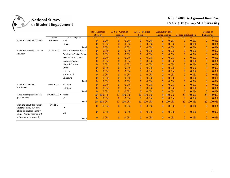

|                               |                 |                         | Arts & Sciences - |               | $A & S - Commun$ |         | A & S - Political |          | Agruculture and      |        |                             |         | College of     |           |
|-------------------------------|-----------------|-------------------------|-------------------|---------------|------------------|---------|-------------------|----------|----------------------|--------|-----------------------------|---------|----------------|-----------|
|                               |                 |                         | <b>Biology</b>    |               | <i>ications</i>  |         | <b>Science</b>    |          | <b>Human Science</b> |        | <b>College of Education</b> |         | Engineering    |           |
|                               | Variable        | Response Options        | Count             | $\frac{9}{6}$ | Count            | $\%$    | Count             | $\%$     | Count                | $\%$   | Count                       |         | Count          | $\%$      |
| Institution reported: Gender  | <b>GENDER</b>   | Male                    | $\overline{0}$    | 0.0%          | $\bf{0}$         | 0.0%    | $\theta$          | 0.0%     | $\mathbf{0}$         | 0.0%   | $\overline{0}$              | 0.0%    | $\mathbf{0}$   | 0.0%      |
|                               |                 | Female                  | 0                 | 0.0%          | $\bf{0}$         | 0.0%    | $\theta$          | 0.0%     | $\mathbf{0}$         | 0.0%   | $\overline{0}$              | 0.0%    | $\mathbf{0}$   | 0.0%      |
|                               |                 | Total                   | $\Omega$          | 0.0%          | $\bf{0}$         | 0.0%    | $\theta$          | 0.0%     | $\overline{0}$       | 0.0%   | $\overline{0}$              | 0.0%    | $\overline{0}$ | 0.0%      |
| Institution reported: Race or | <b>ETHNICIT</b> | African American/Black  | $\Omega$          | 0.0%          | $\bf{0}$         | 0.0%    | $\theta$          | 0.0%     | $\mathbf{0}$         | 0.0%   | $\overline{0}$              | 0.0%    | $\overline{0}$ | $0.0\%$   |
| ethnicity                     |                 | Am. Indian/Native Amer. | $\overline{0}$    | 0.0%          | $\theta$         | 0.0%    | $\theta$          | $0.0\%$  | $\overline{0}$       | 0.0%   | $\overline{0}$              | 0.0%    | $\overline{0}$ | $0.0\%$   |
|                               |                 | Asian/Pacific Islander  | $\Omega$          | $0.0\%$       | $\bf{0}$         | 0.0%    | $\mathbf{0}$      | 0.0%     | $\mathbf{0}$         | 0.0%   | $\overline{0}$              | 0.0%    | $\mathbf{0}$   | $0.0\%$   |
|                               |                 | Caucasian/White         | $\overline{0}$    | 0.0%          | $\bf{0}$         | 0.0%    | $\theta$          | 0.0%     | $\overline{0}$       | 0.0%   | $\overline{0}$              | 0.0%    | $\mathbf{0}$   | 0.0%      |
|                               |                 | Hispanic/Latino         | $\Omega$          | 0.0%          | $\bf{0}$         | 0.0%    | $\mathbf{0}$      | 0.0%     | $\mathbf{0}$         | 0.0%   | $\overline{0}$              | 0.0%    | $\mathbf{0}$   | 0.0%      |
|                               |                 | Other                   | $\overline{0}$    | 0.0%          | $\bf{0}$         | 0.0%    | $\theta$          | 0.0%     | $\mathbf{0}$         | 0.0%   | $\overline{0}$              | 0.0%    | $\overline{0}$ | 0.0%      |
|                               |                 | Foreign                 | $\overline{0}$    | 0.0%          | $\bf{0}$         | 0.0%    | $\mathbf{0}$      | $0.0\%$  | $\mathbf{0}$         | 0.0%   | $\mathbf{0}$                | 0.0%    | $\mathbf{0}$   | 0.0%      |
|                               |                 | Multi-racial            | $\Omega$          | 0.0%          | $\bf{0}$         | 0.0%    | $\mathbf{0}$      | 0.0%     | $\mathbf{0}$         | 0.0%   | $\overline{0}$              | 0.0%    | $\mathbf{0}$   | $0.0\%$   |
|                               |                 | Unknown                 | $\overline{0}$    | 0.0%          | $\bf{0}$         | 0.0%    | $\overline{0}$    | 0.0%     | $\mathbf{0}$         | 0.0%   | $\overline{0}$              | 0.0%    | $\overline{0}$ | 0.0%      |
|                               |                 | Total                   | $\Omega$          | 0.0%          | $\Omega$         | 0.0%    | $\theta$          | 0.0%     | $\overline{0}$       | 0.0%   | $\overline{0}$              | 0.0%    | $\overline{0}$ | $0.0\%$   |
| Institution reported:         | <b>ENROLLMT</b> | Part-time               | $\theta$          | $0.0\%$       | $\bf{0}$         | 0.0%    | $\theta$          | 0.0%     | $\overline{0}$       | 0.0%   | $\overline{0}$              | 0.0%    | $\overline{0}$ | 0.0%      |
| Enrollment                    |                 | Full-time               | $\Omega$          | $0.0\%$       | $\bf{0}$         | 0.0%    | $\mathbf{0}$      | 0.0%     | $\mathbf{0}$         | 0.0%   | $\overline{0}$              | 0.0%    | $\mathbf{0}$   | $0.0\%$   |
|                               |                 | Total                   | $\theta$          | 0.0%          | $\mathbf{0}$     | 0.0%    | $\theta$          | 0.0%     | $\mathbf{0}$         | 0.0%   | $\overline{0}$              | 0.0%    | $\mathbf{0}$   | 0.0%      |
| Mode of completion of the     | <b>MODECOMP</b> | Paper                   | 20                | 100.0%        |                  | 00.0%   | 10                | $00.0\%$ | 8                    | 00.0%  | 20                          | 100.0%  | 20             | 00.0%     |
| questionnaire                 |                 | Web                     | $\Omega$          | 0.0%          |                  | 0.0%    | 0                 | 0.0%     | $\mathbf{0}$         | 0.0%   | $\theta$                    | 0.0%    | $\overline{0}$ | 0.0%      |
|                               |                 | Total                   | 20                | 100.0%        |                  | .00.0%  | 10                | .00.0%   | 8                    | 100.0% | 20                          | 100.0%  | 20             | $.00.0\%$ |
| Thinking about this current   | <b>DISTED</b>   |                         |                   |               |                  |         |                   |          |                      |        |                             |         |                |           |
| academic termAre you          |                 | No                      | 0                 | $0.0\%$       | $\bf{0}$         | $0.0\%$ | $\overline{0}$    | $0.0\%$  | $\overline{0}$       | 0.0%   | $\theta$                    | $0.0\%$ | $\overline{0}$ | $0.0\%$   |
| taking all courses entirely   |                 |                         | $\Omega$          | $0.0\%$       | $\mathbf{0}$     | $0.0\%$ | $\overline{0}$    | 0.0%     | $\overline{0}$       | 0.0%   | $\theta$                    | 0.0%    | $\overline{0}$ | $0.0\%$   |
| online? (item appeared only   |                 | Yes                     |                   |               |                  |         |                   |          |                      |        |                             |         |                |           |
| in the online instrument.)    |                 | Total                   | $\Omega$          | 0.0%          | $\Omega$         | 0.0%    | $\overline{0}$    | 0.0%     | $\overline{0}$       | 0.0%   | $\Omega$                    | 0.0%    | $\overline{0}$ | 0.0%      |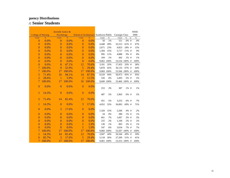|                           |               | Juvenile Justice & |               |                                         |               |       |            |                |         |    | <b>NSSE</b> |
|---------------------------|---------------|--------------------|---------------|-----------------------------------------|---------------|-------|------------|----------------|---------|----|-------------|
| <b>College of Nursing</b> |               | Psychology         |               | School of Architecture Southwest Public |               |       |            | Carnegie Class |         |    | 2008        |
| Count                     | $\frac{9}{6}$ | Count              | $\frac{9}{6}$ | Count                                   | $\frac{9}{6}$ | Count | $\%$       | Count          | $\%$    | nt | $\%$        |
| $\bf{0}$                  | 0.0%          | $\overline{0}$     | 0.0%          | $\mathbf{0}$                            | 0.0%          | 50    | 1%         | 151            | 0% #    |    | $0\%$       |
| $\mathbf{0}$              | 0.0%          | $\overline{0}$     | 0.0%          | $\mathbf{0}$                            | 0.0%          | 4,448 | 49%        | 32,513         | 61% #   |    | 67%         |
| $\overline{0}$            | 0.0%          | $\overline{0}$     | 0.0%          | $\overline{0}$                          | 0.0%          | 2,071 | 23%        | 9,823          | 18% #   |    | 15%         |
| $\theta$                  | 0.0%          | $\overline{0}$     | 0.0%          | $\overline{0}$                          | 0.0%          | 1,394 | 15%        | 5,717          | 11% #   |    | 9%          |
| $\theta$                  | 0.0%          | $\theta$           | 0.0%          | $\mathbf{0}$                            | 0.0%          | 995   | 11%        | 4,888          | 9% #    |    | 8%          |
| $\overline{0}$            | 0.0%          | $\overline{0}$     | 0.0%          | $\overline{0}$                          | 0.0%          | 104   | 1%         | 442            | $1\%$ # |    | 1%          |
| $\overline{0}$            | 0.0%          | $\overline{0}$     | 0.0%          | $\overline{0}$                          | 0.0%          |       | 9,062 100% | 53,534 100% #  |         |    | $100\%$     |
| $\overline{0}$            | 0.0%          | 8                  | 47.1%         | 12                                      | 70.6%         | 3,191 | 35%        | 17,433         | 33% #   |    | 36%         |
| 7                         | 100.0%        | 9                  | 52.9%         | 5                                       | 29.4%         | 5,878 | 65%        | 36,133         | 67% #   |    | 64%         |
| $\overline{7}$            | 100.0%        | 17                 | 100.0%        | 17                                      | 100.0%        |       | 9,069 100% | 53,566 100% #  |         |    | 100%        |
| 5                         | 71.4%         | 16                 | 94.1%         | 14                                      | 87.5%         | 8,529 | 94%        | 50,973         | 95% #   |    | 95%         |
| $\overline{2}$            | 28.6%         | 1                  | 5.9%          | $\overline{2}$                          | 12.5%         | 520   | $6\%$      | 2,493          | 5% #    |    | $5\%$       |
| 7                         | 100.0%        | 17                 | 100.0%        | 16                                      | 100.0%        |       | 9,049 100% | 53,466 100% #  |         |    | 100%        |
| $\mathbf{0}$              | 0.0%          | $\overline{0}$     | 0.0%          | $\mathbf{0}$                            | 0.0%          | 253   | 3%         | 387            | $1\%$ # |    | $1\%$       |
| 1                         | 14.3%         | $\overline{0}$     | 0.0%          | $\overline{0}$                          | 0.0%          | 487   | 5%         | 2,963          | 6% #    |    | 5%          |
| 5                         | 71.4%         | 14                 | 82.4%         | 12                                      | 70.6%         | 451   | 5%         | 3,255          | 6% #    |    | 7%          |
| 1                         | 14.3%         | $\overline{0}$     | 0.0%          | 3                                       | 17.6%         | 4,952 | 55%        | 36,893         | 69% #   |    | 71%         |
| $\overline{0}$            | 0.0%          | 3                  | 17.6%         | $\boldsymbol{0}$                        | 0.0%          | 1,320 | 15%        | 2,266          | $4\%$ # |    | 2%          |
| $\overline{0}$            | 0.0%          | $\overline{0}$     | 0.0%          | $\mathbf{0}$                            | 0.0%          | 34    | $0\%$      | 380            | $1\%$ # |    | $1\%$       |
| $\theta$                  | 0.0%          | $\theta$           | 0.0%          | $\overline{0}$                          | 0.0%          | 661   | 7%         | 1,667          | 3%#     |    | 3%          |
| $\overline{0}$            | 0.0%          | $\overline{0}$     | 0.0%          | $\boldsymbol{0}$                        | 0.0%          | 225   | $2\%$      | 1,169          | $2\%$ # |    | 2%          |
| $\overline{0}$            | 0.0%          | $\overline{0}$     | 0.0%          | 1                                       | 5.9%          | 130   | 1%         | 893            | $2\%$ # |    | 1%          |
| $\overline{0}$            | 0.0%          | $\overline{0}$     | 0.0%          | 1                                       | 5.9%          | 547   | 6%         | 3,634          | 7% #    |    | 7%          |
| 7                         | 100.0%        | 17                 | 100.0%        | 17                                      | 100.0%        |       | 9,060 100% | 53,507 100% #  |         |    | 100%        |
| 1                         | 14.3%         | 14                 | 82.4%         | 12                                      | 70.6%         | 3,947 | 44%        | 26,344         | 49% #   |    | 59%         |
| 6                         | 85.7%         | 3                  | 17.6%         | 5                                       | 29.4%         | 5,118 | 56%        | 27,209         | 51% #   |    | 41%         |
| 7                         | 100.0%        | 17                 | 100.0%        | 17                                      | 100.0%        |       | 9,065 100% | 53,553 100% #  |         |    | 100%        |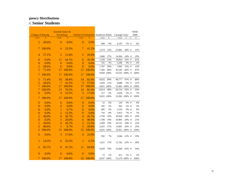|                           |               | Juvenile Justice $\&$ |               |                                         |               |       |            |                |         |    | <b>NSSE</b> |
|---------------------------|---------------|-----------------------|---------------|-----------------------------------------|---------------|-------|------------|----------------|---------|----|-------------|
| <b>College of Nursing</b> |               | Psychology            |               | School of Architecture Southwest Public |               |       |            | Carnegie Class |         |    | 2008        |
| Count                     | $\frac{9}{6}$ | Count                 | $\frac{9}{6}$ | Count                                   | $\frac{9}{6}$ | Count | $\%$       | Count          | $\%$    | nt | $\%$        |
| $\overline{2}$            | 28.6%         | $\overline{0}$        | 0.0%          | $\mathbf{0}$                            | 0.0%          | 909   | 9%         | 4,197          | 7% #    |    | $6\%$       |
| 7                         | 100.0%        | $\overline{4}$        | 23.5%         | 7                                       | 41.2%         | 5,374 | 53%        | 23,965         | 40% #   |    | 31%         |
| $\overline{4}$            | 57.1%         | $\overline{2}$        | 11.8%         | 5                                       | 29.4%         | 2,680 | 27%        | 14,304         | 24% #   |    | 23%         |
| $\overline{0}$            | 0.0%          | 11                    | 64.7%         | 6                                       | 35.3%         | 2,339 | 23%        | 19,954         | 33% #   |    | 41%         |
| $\overline{0}$            | 0.0%          | $\theta$              | 0.0%          | $\overline{0}$                          | 0.0%          | 331   | 3%         | 2,206          | 4% #    |    | 4%          |
| $\overline{2}$            | 28.6%         | $\theta$              | 0.0%          | $\theta$                                | 0.0%          | 1,767 | 20%        | 7,992          | 15% #   |    | 13%         |
| 5                         | 71.4%         | 17                    | 100.0%        | 17                                      | 100.0%        | 7,283 | 80%        | 45,543         | 85% #   |    | 87%         |
| 7                         | 100.0%        | 17                    | 100.0%        | 17                                      | 100.0%        |       | 9,050 100% | 53,535 100% #  |         |    | $100\%$     |
| 5                         | 71.4%         | 10                    | 58.8%         | 14                                      | 82.4%         | 8,025 | 89%        | 48,777         | 91% #   |    | 89%         |
| $\overline{2}$            | 28.6%         | 7                     | 41.2%         | 3                                       | 17.6%         | 1,026 | 11%        | 4,688          | 9% #    |    | 11%         |
| $\overline{7}$            | 100.0%        | 17                    | 100.0%        | 17                                      | 100.0%        |       | 9,051 100% | 53,465 100% #  |         |    | 100%        |
| $\overline{7}$            | 100.0%        | 13                    | 76.5%         | 14                                      | 82.4%         | 8,814 | $98\%$     | 50,724         | 95% #   |    | 93%         |
| $\mathbf{0}$              | 0.0%          | $\overline{4}$        | 23.5%         | 3                                       | 17.6%         | 217   | 2%         | 2,658          | 5% #    |    | 7%          |
| 7                         | 100.0%        | 17                    | 100.0%        | 17                                      | 100.0%        |       | 9,031 100% | 53,382 100% #  |         |    | 100%        |
| $\mathbf{0}$              | 0.0%          | $\overline{0}$        | 0.0%          | $\overline{0}$                          | 0.0%          | 31    | $0\%$      | 129            | $0\%$ # |    | $0\%$       |
| $\overline{0}$            | 0.0%          | $\overline{0}$        | 0.0%          | $\overline{0}$                          | 0.0%          | 185   | 2%         | 942            | $2\%$ # |    | 2%          |
| $\mathbf{0}$              | 0.0%          | $\mathbf{1}$          | 6.7%          | $\overline{0}$                          | 0.0%          | 485   | 5%         | 2,163          | 4%#     |    | 4%          |
| $\mathbf{0}$              | 0.0%          | $\overline{2}$        | 13.3%         | $\overline{0}$                          | 0.0%          | 743   | 8%         | 3,953          | 7% #    |    | 7%          |
| $\overline{2}$            | 40.0%         | $\overline{4}$        | 26.7%         | $\overline{4}$                          | 26.7%         | 1,756 | 19%        | 10,928         | 20% #   |    | 19%         |
| $\mathbf{0}$              | 0.0%          | 3                     | 20.0%         | 6                                       | 40.0%         | 1,708 | 19%        | 10,895         | 20% #   |    | 21%         |
| 1                         | 20.0%         | $\overline{4}$        | 26.7%         | $\overline{2}$                          | 13.3%         | 1,699 | 19%        | 10,731         | 20% #   |    | 22%         |
| $\overline{2}$            | 40.0%         | 1                     | 6.7%          | 3                                       | 20.0%         | 2,425 | 27%        | 13,681         | 26% #   |    | 25%         |
| 5                         | 100.0%        | 15                    | 100.0%        | 15                                      | 100.0%        |       | 9,032 100% | 53,422 100% #  |         |    | 100%        |
| $\mathbf{0}$              | 0.0%          | 3                     | 17.6%         | $\overline{4}$                          | 25.0%         | 592   | $7\%$      | 5,946          | 12% #   |    | 19%         |
| $\mathbf{1}$              | 14.3%         | 6                     | 35.3%         | 1                                       | 6.3%          | 1,421 | 17%        | 11,762         | 23% #   |    | 26%         |
| 6                         | 85.7%         | 8                     | 47.1%         | 11                                      | 68.8%         | 6,459 | 76%        | 33,460         | 65%#    |    | 54%         |
| $\overline{0}$            | 0.0%          | $\theta$              | 0.0%          | $\overline{0}$                          | 0.0%          | 75    | 1%         | 411            | $1\%$ # |    | 2%          |
| 7                         | 100.0%        | 17                    | 100.0%        | 16                                      | 100.0%        |       | 8,547 100% | 51,579 100% #  |         |    | 100%        |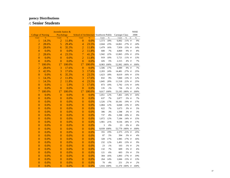|                           |               | Juvenile Justice & |               |                                         |               |        |            |                |           |    | <b>NSSE</b> |
|---------------------------|---------------|--------------------|---------------|-----------------------------------------|---------------|--------|------------|----------------|-----------|----|-------------|
| <b>College of Nursing</b> |               | Psychology         |               | School of Architecture Southwest Public |               |        |            | Carnegie Class |           |    | 2008        |
| Count                     | $\frac{9}{6}$ | Count              | $\frac{9}{6}$ | Count                                   | $\frac{9}{6}$ | Count  | $\%$       | Count          | $\%$      | nt | $\%$        |
| 1                         | 14.3%         | $\overline{2}$     | 11.8%         | $\overline{0}$                          | 0.0%          | 1,573  | $18\%$     | 6,002          | $11\%$ #  |    | $9\%$       |
| $\overline{2}$            | 28.6%         | 5                  | 29.4%         | $\overline{4}$                          | 23.5%         | 2,044  | 23%        | 14,061         | 27% #     |    | 24%         |
| $\overline{2}$            | 28.6%         | 6                  | 35.3%         | $\overline{2}$                          | 11.8%         | 1,479  | 16%        | 7,959          | 15% #     |    | 14%         |
| $\overline{0}$            | 0.0%          | $\overline{0}$     | 0.0%          | $\overline{2}$                          | 11.8%         | 600    | $7\%$      | 4,869          | 9% #      |    | $8\%$       |
| $\overline{2}$            | 28.6%         | $\overline{4}$     | 23.5%         | $\overline{7}$                          | 41.2%         | 1,942  | 22%        | 12,065         | 23% #     |    | 25%         |
| $\overline{0}$            | 0.0%          | $\overline{0}$     | 0.0%          | $\overline{2}$                          | 11.8%         | 919    | $10\%$     | 5,721          | 11% #     |    | 13%         |
| $\boldsymbol{0}$          | 0.0%          | $\mathbf{0}$       | 0.0%          | $\overline{0}$                          | 0.0%          | 426    | $5\%$      | 2,315          | 4% #      |    | $7\%$       |
| $\overline{7}$            | 100.0%        | 17                 | 100.0%        | 17                                      | 100.0%        |        | 8,983 100% | 52,992 100% #  |           |    | $100\%$     |
| $\overline{c}$            | 28.6%         | 3                  | 17.6%         | $\overline{0}$                          | 0.0%          | 1,506  | $17\%$     | 4,989          | 9% #      |    | $7\%$       |
| $\overline{3}$            | 42.9%         | 3                  | 17.6%         | 3                                       | 17.6%         | 2,203  | 24%        | 14,481         | 27% #     |    | 25%         |
| $\overline{0}$            | 0.0%          | 6                  | 35.3%         | $\overline{4}$                          | 23.5%         | 1,623  | $18\%$     | 8,619          | 16% #     |    | 15%         |
| 1                         | 14.3%         | $\overline{2}$     | 11.8%         | 3                                       | 17.6%         | 832    | $9\%$      | 7,060          | 13% #     |    | 12%         |
| $\mathbf{1}$              | 14.3%         | $\overline{2}$     | 11.8%         | $\overline{4}$                          | 23.5%         | 1,845  | $20\%$     | 11,518         | 22% #     |    | 25%         |
| $\boldsymbol{0}$          | 0.0%          | $\mathbf{1}$       | 5.9%          | 3                                       | 17.6%         | 873    | $10\%$     | 5,792          | 11% #     |    | 14%         |
| $\overline{0}$            | 0.0%          | $\overline{0}$     | 0.0%          | $\overline{0}$                          | 0.0%          | 135    | 1%         | 736            | $1\%$ #   |    | 2%          |
| $\overline{7}$            | 100.0%        | 17                 | 100.0%        | 17                                      | 100.0%        |        | 9,017 100% | 53,195 100% #  |           |    | 100%        |
| $\mathbf{0}$              | 0.0%          | $\overline{0}$     | 0.0%          | $\overline{0}$                          | 0.0%          | 1,051  | 12%        | 7,461          | 14% #     |    | 16%         |
| $\overline{0}$            | 0.0%          | $\overline{0}$     | 0.0%          | $\overline{0}$                          | 0.0%          | 637    | 7%         | 2,877          | 5% #      |    | $7\%$       |
| $\boldsymbol{0}$          | 0.0%          | $\mathbf{0}$       | 0.0%          | $\mathbf{0}$                            | 0.0%          | 1,526  | $17\%$     | 10,181         | 19% #     |    | $17\%$      |
| $\overline{0}$            | 0.0%          | $\overline{0}$     | 0.0%          | $\mathbf{0}$                            | 0.0%          | 1,084  | 12%        | 6,848          | 13% #     |    | $10\%$      |
| $\boldsymbol{0}$          | 0.0%          | $\mathbf{0}$       | 0.0%          | $\boldsymbol{0}$                        | 0.0%          | 622    | $7\%$      | 1,673          | $3\%$ #   |    | $5\%$       |
| $\overline{0}$            | 0.0%          | $\overline{0}$     | 0.0%          | $\mathbf{0}$                            | 0.0%          | 306    | 3%         | 1,598          | 3%#       |    | 3%          |
| $\overline{0}$            | 0.0%          | $\overline{0}$     | 0.0%          | $\overline{0}$                          | 0.0%          | 737    | $8\%$      | 5,398          | 10% #     |    | $9\%$       |
| $\overline{0}$            | 0.0%          | $\overline{0}$     | 0.0%          | $\boldsymbol{0}$                        | 0.0%          | 1,072  | 12%        | 7,184          | 14% #     |    | 15%         |
| $\overline{0}$            | 0.0%          | $\overline{0}$     | 0.0%          | $\mathbf{0}$                            | 0.0%          | 1,901  | 21%        | 9,536          | 18% #     |    | $17\%$      |
| $\boldsymbol{0}$          | 0.0%          | $\mathbf{0}$       | 0.0%          | $\mathbf{0}$                            | 0.0%          | 3      | $0\%$      | 23             | 0% #      |    | $0\%$       |
| $\overline{0}$            | 0.0%          | $\overline{0}$     | 0.0%          | $\overline{0}$                          | 0.0%          | 8,939  | 100%       | 52,779         | $100\%$ # |    | 100%        |
| $\mathbf{0}$              | 0.0%          | $\mathbf{0}$       | 0.0%          | $\mathbf{0}$                            | 0.0%          | 355    | 19%        | 2,375          | 21% #     |    | 25%         |
| $\overline{0}$            | 0.0%          | $\overline{0}$     | 0.0%          | $\overline{0}$                          | 0.0%          | 87     | 5%         | 394            | 3%#       |    | 4%          |
| $\overline{0}$            | 0.0%          | $\overline{0}$     | 0.0%          | $\overline{0}$                          | 0.0%          | 328    | 17%        | 1,985          | 17% #     |    | $16\%$      |
| $\overline{0}$            | 0.0%          | $\overline{0}$     | 0.0%          | $\overline{0}$                          | 0.0%          | 232    | 12%        | 1,491          | 13% #     |    | $9\%$       |
| $\boldsymbol{0}$          | 0.0%          | $\mathbf{0}$       | 0.0%          | $\overline{0}$                          | 0.0%          | 23     | $1\%$      | 103            | $1\%$ #   |    | $2\%$       |
| $\boldsymbol{0}$          | 0.0%          | $\mathbf{0}$       | 0.0%          | $\boldsymbol{0}$                        | 0.0%          | 132    | $7\%$      | 609            | 5% #      |    | $6\%$       |
| $\overline{0}$            | 0.0%          | $\overline{0}$     | 0.0%          | $\mathbf{0}$                            | 0.0%          | 121    | $6\%$      | 603            | 5% #      |    | 5%          |
| $\mathbf{0}$              | 0.0%          | $\mathbf{0}$       | 0.0%          | $\boldsymbol{0}$                        | 0.0%          | 304    | 16%        | 1,893          | 17% #     |    | 19%         |
| $\overline{0}$            | 0.0%          | $\overline{0}$     | 0.0%          | $\overline{0}$                          | 0.0%          | 264    | $14\%$     | 1,666          | 15% #     |    | 13%         |
| $\overline{0}$            | 0.0%          | $\overline{0}$     | 0.0%          | $\overline{0}$                          | 0.0%          | $70\,$ | 4%         | 251            | $2\%$ #   |    | $2\%$       |
| 0                         | 0.0%          | $\overline{0}$     | 0.0%          | $\overline{0}$                          | 0.0%          |        | 1,916 100% | 11,370 100% #  |           |    | 100%        |